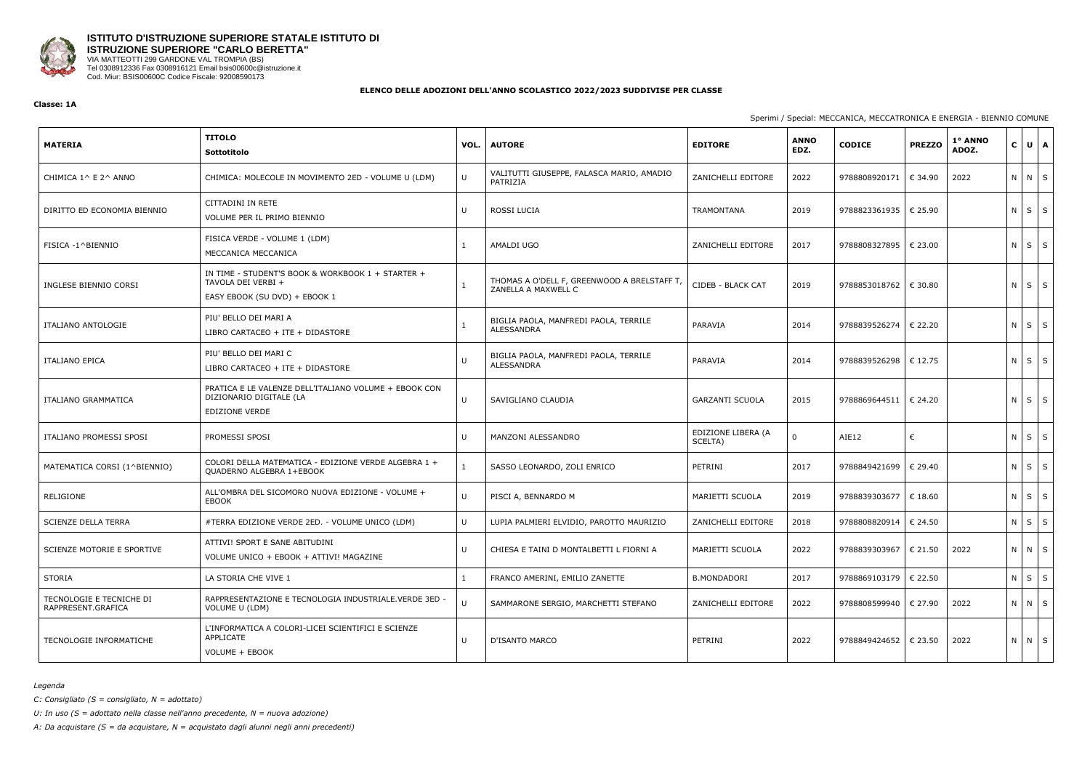

## **ISTITUTO D'ISTRUZIONE SUPERIORE STATALE ISTITUTO DI ISTRUZIONE SUPERIORE "CARLO BERETTA"** VIA MATTEOTTI 299 GARDONE VAL TROMPIA (BS)

Tel 0308912336 Fax 0308916121 Email bsis00600c@istruzione.it Cod. Miur: BSIS00600C Codice Fiscale: 92008590173

#### **ELENCO DELLE ADOZIONI DELL'ANNO SCOLASTICO 2022/2023 SUDDIVISE PER CLASSE**

#### **Classe: 1A**

## Sperimi / Special: MECCANICA, MECCATRONICA E ENERGIA - BIENNIO COMUNE

| <b>MATERIA</b>                                 | <b>TITOLO</b><br>Sottotitolo                                                                             | VOL.   | <b>AUTORE</b>                                                     | <b>EDITORE</b>                | <b>ANNO</b><br>EDZ. | <b>CODICE</b>           | <b>PREZZO</b> | 1° ANNO<br>ADOZ. | $\mathbf{C}$      | $U \mid A$        |
|------------------------------------------------|----------------------------------------------------------------------------------------------------------|--------|-------------------------------------------------------------------|-------------------------------|---------------------|-------------------------|---------------|------------------|-------------------|-------------------|
| CHIMICA 1^ E 2^ ANNO                           | CHIMICA: MOLECOLE IN MOVIMENTO 2ED - VOLUME U (LDM)                                                      | $\cup$ | VALITUTTI GIUSEPPE, FALASCA MARIO, AMADIO<br>PATRIZIA             | ZANICHELLI EDITORE            | 2022                | 9788808920171           | € 34.90       | 2022             | $N$ $N$ $S$       |                   |
| DIRITTO ED ECONOMIA BIENNIO                    | CITTADINI IN RETE<br>VOLUME PER IL PRIMO BIENNIO                                                         | U      | ROSSI LUCIA                                                       | TRAMONTANA                    | 2019                | 9788823361935   € 25.90 |               |                  | $N$ $S$ $S$       |                   |
| FISICA -1^BIENNIO                              | FISICA VERDE - VOLUME 1 (LDM)<br>MECCANICA MECCANICA                                                     |        | AMALDI UGO                                                        | ZANICHELLI EDITORE            | 2017                | 9788808327895           | € 23.00       |                  | $N$ $S$ $S$       |                   |
| INGLESE BIENNIO CORSI                          | IN TIME - STUDENT'S BOOK & WORKBOOK 1 + STARTER +<br>TAVOLA DEI VERBI +<br>EASY EBOOK (SU DVD) + EBOOK 1 | 1      | THOMAS A O'DELL F, GREENWOOD A BRELSTAFF T<br>ZANELLA A MAXWELL C | CIDEB - BLACK CAT             | 2019                | 9788853018762   € 30.80 |               |                  | ΝI                | $S \mid S$        |
| ITALIANO ANTOLOGIE                             | PIU' BELLO DEI MARI A<br>LIBRO CARTACEO + ITE + DIDASTORE                                                |        | BIGLIA PAOLA, MANFREDI PAOLA, TERRILE<br>ALESSANDRA               | PARAVIA                       | 2014                | 9788839526274           | € 22.20       |                  | $N$ $S$ $S$       |                   |
| <b>ITALIANO EPICA</b>                          | PIU' BELLO DEI MARI C<br>LIBRO CARTACEO + ITE + DIDASTORE                                                | U      | BIGLIA PAOLA, MANFREDI PAOLA, TERRILE<br><b>ALESSANDRA</b>        | PARAVIA                       | 2014                | 9788839526298           | € 12.75       |                  | $N$ $S$ $S$       |                   |
| ITALIANO GRAMMATICA                            | PRATICA E LE VALENZE DELL'ITALIANO VOLUME + EBOOK CON<br>DIZIONARIO DIGITALE (LA<br>EDIZIONE VERDE       | U      | SAVIGLIANO CLAUDIA                                                | <b>GARZANTI SCUOLA</b>        | 2015                | 9788869644511           | € 24.20       |                  | $N \mid S \mid S$ |                   |
| ITALIANO PROMESSI SPOSI                        | PROMESSI SPOSI                                                                                           | U      | MANZONI ALESSANDRO                                                | EDIZIONE LIBERA (A<br>SCELTA) | 0                   | AIE12                   | €             |                  | $N$ $S$ $S$       |                   |
| MATEMATICA CORSI (1^BIENNIO)                   | COLORI DELLA MATEMATICA - EDIZIONE VERDE ALGEBRA 1 +<br>QUADERNO ALGEBRA 1+EBOOK                         |        | SASSO LEONARDO, ZOLI ENRICO                                       | PETRINI                       | 2017                | 9788849421699           | € 29.40       |                  | ΝI                | $\vert s \vert s$ |
| RELIGIONE                                      | ALL'OMBRA DEL SICOMORO NUOVA EDIZIONE - VOLUME +<br>EBOOK                                                | $\cup$ | PISCI A, BENNARDO M                                               | MARIETTI SCUOLA               | 2019                | 9788839303677           | € 18.60       |                  | $N \mid S \mid S$ |                   |
| SCIENZE DELLA TERRA                            | #TERRA EDIZIONE VERDE 2ED. - VOLUME UNICO (LDM)                                                          | U      | LUPIA PALMIERI ELVIDIO, PAROTTO MAURIZIO                          | ZANICHELLI EDITORE            | 2018                | 9788808820914   € 24.50 |               |                  | N                 | $S \mid S$        |
| SCIENZE MOTORIE E SPORTIVE                     | ATTIVI! SPORT E SANE ABITUDINI<br>VOLUME UNICO + EBOOK + ATTIVI! MAGAZINE                                | U      | CHIESA E TAINI D MONTALBETTI L FIORNI A                           | MARIETTI SCUOLA               | 2022                | 9788839303967           | € 21.50       | 2022             | N N S             |                   |
| STORIA                                         | LA STORIA CHE VIVE 1                                                                                     |        | FRANCO AMERINI, EMILIO ZANETTE                                    | <b>B.MONDADORI</b>            | 2017                | 9788869103179           | € 22.50       |                  | ΝI                | $S \mid S$        |
| TECNOLOGIE E TECNICHE DI<br>RAPPRESENT.GRAFICA | RAPPRESENTAZIONE E TECNOLOGIA INDUSTRIALE.VERDE 3ED<br>VOLUME U (LDM)                                    | $\cup$ | SAMMARONE SERGIO, MARCHETTI STEFANO                               | ZANICHELLI EDITORE            | 2022                | 9788808599940           | € 27.90       | 2022             | N N S             |                   |
| <b>TECNOLOGIE INFORMATICHE</b>                 | L'INFORMATICA A COLORI-LICEI SCIENTIFICI E SCIENZE<br>APPLICATE<br>VOLUME + EBOOK                        | U      | <b>D'ISANTO MARCO</b>                                             | PETRINI                       | 2022                | 9788849424652           | € 23.50       | 2022             | N N S             |                   |

#### *Legenda*

*C: Consigliato (S = consigliato, N = adottato)*

*U: In uso (S = adottato nella classe nell'anno precedente, N = nuova adozione)*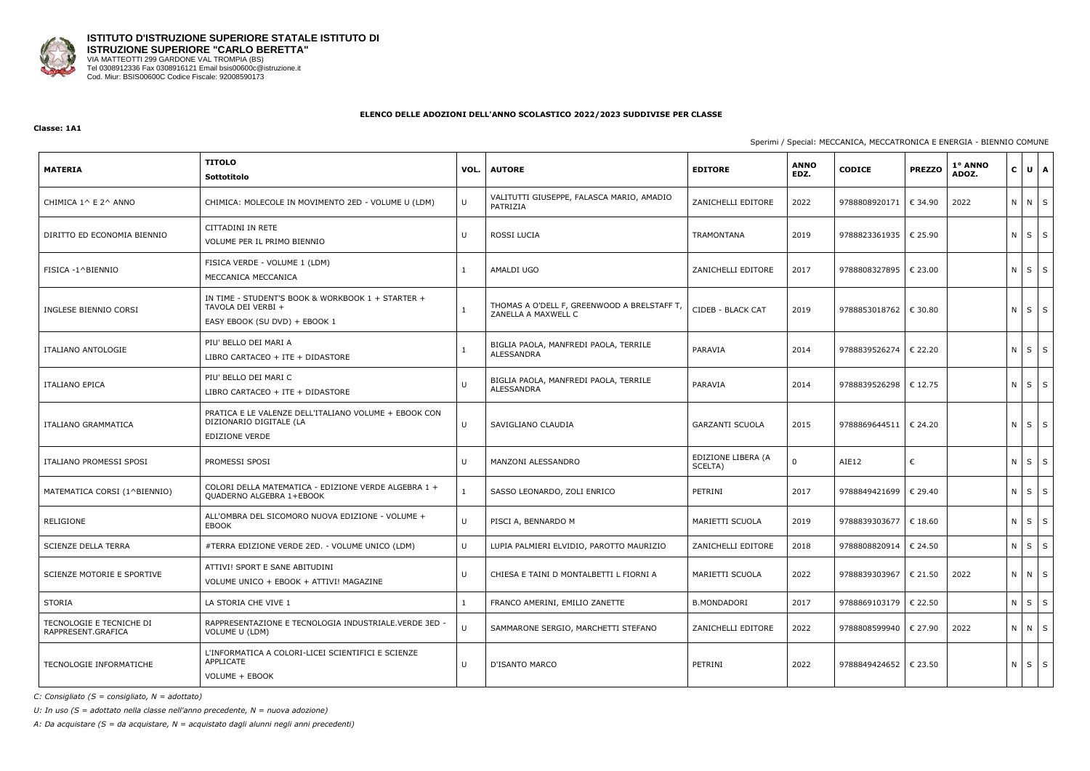

#### **Classe: 1A1**

## Sperimi / Special: MECCANICA, MECCATRONICA E ENERGIA - BIENNIO COMUNE

| <b>MATERIA</b>                                 | <b>TITOLO</b><br>Sottotitolo                                                                              | VOL. | <b>AUTORE</b>                                                      | <b>EDITORE</b>                | <b>ANNO</b><br>EDZ. | <b>CODICE</b>           | <b>PREZZO</b> | 1° ANNO<br>ADOZ. | $\mathbf{C}$ | $U$ $A$     |
|------------------------------------------------|-----------------------------------------------------------------------------------------------------------|------|--------------------------------------------------------------------|-------------------------------|---------------------|-------------------------|---------------|------------------|--------------|-------------|
| CHIMICA 1^ E 2^ ANNO                           | CHIMICA: MOLECOLE IN MOVIMENTO 2ED - VOLUME U (LDM)                                                       | U    | VALITUTTI GIUSEPPE, FALASCA MARIO, AMADIO<br>PATRIZIA              | ZANICHELLI EDITORE            | 2022                | 9788808920171           | € 34.90       | 2022             |              | N N S       |
| DIRITTO ED ECONOMIA BIENNIO                    | CITTADINI IN RETE<br>VOLUME PER IL PRIMO BIENNIO                                                          | U    | ROSSI LUCIA                                                        | TRAMONTANA                    | 2019                | 9788823361935   € 25.90 |               |                  |              | $N$ $S$ $S$ |
| FISICA -1^BIENNIO                              | FISICA VERDE - VOLUME 1 (LDM)<br>MECCANICA MECCANICA                                                      |      | AMALDI UGO                                                         | ZANICHELLI EDITORE            | 2017                | 9788808327895   € 23.00 |               |                  |              | $N$ $S$ $S$ |
| INGLESE BIENNIO CORSI                          | IN TIME - STUDENT'S BOOK & WORKBOOK 1 + STARTER +<br>TAVOLA DEI VERBI +<br>EASY EBOOK (SU DVD) + EBOOK 1  |      | THOMAS A O'DELL F, GREENWOOD A BRELSTAFF T,<br>ZANELLA A MAXWELL C | CIDEB - BLACK CAT             | 2019                | 9788853018762   € 30.80 |               |                  |              | $N$ $S$ $S$ |
| <b>ITALIANO ANTOLOGIE</b>                      | PIU' BELLO DEI MARI A<br>LIBRO CARTACEO + ITE + DIDASTORE                                                 |      | BIGLIA PAOLA, MANFREDI PAOLA, TERRILE<br>ALESSANDRA                | PARAVIA                       | 2014                | 9788839526274           | € 22.20       |                  |              | $N$ $S$ $S$ |
| <b>ITALIANO EPICA</b>                          | PIU' BELLO DEI MARI C<br>LIBRO CARTACEO + ITE + DIDASTORE                                                 | U    | BIGLIA PAOLA, MANFREDI PAOLA, TERRILE<br>ALESSANDRA                | PARAVIA                       | 2014                | 9788839526298   € 12.75 |               |                  |              | $N$ $S$ $S$ |
| ITALIANO GRAMMATICA                            | PRATICA E LE VALENZE DELL'ITALIANO VOLUME + EBOOK CON<br>DIZIONARIO DIGITALE (LA<br><b>EDIZIONE VERDE</b> | U    | SAVIGLIANO CLAUDIA                                                 | <b>GARZANTI SCUOLA</b>        | 2015                | 9788869644511   € 24.20 |               |                  |              | $N$ $S$ $S$ |
| ITALIANO PROMESSI SPOSI                        | PROMESSI SPOSI                                                                                            | U    | MANZONI ALESSANDRO                                                 | EDIZIONE LIBERA (A<br>SCELTA) | 0                   | AIE12                   | €             |                  |              | $N$ $S$ $S$ |
| MATEMATICA CORSI (1^BIENNIO)                   | COLORI DELLA MATEMATICA - EDIZIONE VERDE ALGEBRA 1 +<br>QUADERNO ALGEBRA 1+EBOOK                          |      | SASSO LEONARDO, ZOLI ENRICO                                        | PETRINI                       | 2017                | 9788849421699   € 29.40 |               |                  |              | $N$ $S$ $S$ |
| RELIGIONE                                      | ALL'OMBRA DEL SICOMORO NUOVA EDIZIONE - VOLUME +<br>EBOOK                                                 | U    | PISCI A, BENNARDO M                                                | MARIETTI SCUOLA               | 2019                | 9788839303677           | € 18.60       |                  |              | N S S       |
| <b>SCIENZE DELLA TERRA</b>                     | #TERRA EDIZIONE VERDE 2ED. - VOLUME UNICO (LDM)                                                           | U    | LUPIA PALMIERI ELVIDIO, PAROTTO MAURIZIO                           | ZANICHELLI EDITORE            | 2018                | 9788808820914           | € 24.50       |                  |              | N S S       |
| SCIENZE MOTORIE E SPORTIVE                     | ATTIVI! SPORT E SANE ABITUDINI<br>VOLUME UNICO + EBOOK + ATTIVI! MAGAZINE                                 | U    | CHIESA E TAINI D MONTALBETTI L FIORNI A                            | MARIETTI SCUOLA               | 2022                | 9788839303967   € 21.50 |               | 2022             |              | N N S       |
| STORIA                                         | LA STORIA CHE VIVE 1                                                                                      |      | FRANCO AMERINI, EMILIO ZANETTE                                     | <b>B.MONDADORI</b>            | 2017                | 9788869103179           | € 22.50       |                  |              | $N$ $S$ $S$ |
| TECNOLOGIE E TECNICHE DI<br>RAPPRESENT.GRAFICA | RAPPRESENTAZIONE E TECNOLOGIA INDUSTRIALE. VERDE 3ED -<br>VOLUME U (LDM)                                  | U    | SAMMARONE SERGIO, MARCHETTI STEFANO                                | ZANICHELLI EDITORE            | 2022                | 9788808599940 € 27.90   |               | 2022             |              | NNS         |
| TECNOLOGIE INFORMATICHE                        | L'INFORMATICA A COLORI-LICEI SCIENTIFICI E SCIENZE<br>APPLICATE<br>VOLUME + EBOOK                         | U    | D'ISANTO MARCO                                                     | PETRINI                       | 2022                | 9788849424652 € 23.50   |               |                  |              | $N$ $S$ $S$ |

*C: Consigliato (S = consigliato, N = adottato)*

*U: In uso (S = adottato nella classe nell'anno precedente, N = nuova adozione)*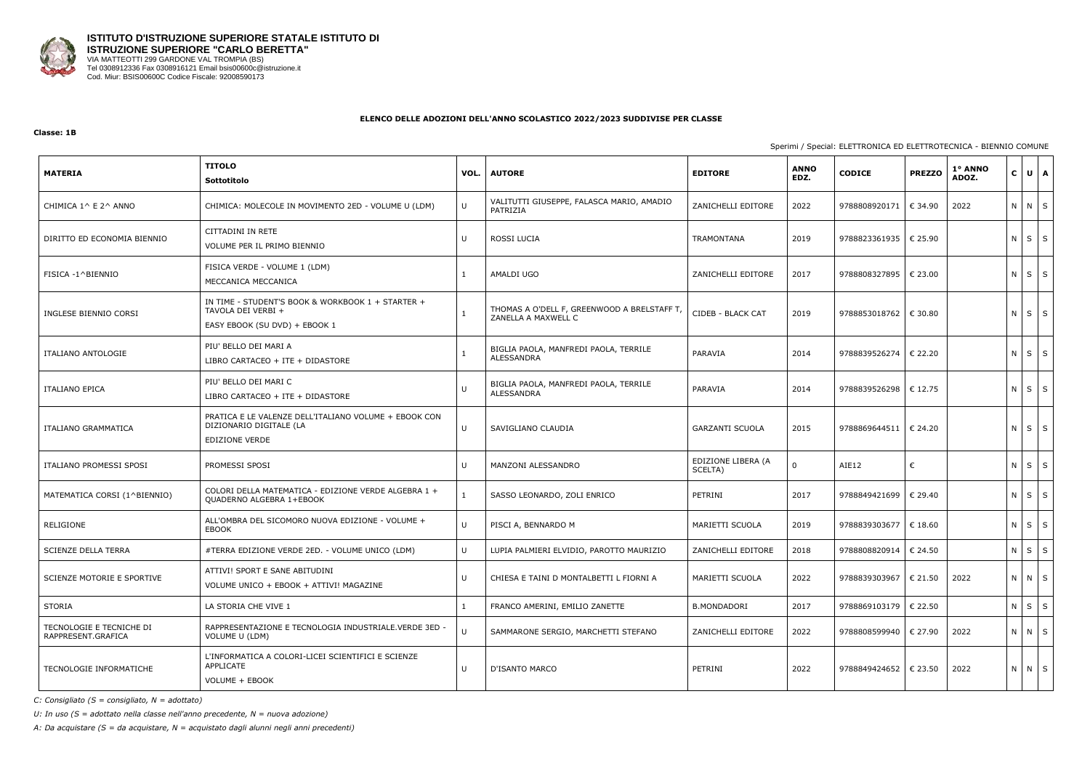

#### **Classe: 1B**

## Sperimi / Special: ELETTRONICA ED ELETTROTECNICA - BIENNIO COMUNE

| <b>MATERIA</b>                                 | <b>TITOLO</b><br>Sottotitolo                                                                             | VOL.   | <b>AUTORE</b>                                                     | <b>EDITORE</b>                | <b>ANNO</b><br>EDZ. | <b>CODICE</b>           | <b>PREZZO</b> | 1° ANNO<br>ADOZ. | $\mathbf{C}$      | $U$ $A$    |
|------------------------------------------------|----------------------------------------------------------------------------------------------------------|--------|-------------------------------------------------------------------|-------------------------------|---------------------|-------------------------|---------------|------------------|-------------------|------------|
| CHIMICA 1^ E 2^ ANNO                           | CHIMICA: MOLECOLE IN MOVIMENTO 2ED - VOLUME U (LDM)                                                      | U      | VALITUTTI GIUSEPPE, FALASCA MARIO, AMADIO<br>PATRIZIA             | ZANICHELLI EDITORE            | 2022                | 9788808920171           | € 34.90       | 2022             | N N S             |            |
| DIRITTO ED ECONOMIA BIENNIO                    | CITTADINI IN RETE<br>VOLUME PER IL PRIMO BIENNIO                                                         | U      | ROSSI LUCIA                                                       | TRAMONTANA                    | 2019                | 9788823361935   € 25.90 |               |                  | ΝI                | $S$ S      |
| FISICA -1^BIENNIO                              | FISICA VERDE - VOLUME 1 (LDM)<br>MECCANICA MECCANICA                                                     |        | AMALDI UGO                                                        | ZANICHELLI EDITORE            | 2017                | 9788808327895           | € 23.00       |                  | N                 | $S \mid S$ |
| INGLESE BIENNIO CORSI                          | IN TIME - STUDENT'S BOOK & WORKBOOK 1 + STARTER +<br>TAVOLA DEI VERBI +<br>EASY EBOOK (SU DVD) + EBOOK 1 | 1      | THOMAS A O'DELL F, GREENWOOD A BRELSTAFF T<br>ZANELLA A MAXWELL C | CIDEB - BLACK CAT             | 2019                | 9788853018762   € 30.80 |               |                  | $N$ $S$ $S$       |            |
| ITALIANO ANTOLOGIE                             | PIU' BELLO DEI MARI A<br>LIBRO CARTACEO + ITE + DIDASTORE                                                |        | BIGLIA PAOLA, MANFREDI PAOLA, TERRILE<br>ALESSANDRA               | PARAVIA                       | 2014                | 9788839526274           | € 22.20       |                  | $N \mid S \mid S$ |            |
| <b>ITALIANO EPICA</b>                          | PIU' BELLO DEI MARI C<br>LIBRO CARTACEO + ITE + DIDASTORE                                                | U      | BIGLIA PAOLA, MANFREDI PAOLA, TERRILE<br>ALESSANDRA               | PARAVIA                       | 2014                | 9788839526298           | € 12.75       |                  | $N$ $S$ $S$       |            |
| <b>ITALIANO GRAMMATICA</b>                     | PRATICA E LE VALENZE DELL'ITALIANO VOLUME + EBOOK CON<br>DIZIONARIO DIGITALE (LA<br>EDIZIONE VERDE       | U      | SAVIGLIANO CLAUDIA                                                | <b>GARZANTI SCUOLA</b>        | 2015                | 9788869644511   € 24.20 |               |                  | N                 | $S \mid S$ |
| ITALIANO PROMESSI SPOSI                        | PROMESSI SPOSI                                                                                           | U      | MANZONI ALESSANDRO                                                | EDIZIONE LIBERA (A<br>SCELTA) | $\Omega$            | AIE12                   | €             |                  | $N \mid S \mid S$ |            |
| MATEMATICA CORSI (1^BIENNIO)                   | COLORI DELLA MATEMATICA - EDIZIONE VERDE ALGEBRA 1 +<br>QUADERNO ALGEBRA 1+EBOOK                         |        | SASSO LEONARDO, ZOLI ENRICO                                       | PETRINI                       | 2017                | 9788849421699           | € 29.40       |                  | $N$ $S$ $S$       |            |
| RELIGIONE                                      | ALL'OMBRA DEL SICOMORO NUOVA EDIZIONE - VOLUME +<br>EBOOK                                                | $\cup$ | PISCI A, BENNARDO M                                               | MARIETTI SCUOLA               | 2019                | 9788839303677           | € 18.60       |                  | $N$ $S$ $S$       |            |
| <b>SCIENZE DELLA TERRA</b>                     | #TERRA EDIZIONE VERDE 2ED. - VOLUME UNICO (LDM)                                                          | U      | LUPIA PALMIERI ELVIDIO, PAROTTO MAURIZIO                          | ZANICHELLI EDITORE            | 2018                | 9788808820914           | € 24.50       |                  | ΝI                | $S \mid S$ |
| SCIENZE MOTORIE E SPORTIVE                     | ATTIVI! SPORT E SANE ABITUDINI<br>VOLUME UNICO + EBOOK + ATTIVI! MAGAZINE                                | U      | CHIESA E TAINI D MONTALBETTI L FIORNI A                           | MARIETTI SCUOLA               | 2022                | 9788839303967           | € 21.50       | 2022             | N N S             |            |
| STORIA                                         | LA STORIA CHE VIVE 1                                                                                     |        | FRANCO AMERINI, EMILIO ZANETTE                                    | <b>B.MONDADORI</b>            | 2017                | 9788869103179   € 22.50 |               |                  | $N$ $S$ $S$       |            |
| TECNOLOGIE E TECNICHE DI<br>RAPPRESENT.GRAFICA | RAPPRESENTAZIONE E TECNOLOGIA INDUSTRIALE.VERDE 3ED -<br>VOLUME U (LDM)                                  | U      | SAMMARONE SERGIO, MARCHETTI STEFANO                               | ZANICHELLI EDITORE            | 2022                | 9788808599940           | € 27.90       | 2022             | N N S             |            |
| TECNOLOGIE INFORMATICHE                        | L'INFORMATICA A COLORI-LICEI SCIENTIFICI E SCIENZE<br>APPLICATE<br>VOLUME + EBOOK                        | U      | D'ISANTO MARCO                                                    | PETRINI                       | 2022                | 9788849424652 € 23.50   |               | 2022             | N N S             |            |

*C: Consigliato (S = consigliato, N = adottato)*

*U: In uso (S = adottato nella classe nell'anno precedente, N = nuova adozione)*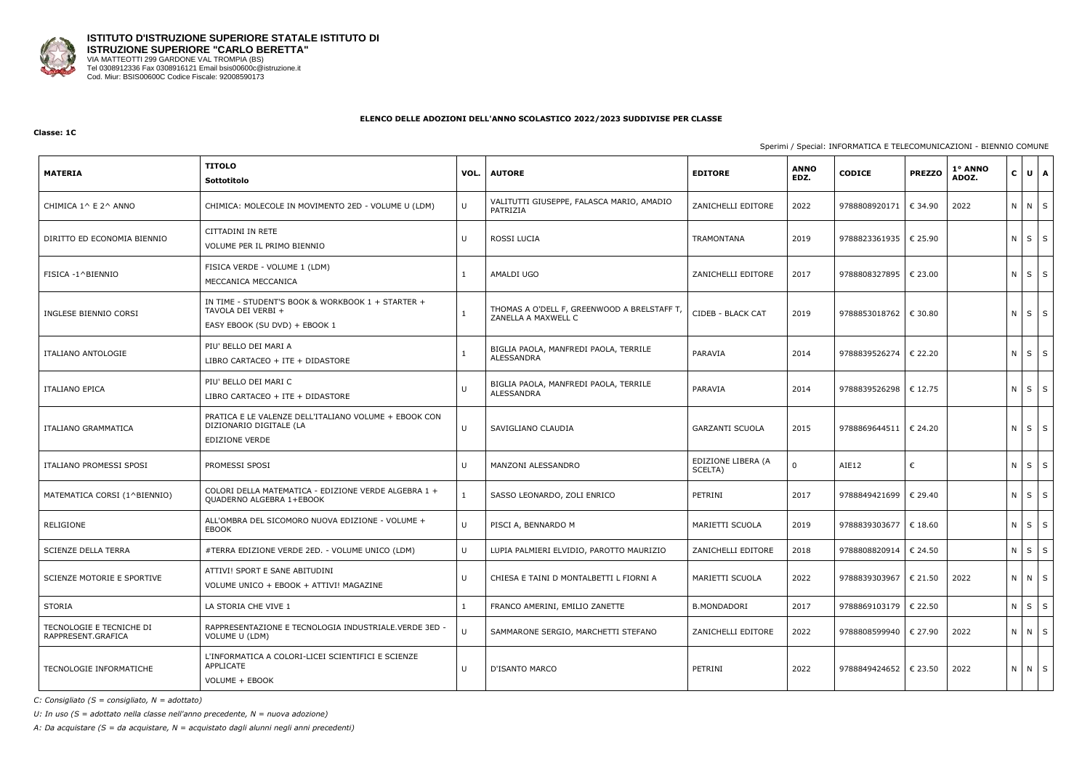

#### **Classe: 1C**

## Sperimi / Special: INFORMATICA E TELECOMUNICAZIONI - BIENNIO COMUNE

| <b>MATERIA</b>                                 | <b>TITOLO</b><br>Sottotitolo                                                                              | VOL.   | <b>AUTORE</b>                                                      | <b>EDITORE</b>                | <b>ANNO</b><br>EDZ. | <b>CODICE</b>           | <b>PREZZO</b> | 1° ANNO<br>ADOZ. | $\mathbf{C}$      | $U \mid A$ |
|------------------------------------------------|-----------------------------------------------------------------------------------------------------------|--------|--------------------------------------------------------------------|-------------------------------|---------------------|-------------------------|---------------|------------------|-------------------|------------|
| CHIMICA 1^ E 2^ ANNO                           | CHIMICA: MOLECOLE IN MOVIMENTO 2ED - VOLUME U (LDM)                                                       | U      | VALITUTTI GIUSEPPE, FALASCA MARIO, AMADIO<br>PATRIZIA              | ZANICHELLI EDITORE            | 2022                | 9788808920171           | € 34.90       | 2022             | N N S             |            |
| DIRITTO ED ECONOMIA BIENNIO                    | CITTADINI IN RETE<br>VOLUME PER IL PRIMO BIENNIO                                                          | U      | ROSSI LUCIA                                                        | TRAMONTANA                    | 2019                | 9788823361935   € 25.90 |               |                  | $N$ $S$ $S$       |            |
| FISICA -1^BIENNIO                              | FISICA VERDE - VOLUME 1 (LDM)<br>MECCANICA MECCANICA                                                      | 1      | AMALDI UGO                                                         | ZANICHELLI EDITORE            | 2017                | 9788808327895           | € 23.00       |                  | ΝI                | $S \mid S$ |
| INGLESE BIENNIO CORSI                          | IN TIME - STUDENT'S BOOK & WORKBOOK 1 + STARTER +<br>TAVOLA DEI VERBI +<br>EASY EBOOK (SU DVD) + EBOOK 1  |        | THOMAS A O'DELL F, GREENWOOD A BRELSTAFF T,<br>ZANELLA A MAXWELL C | CIDEB - BLACK CAT             | 2019                | 9788853018762   € 30.80 |               |                  | $N$ $S$ $S$       |            |
| ITALIANO ANTOLOGIE                             | PIU' BELLO DEI MARI A<br>LIBRO CARTACEO + ITE + DIDASTORE                                                 |        | BIGLIA PAOLA, MANFREDI PAOLA, TERRILE<br>ALESSANDRA                | PARAVIA                       | 2014                | 9788839526274           | € 22.20       |                  | $N \mid S \mid S$ |            |
| <b>ITALIANO EPICA</b>                          | PIU' BELLO DEI MARI C<br>LIBRO CARTACEO + ITE + DIDASTORE                                                 | $\cup$ | BIGLIA PAOLA, MANFREDI PAOLA, TERRILE<br>ALESSANDRA                | PARAVIA                       | 2014                | 9788839526298           | € 12.75       |                  | N I               | $S \mid S$ |
| ITALIANO GRAMMATICA                            | PRATICA E LE VALENZE DELL'ITALIANO VOLUME + EBOOK CON<br>DIZIONARIO DIGITALE (LA<br><b>EDIZIONE VERDE</b> | U      | SAVIGLIANO CLAUDIA                                                 | <b>GARZANTI SCUOLA</b>        | 2015                | 9788869644511   € 24.20 |               |                  | N I               | $S \mid S$ |
| ITALIANO PROMESSI SPOSI                        | PROMESSI SPOSI                                                                                            | U      | MANZONI ALESSANDRO                                                 | EDIZIONE LIBERA (A<br>SCELTA) | 0                   | AIE12                   | €             |                  | $N \mid S \mid S$ |            |
| MATEMATICA CORSI (1^BIENNIO)                   | COLORI DELLA MATEMATICA - EDIZIONE VERDE ALGEBRA 1 +<br>QUADERNO ALGEBRA 1+EBOOK                          |        | SASSO LEONARDO, ZOLI ENRICO                                        | PETRINI                       | 2017                | 9788849421699           | € 29.40       |                  | $N$ $S$ $S$       |            |
| RELIGIONE                                      | ALL'OMBRA DEL SICOMORO NUOVA EDIZIONE - VOLUME +<br>EBOOK                                                 | $\cup$ | PISCI A, BENNARDO M                                                | MARIETTI SCUOLA               | 2019                | 9788839303677           | € 18.60       |                  | $N$ $S$ $S$       |            |
| SCIENZE DELLA TERRA                            | #TERRA EDIZIONE VERDE 2ED. - VOLUME UNICO (LDM)                                                           | U      | LUPIA PALMIERI ELVIDIO, PAROTTO MAURIZIO                           | ZANICHELLI EDITORE            | 2018                | 9788808820914           | € 24.50       |                  | $N$ $S$ $S$       |            |
| SCIENZE MOTORIE E SPORTIVE                     | ATTIVI! SPORT E SANE ABITUDINI<br>VOLUME UNICO + EBOOK + ATTIVI! MAGAZINE                                 | U      | CHIESA E TAINI D MONTALBETTI L FIORNI A                            | MARIETTI SCUOLA               | 2022                | 9788839303967           | € 21.50       | 2022             | N N S             |            |
| STORIA                                         | LA STORIA CHE VIVE 1                                                                                      |        | FRANCO AMERINI, EMILIO ZANETTE                                     | <b>B.MONDADORI</b>            | 2017                | 9788869103179   € 22.50 |               |                  | $N$ $S$ $S$       |            |
| TECNOLOGIE E TECNICHE DI<br>RAPPRESENT.GRAFICA | RAPPRESENTAZIONE E TECNOLOGIA INDUSTRIALE.VERDE 3ED<br>VOLUME U (LDM)                                     | $\cup$ | SAMMARONE SERGIO, MARCHETTI STEFANO                                | ZANICHELLI EDITORE            | 2022                | 9788808599940           | € 27.90       | 2022             | N N S             |            |
| TECNOLOGIE INFORMATICHE                        | L'INFORMATICA A COLORI-LICEI SCIENTIFICI E SCIENZE<br>APPLICATE<br>VOLUME + EBOOK                         | U      | D'ISANTO MARCO                                                     | PETRINI                       | 2022                | 9788849424652 € 23.50   |               | 2022             | N N S             |            |

*C: Consigliato (S = consigliato, N = adottato)*

*U: In uso (S = adottato nella classe nell'anno precedente, N = nuova adozione)*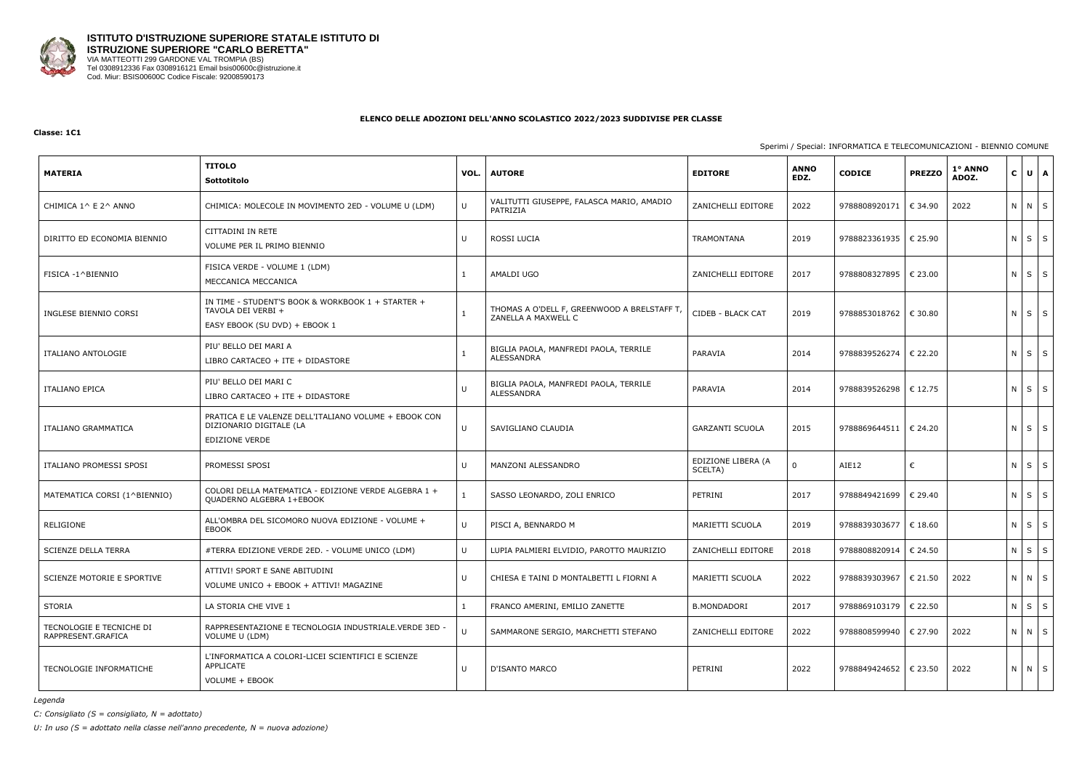

#### **Classe: 1C1**

## Sperimi / Special: INFORMATICA E TELECOMUNICAZIONI - BIENNIO COMUNE

| <b>MATERIA</b>                                 | <b>TITOLO</b><br>Sottotitolo                                                                              | VOL.   | <b>AUTORE</b>                                                     | <b>EDITORE</b>                | <b>ANNO</b><br>EDZ. | <b>CODICE</b>           | <b>PREZZO</b> | 1º ANNO<br>ADOZ. | $\mathbf{C}$ | $U$ $A$    |
|------------------------------------------------|-----------------------------------------------------------------------------------------------------------|--------|-------------------------------------------------------------------|-------------------------------|---------------------|-------------------------|---------------|------------------|--------------|------------|
| CHIMICA 1^ E 2^ ANNO                           | CHIMICA: MOLECOLE IN MOVIMENTO 2ED - VOLUME U (LDM)                                                       | U      | VALITUTTI GIUSEPPE, FALASCA MARIO, AMADIO<br>PATRIZIA             | ZANICHELLI EDITORE            | 2022                | 9788808920171           | € 34.90       | 2022             | N N S        |            |
| DIRITTO ED ECONOMIA BIENNIO                    | CITTADINI IN RETE<br>VOLUME PER IL PRIMO BIENNIO                                                          | U      | ROSSI LUCIA                                                       | TRAMONTANA                    | 2019                | 9788823361935           | € 25.90       |                  | $N$ $S$ $S$  |            |
| FISICA -1^BIENNIO                              | FISICA VERDE - VOLUME 1 (LDM)<br>MECCANICA MECCANICA                                                      | 1      | AMALDI UGO                                                        | ZANICHELLI EDITORE            | 2017                | 9788808327895           | € 23.00       |                  | $N$ $S$ $S$  |            |
| INGLESE BIENNIO CORSI                          | IN TIME - STUDENT'S BOOK & WORKBOOK 1 + STARTER +<br>TAVOLA DEI VERBI +<br>EASY EBOOK (SU DVD) + EBOOK 1  | 1      | THOMAS A O'DELL F, GREENWOOD A BRELSTAFF T<br>ZANELLA A MAXWELL C | CIDEB - BLACK CAT             | 2019                | 9788853018762           | € 30.80       |                  | $N$ $S$ $S$  |            |
| ITALIANO ANTOLOGIE                             | PIU' BELLO DEI MARI A<br>LIBRO CARTACEO + ITE + DIDASTORE                                                 |        | BIGLIA PAOLA, MANFREDI PAOLA, TERRILE<br>ALESSANDRA               | PARAVIA                       | 2014                | 9788839526274           | € 22.20       |                  | $N$ $S$ $S$  |            |
| <b>ITALIANO EPICA</b>                          | PIU' BELLO DEI MARI C<br>LIBRO CARTACEO + ITE + DIDASTORE                                                 | $\cup$ | BIGLIA PAOLA, MANFREDI PAOLA, TERRILE<br>ALESSANDRA               | PARAVIA                       | 2014                | 9788839526298   € 12.75 |               |                  | $N$ $S$ $S$  |            |
| ITALIANO GRAMMATICA                            | PRATICA E LE VALENZE DELL'ITALIANO VOLUME + EBOOK CON<br>DIZIONARIO DIGITALE (LA<br><b>EDIZIONE VERDE</b> | U      | SAVIGLIANO CLAUDIA                                                | <b>GARZANTI SCUOLA</b>        | 2015                | 9788869644511   € 24.20 |               |                  | N            | $S \mid S$ |
| ITALIANO PROMESSI SPOSI                        | PROMESSI SPOSI                                                                                            | U      | MANZONI ALESSANDRO                                                | EDIZIONE LIBERA (A<br>SCELTA) | 0                   | AIE12                   | €             |                  | $N$ $S$ $S$  |            |
| MATEMATICA CORSI (1^BIENNIO)                   | COLORI DELLA MATEMATICA - EDIZIONE VERDE ALGEBRA 1 +<br>QUADERNO ALGEBRA 1+EBOOK                          |        | SASSO LEONARDO, ZOLI ENRICO                                       | PETRINI                       | 2017                | 9788849421699           | € 29.40       |                  | $N$ $S$ $S$  |            |
| RELIGIONE                                      | ALL'OMBRA DEL SICOMORO NUOVA EDIZIONE - VOLUME +<br>EBOOK                                                 | $\cup$ | PISCI A, BENNARDO M                                               | MARIETTI SCUOLA               | 2019                | 9788839303677           | € 18.60       |                  | $N$ $S$ $S$  |            |
| <b>SCIENZE DELLA TERRA</b>                     | #TERRA EDIZIONE VERDE 2ED. - VOLUME UNICO (LDM)                                                           | U      | LUPIA PALMIERI ELVIDIO, PAROTTO MAURIZIO                          | ZANICHELLI EDITORE            | 2018                | 9788808820914           | € 24.50       |                  | N            | $S \mid S$ |
| SCIENZE MOTORIE E SPORTIVE                     | ATTIVI! SPORT E SANE ABITUDINI<br>VOLUME UNICO + EBOOK + ATTIVI! MAGAZINE                                 | U      | CHIESA E TAINI D MONTALBETTI L FIORNI A                           | MARIETTI SCUOLA               | 2022                | 9788839303967   € 21.50 |               | 2022             | N N S        |            |
| STORIA                                         | LA STORIA CHE VIVE 1                                                                                      |        | FRANCO AMERINI, EMILIO ZANETTE                                    | <b>B.MONDADORI</b>            | 2017                | 9788869103179   € 22.50 |               |                  | N            | $S \mid S$ |
| TECNOLOGIE E TECNICHE DI<br>RAPPRESENT.GRAFICA | RAPPRESENTAZIONE E TECNOLOGIA INDUSTRIALE. VERDE 3ED -<br>VOLUME U (LDM)                                  | $\cup$ | SAMMARONE SERGIO, MARCHETTI STEFANO                               | ZANICHELLI EDITORE            | 2022                | 9788808599940 € 27.90   |               | 2022             | N N S        |            |
| TECNOLOGIE INFORMATICHE                        | L'INFORMATICA A COLORI-LICEI SCIENTIFICI E SCIENZE<br>APPLICATE<br>VOLUME + EBOOK                         | U      | D'ISANTO MARCO                                                    | PETRINI                       | 2022                | 9788849424652   € 23.50 |               | 2022             | N N S        |            |

*Legenda*

*C: Consigliato (S = consigliato, N = adottato)*

*U: In uso (S = adottato nella classe nell'anno precedente, N = nuova adozione)*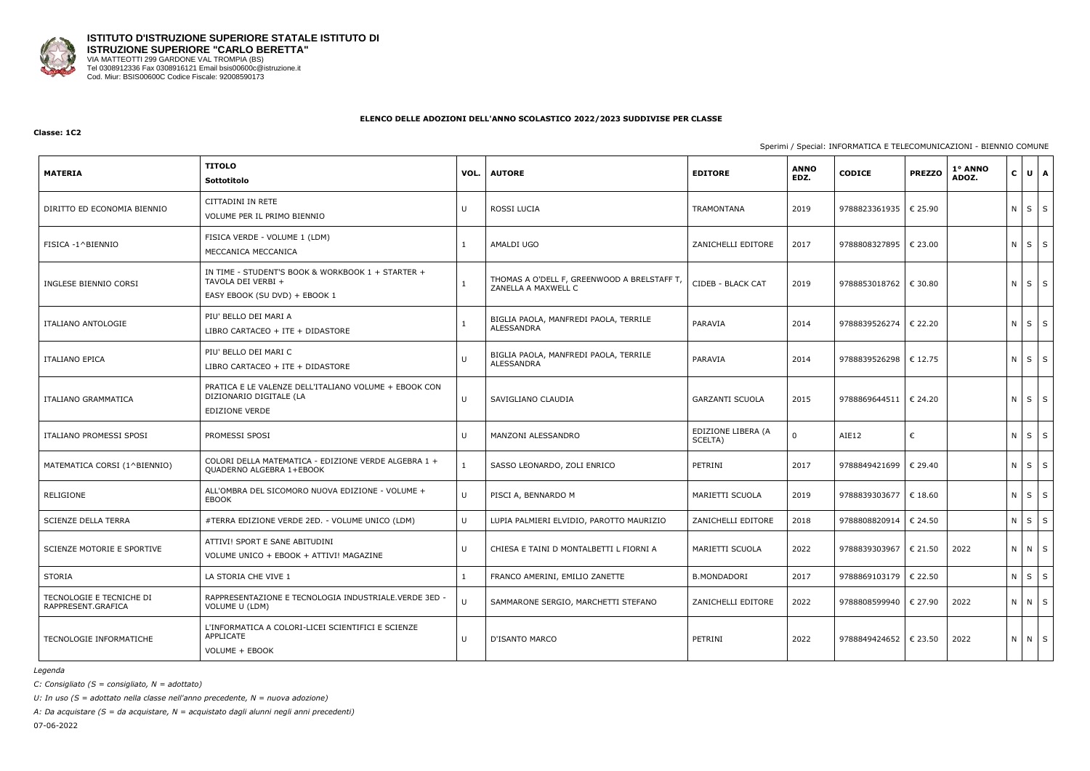

#### **Classe: 1C2**

## Sperimi / Special: INFORMATICA E TELECOMUNICAZIONI - BIENNIO COMUNE

| <b>MATERIA</b>                                 | <b>TITOLO</b><br>Sottotitolo                                                                             | VOL.   | <b>AUTORE</b>                                                     | <b>EDITORE</b>                | <b>ANNO</b><br>EDZ. | <b>CODICE</b>           | <b>PREZZO</b> | 1º ANNO<br>ADOZ. | $\mathbf{C}$      | $U \mid A$ |
|------------------------------------------------|----------------------------------------------------------------------------------------------------------|--------|-------------------------------------------------------------------|-------------------------------|---------------------|-------------------------|---------------|------------------|-------------------|------------|
| DIRITTO ED ECONOMIA BIENNIO                    | CITTADINI IN RETE<br>VOLUME PER IL PRIMO BIENNIO                                                         | U      | ROSSI LUCIA                                                       | TRAMONTANA                    | 2019                | 9788823361935           | € 25.90       |                  | $N$ $S$ $S$       |            |
| FISICA -1^BIENNIO                              | FISICA VERDE - VOLUME 1 (LDM)<br>MECCANICA MECCANICA                                                     | 1      | AMALDI UGO                                                        | ZANICHELLI EDITORE            | 2017                | 9788808327895           | € 23.00       |                  | $N$ $S$ $S$       |            |
| INGLESE BIENNIO CORSI                          | IN TIME - STUDENT'S BOOK & WORKBOOK 1 + STARTER +<br>TAVOLA DEI VERBI +<br>EASY EBOOK (SU DVD) + EBOOK 1 | 1      | THOMAS A O'DELL F, GREENWOOD A BRELSTAFF T<br>ZANELLA A MAXWELL C | CIDEB - BLACK CAT             | 2019                | 9788853018762   € 30.80 |               |                  | ΝI                | $S \mid S$ |
| ITALIANO ANTOLOGIE                             | PIU' BELLO DEI MARI A<br>LIBRO CARTACEO + ITE + DIDASTORE                                                |        | BIGLIA PAOLA, MANFREDI PAOLA, TERRILE<br>ALESSANDRA               | PARAVIA                       | 2014                | 9788839526274           | € 22.20       |                  | $N$ $S$ $S$       |            |
| ITALIANO EPICA                                 | PIU' BELLO DEI MARI C<br>LIBRO CARTACEO + ITE + DIDASTORE                                                | U      | BIGLIA PAOLA, MANFREDI PAOLA, TERRILE<br>ALESSANDRA               | PARAVIA                       | 2014                | 9788839526298           | € 12.75       |                  | $N$ $S$ $S$       |            |
| ITALIANO GRAMMATICA                            | PRATICA E LE VALENZE DELL'ITALIANO VOLUME + EBOOK CON<br>DIZIONARIO DIGITALE (LA<br>EDIZIONE VERDE       | U      | SAVIGLIANO CLAUDIA                                                | <b>GARZANTI SCUOLA</b>        | 2015                | 9788869644511   € 24.20 |               |                  | $N \mid S \mid S$ |            |
| ITALIANO PROMESSI SPOSI                        | PROMESSI SPOSI                                                                                           | U      | MANZONI ALESSANDRO                                                | EDIZIONE LIBERA (A<br>SCELTA) | 0                   | AIE12                   | €             |                  | $N$ $S$ $S$       |            |
| MATEMATICA CORSI (1^BIENNIO)                   | COLORI DELLA MATEMATICA - EDIZIONE VERDE ALGEBRA 1 +<br>QUADERNO ALGEBRA 1+EBOOK                         |        | SASSO LEONARDO, ZOLI ENRICO                                       | PETRINI                       | 2017                | 9788849421699           | € 29.40       |                  | $N$ $S$ $S$       |            |
| RELIGIONE                                      | ALL'OMBRA DEL SICOMORO NUOVA EDIZIONE - VOLUME +<br>EBOOK                                                | $\cup$ | PISCI A, BENNARDO M                                               | MARIETTI SCUOLA               | 2019                | 9788839303677           | € 18.60       |                  | $N$ $S$ $S$       |            |
| SCIENZE DELLA TERRA                            | #TERRA EDIZIONE VERDE 2ED. - VOLUME UNICO (LDM)                                                          | U      | LUPIA PALMIERI ELVIDIO, PAROTTO MAURIZIO                          | ZANICHELLI EDITORE            | 2018                | 9788808820914           | € 24.50       |                  | ΝI                | $S \mid S$ |
| <b>SCIENZE MOTORIE E SPORTIVE</b>              | ATTIVI! SPORT E SANE ABITUDINI<br>VOLUME UNICO + EBOOK + ATTIVI! MAGAZINE                                | U      | CHIESA E TAINI D MONTALBETTI L FIORNI A                           | MARIETTI SCUOLA               | 2022                | 9788839303967           | € 21.50       | 2022             | N N S             |            |
| STORIA                                         | LA STORIA CHE VIVE 1                                                                                     |        | FRANCO AMERINI, EMILIO ZANETTE                                    | <b>B.MONDADORI</b>            | 2017                | 9788869103179           | € 22.50       |                  | N                 | $S \mid S$ |
| TECNOLOGIE E TECNICHE DI<br>RAPPRESENT.GRAFICA | RAPPRESENTAZIONE E TECNOLOGIA INDUSTRIALE.VERDE 3ED<br>VOLUME U (LDM)                                    | $\cup$ | SAMMARONE SERGIO, MARCHETTI STEFANO                               | ZANICHELLI EDITORE            | 2022                | 9788808599940           | € 27.90       | 2022             | N N S             |            |
| TECNOLOGIE INFORMATICHE                        | L'INFORMATICA A COLORI-LICEI SCIENTIFICI E SCIENZE<br>APPLICATE<br>VOLUME + EBOOK                        | U      | D'ISANTO MARCO                                                    | PETRINI                       | 2022                | 9788849424652           | € 23.50       | 2022             | N N S             |            |

*Legenda*

*C: Consigliato (S = consigliato, N = adottato)*

*U: In uso (S = adottato nella classe nell'anno precedente, N = nuova adozione)*

*A: Da acquistare (S = da acquistare, N = acquistato dagli alunni negli anni precedenti)*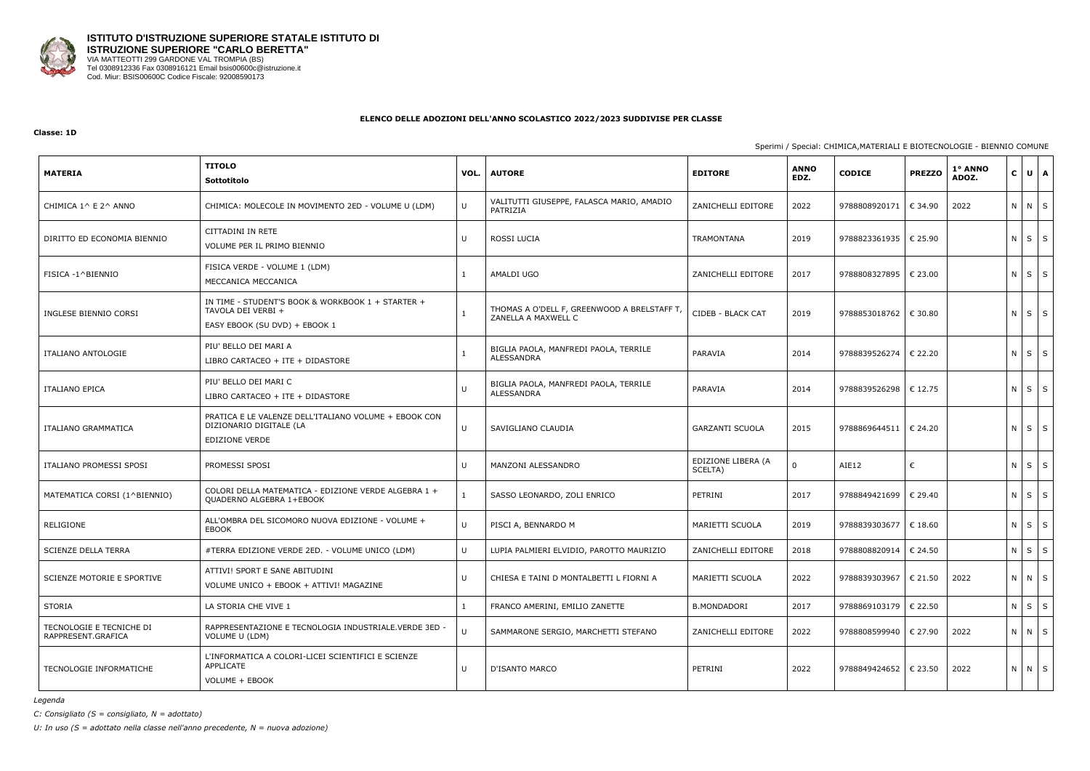

#### **Classe: 1D**

## Sperimi / Special: CHIMICA,MATERIALI E BIOTECNOLOGIE - BIENNIO COMUNE

| <b>MATERIA</b>                                 | <b>TITOLO</b><br>Sottotitolo                                                                             | VOL.         | <b>AUTORE</b>                                                      | <b>EDITORE</b>                | <b>ANNO</b><br>EDZ. | <b>CODICE</b>           | <b>PREZZO</b> | 1º ANNO<br>ADOZ. | $\mathbf{C}$ | $U$ $A$    |
|------------------------------------------------|----------------------------------------------------------------------------------------------------------|--------------|--------------------------------------------------------------------|-------------------------------|---------------------|-------------------------|---------------|------------------|--------------|------------|
| CHIMICA 1^ E 2^ ANNO                           | CHIMICA: MOLECOLE IN MOVIMENTO 2ED - VOLUME U (LDM)                                                      | U            | VALITUTTI GIUSEPPE, FALASCA MARIO, AMADIO<br>PATRIZIA              | ZANICHELLI EDITORE            | 2022                | 9788808920171           | € 34.90       | 2022             | N N S        |            |
| DIRITTO ED ECONOMIA BIENNIO                    | CITTADINI IN RETE<br>VOLUME PER IL PRIMO BIENNIO                                                         | U            | <b>ROSSI LUCIA</b>                                                 | <b>TRAMONTANA</b>             | 2019                | 9788823361935           | € 25.90       |                  | $N$ $S$ $S$  |            |
| FISICA -1^BIENNIO                              | FISICA VERDE - VOLUME 1 (LDM)<br>MECCANICA MECCANICA                                                     |              | AMALDI UGO                                                         | ZANICHELLI EDITORE            | 2017                | 9788808327895           | € 23.00       |                  | $N$ $S$ $S$  |            |
| INGLESE BIENNIO CORSI                          | IN TIME - STUDENT'S BOOK & WORKBOOK 1 + STARTER +<br>TAVOLA DEI VERBI +<br>EASY EBOOK (SU DVD) + EBOOK 1 |              | THOMAS A O'DELL F, GREENWOOD A BRELSTAFF T,<br>ZANELLA A MAXWELL C | CIDEB - BLACK CAT             | 2019                | 9788853018762           | € 30.80       |                  | $N$ $S$ $S$  |            |
| ITALIANO ANTOLOGIE                             | PIU' BELLO DEI MARI A<br>LIBRO CARTACEO + ITE + DIDASTORE                                                |              | BIGLIA PAOLA, MANFREDI PAOLA, TERRILE<br><b>ALESSANDRA</b>         | PARAVIA                       | 2014                | 9788839526274           | € 22.20       |                  | $N$ $S$ $S$  |            |
| <b>ITALIANO EPICA</b>                          | PIU' BELLO DEI MARI C<br>LIBRO CARTACEO + ITE + DIDASTORE                                                | $\cup$       | BIGLIA PAOLA, MANFREDI PAOLA, TERRILE<br>ALESSANDRA                | PARAVIA                       | 2014                | 9788839526298           | $\in$ 12.75   |                  | N            | $S \mid S$ |
| ITALIANO GRAMMATICA                            | PRATICA E LE VALENZE DELL'ITALIANO VOLUME + EBOOK CON<br>DIZIONARIO DIGITALE (LA<br>EDIZIONE VERDE       | U            | SAVIGLIANO CLAUDIA                                                 | <b>GARZANTI SCUOLA</b>        | 2015                | 9788869644511           | € 24.20       |                  | $N$ $S$ $S$  |            |
| ITALIANO PROMESSI SPOSI                        | PROMESSI SPOSI                                                                                           | U            | MANZONI ALESSANDRO                                                 | EDIZIONE LIBERA (A<br>SCELTA) | $\Omega$            | AIE12                   | €             |                  | N            | $S \mid S$ |
| MATEMATICA CORSI (1^BIENNIO)                   | COLORI DELLA MATEMATICA - EDIZIONE VERDE ALGEBRA 1 +<br>QUADERNO ALGEBRA 1+EBOOK                         |              | SASSO LEONARDO, ZOLI ENRICO                                        | PETRINI                       | 2017                | 9788849421699           | € 29.40       |                  | $N$ $S$ $S$  |            |
| RELIGIONE                                      | ALL'OMBRA DEL SICOMORO NUOVA EDIZIONE - VOLUME +<br><b>EBOOK</b>                                         | $\mathbf{U}$ | PISCI A, BENNARDO M                                                | MARIETTI SCUOLA               | 2019                | 9788839303677           | € 18.60       |                  | $N$ $S$ $S$  |            |
| <b>SCIENZE DELLA TERRA</b>                     | #TERRA EDIZIONE VERDE 2ED. - VOLUME UNICO (LDM)                                                          | U            | LUPIA PALMIERI ELVIDIO, PAROTTO MAURIZIO                           | ZANICHELLI EDITORE            | 2018                | 9788808820914           | € 24.50       |                  | ΝI           | $S \mid S$ |
| SCIENZE MOTORIE E SPORTIVE                     | ATTIVI! SPORT E SANE ABITUDINI<br>VOLUME UNICO + EBOOK + ATTIVI! MAGAZINE                                | U            | CHIESA E TAINI D MONTALBETTI L FIORNI A                            | MARIETTI SCUOLA               | 2022                | 9788839303967           | € 21.50       | 2022             | N N S        |            |
| STORIA                                         | LA STORIA CHE VIVE 1                                                                                     |              | FRANCO AMERINI, EMILIO ZANETTE                                     | <b>B.MONDADORI</b>            | 2017                | 9788869103179   € 22.50 |               |                  | $N$ $S$ $S$  |            |
| TECNOLOGIE E TECNICHE DI<br>RAPPRESENT.GRAFICA | RAPPRESENTAZIONE E TECNOLOGIA INDUSTRIALE.VERDE 3ED<br>VOLUME U (LDM)                                    | $\mathbf{U}$ | SAMMARONE SERGIO, MARCHETTI STEFANO                                | ZANICHELLI EDITORE            | 2022                | 9788808599940           | € 27.90       | 2022             | N N S        |            |
| TECNOLOGIE INFORMATICHE                        | L'INFORMATICA A COLORI-LICEI SCIENTIFICI E SCIENZE<br>APPLICATE<br>VOLUME + EBOOK                        | U            | D'ISANTO MARCO                                                     | PETRINI                       | 2022                | 9788849424652           | € 23.50       | 2022             | N N S        |            |

*Legenda*

*C: Consigliato (S = consigliato, N = adottato)*

*U: In uso (S = adottato nella classe nell'anno precedente, N = nuova adozione)*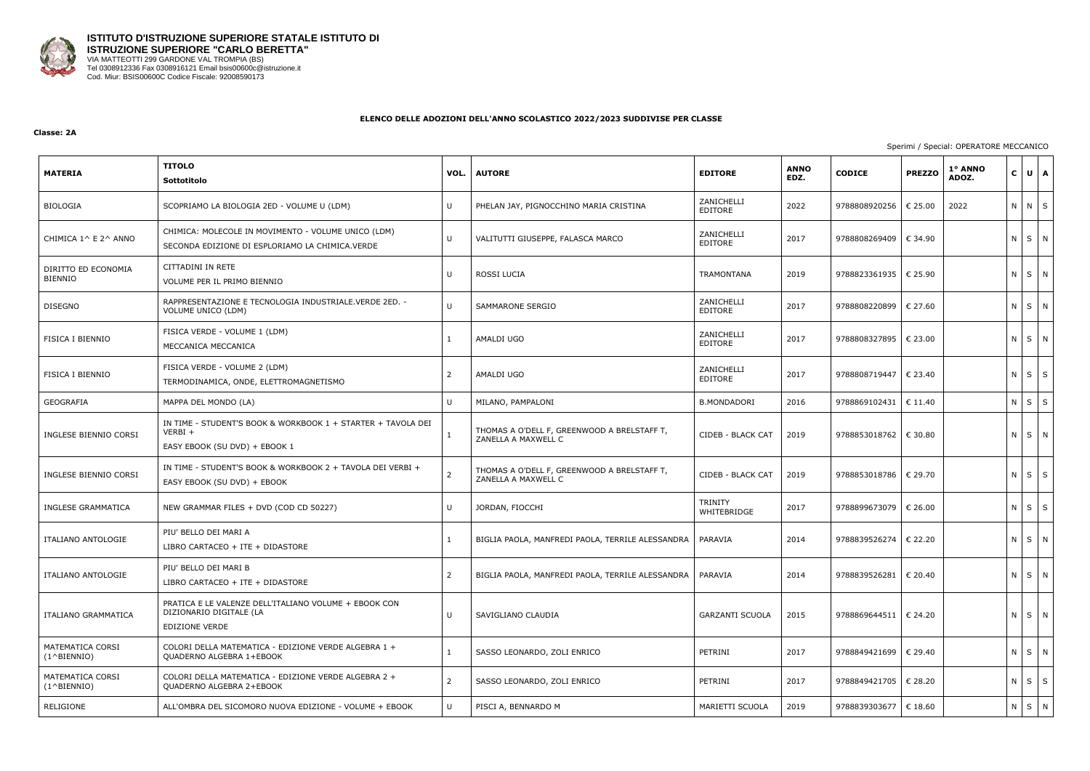

#### **Classe: 2A**

| <b>MATERIA</b>                            | <b>TITOLO</b><br>Sottotitolo                                                                               | VOL.           | <b>AUTORE</b>                                                      | <b>EDITORE</b>                | <b>ANNO</b><br>EDZ. | <b>CODICE</b>           | 1° ANNO<br><b>PREZZO</b><br>ADOZ. |         | $C \bigcup U \bigcup A$ |
|-------------------------------------------|------------------------------------------------------------------------------------------------------------|----------------|--------------------------------------------------------------------|-------------------------------|---------------------|-------------------------|-----------------------------------|---------|-------------------------|
| BIOLOGIA                                  | SCOPRIAMO LA BIOLOGIA 2ED - VOLUME U (LDM)                                                                 | U              | PHELAN JAY, PIGNOCCHINO MARIA CRISTINA                             | ZANICHELLI<br>EDITORE         | 2022                | 9788808920256           | 2022<br>€ 25.00                   |         | N N S                   |
| CHIMICA 1^ E 2^ ANNO                      | CHIMICA: MOLECOLE IN MOVIMENTO - VOLUME UNICO (LDM)<br>SECONDA EDIZIONE DI ESPLORIAMO LA CHIMICA.VERDE     | U              | VALITUTTI GIUSEPPE, FALASCA MARCO                                  | ZANICHELLI<br>EDITORE         | 2017                | 9788808269409           | € 34.90                           |         | N S N                   |
| DIRITTO ED ECONOMIA<br><b>BIENNIO</b>     | CITTADINI IN RETE<br>VOLUME PER IL PRIMO BIENNIO                                                           | $\mathbf{U}$   | ROSSI LUCIA                                                        | <b>TRAMONTANA</b>             | 2019                | 9788823361935   € 25.90 |                                   | $N$ $S$ | N                       |
| <b>DISEGNO</b>                            | RAPPRESENTAZIONE E TECNOLOGIA INDUSTRIALE.VERDE 2ED. -<br>VOLUME UNICO (LDM)                               | U              | <b>SAMMARONE SERGIO</b>                                            | ZANICHELLI<br>EDITORE         | 2017                | 9788808220899   € 27.60 |                                   | $N$ $S$ | N                       |
| FISICA I BIENNIO                          | FISICA VERDE - VOLUME 1 (LDM)<br>MECCANICA MECCANICA                                                       | $\mathbf{1}$   | AMALDI UGO                                                         | ZANICHELLI<br>EDITORE         | 2017                | 9788808327895           | € 23.00                           |         | N S N                   |
| FISICA I BIENNIO                          | FISICA VERDE - VOLUME 2 (LDM)<br>TERMODINAMICA, ONDE, ELETTROMAGNETISMO                                    | $\overline{2}$ | AMALDI UGO                                                         | ZANICHELLI<br>EDITORE         | 2017                | 9788808719447           | € 23.40                           | $N$ $S$ | S                       |
| GEOGRAFIA                                 | MAPPA DEL MONDO (LA)                                                                                       | $\mathbf{U}$   | MILANO, PAMPALONI                                                  | <b>B.MONDADORI</b>            | 2016                | 9788869102431           | € 11.40                           | $N$ $S$ | $\mathsf{S}$            |
| INGLESE BIENNIO CORSI                     | IN TIME - STUDENT'S BOOK & WORKBOOK 1 + STARTER + TAVOLA DEI<br>$VERBI +$<br>EASY EBOOK (SU DVD) + EBOOK 1 | $\mathbf{1}$   | THOMAS A O'DELL F, GREENWOOD A BRELSTAFF T,<br>ZANELLA A MAXWELL C | CIDEB - BLACK CAT             | 2019                | 9788853018762   € 30.80 |                                   |         | N S N                   |
| INGLESE BIENNIO CORSI                     | IN TIME - STUDENT'S BOOK & WORKBOOK 2 + TAVOLA DEI VERBI +<br>EASY EBOOK (SU DVD) + EBOOK                  | $\overline{2}$ | THOMAS A O'DELL F, GREENWOOD A BRELSTAFF T,<br>ZANELLA A MAXWELL C | CIDEB - BLACK CAT             | 2019                | 9788853018786           | € 29.70                           |         | $N$ $S$ $S$             |
| INGLESE GRAMMATICA                        | NEW GRAMMAR FILES + DVD (COD CD 50227)                                                                     | U              | JORDAN, FIOCCHI                                                    | <b>TRINITY</b><br>WHITEBRIDGE | 2017                | 9788899673079           | € 26.00                           | $N$ $S$ | $\mathsf{S}$            |
| ITALIANO ANTOLOGIE                        | PIU' BELLO DEI MARI A<br>LIBRO CARTACEO + ITE + DIDASTORE                                                  | $\mathbf{1}$   | BIGLIA PAOLA, MANFREDI PAOLA, TERRILE ALESSANDRA                   | PARAVIA                       | 2014                | 9788839526274           | € 22.20                           |         | N S N                   |
| ITALIANO ANTOLOGIE                        | PIU' BELLO DEI MARI B<br>LIBRO CARTACEO + ITE + DIDASTORE                                                  | $\overline{2}$ | BIGLIA PAOLA, MANFREDI PAOLA, TERRILE ALESSANDRA                   | PARAVIA                       | 2014                | 9788839526281 € 20.40   |                                   |         | N S N                   |
| ITALIANO GRAMMATICA                       | PRATICA E LE VALENZE DELL'ITALIANO VOLUME + EBOOK CON<br>DIZIONARIO DIGITALE (LA<br><b>EDIZIONE VERDE</b>  | U              | SAVIGLIANO CLAUDIA                                                 | <b>GARZANTI SCUOLA</b>        | 2015                | 9788869644511   € 24.20 |                                   |         | $N$ $S$ $N$             |
| MATEMATICA CORSI<br>$(1^{\wedge}BIFNNIO)$ | COLORI DELLA MATEMATICA - EDIZIONE VERDE ALGEBRA 1 +<br>QUADERNO ALGEBRA 1+EBOOK                           | $\mathbf{1}$   | SASSO LEONARDO, ZOLI ENRICO                                        | PETRINI                       | 2017                | 9788849421699 € 29.40   |                                   |         | N S N                   |
| MATEMATICA CORSI<br>$(1^{\wedge}BIENTO)$  | COLORI DELLA MATEMATICA - EDIZIONE VERDE ALGEBRA 2 +<br>QUADERNO ALGEBRA 2+EBOOK                           | $\overline{2}$ | SASSO LEONARDO, ZOLI ENRICO                                        | PETRINI                       | 2017                | 9788849421705   € 28.20 |                                   |         | $N$ $S$ $S$             |
| RELIGIONE                                 | ALL'OMBRA DEL SICOMORO NUOVA EDIZIONE - VOLUME + EBOOK                                                     | $\mathbf{U}$   | PISCI A, BENNARDO M                                                | MARIETTI SCUOLA               | 2019                | 9788839303677           | € 18.60                           |         | N S N                   |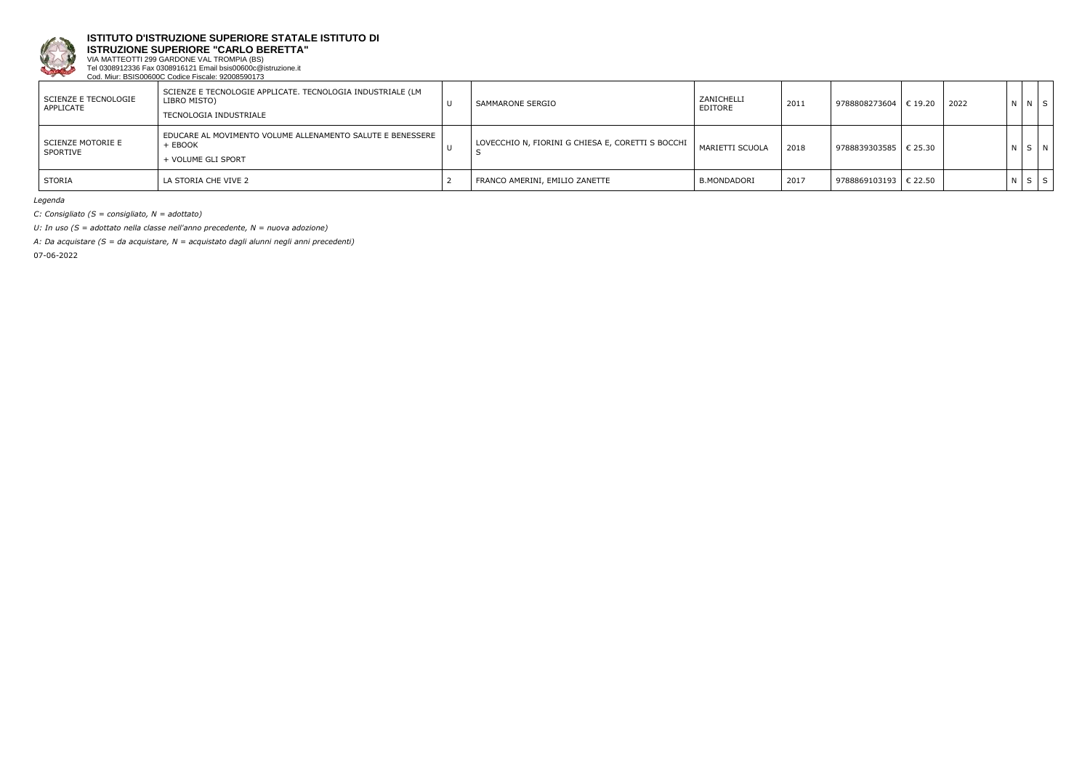

**ISTRUZIONE SUPERIORE "CARLO BERETTA"**

VIA MATTEOTTI 299 GARDONE VAL TROMPIA (BS) Tel 0308912336 Fax 0308916121 Email bsis00600c@istruzione.it Cod. Miur: BSIS00600C Codice Fiscale: 92008590173

| SCIENZE E TECNOLOGIE<br>APPLICATE | SCIENZE E TECNOLOGIE APPLICATE. TECNOLOGIA INDUSTRIALE (LM<br>LIBRO MISTO)<br>TECNOLOGIA INDUSTRIALE | $\cup$ | SAMMARONE SERGIO                                  | ZANICHELLI<br>EDITORE | 2011 | 9788808273604   € 19.20 | 2022 | N N S       |  |
|-----------------------------------|------------------------------------------------------------------------------------------------------|--------|---------------------------------------------------|-----------------------|------|-------------------------|------|-------------|--|
| SCIENZE MOTORIE E<br>SPORTIVE     | EDUCARE AL MOVIMENTO VOLUME ALLENAMENTO SALUTE E BENESSERE  <br>+ EBOOK<br>+ VOLUME GLI SPORT        |        | LOVECCHIO N, FIORINI G CHIESA E, CORETTI S BOCCHI | MARIETTI SCUOLA       | 2018 | 9788839303585   € 25.30 |      | N S N       |  |
| STORIA                            | LA STORIA CHE VIVE 2                                                                                 |        | FRANCO AMERINI, EMILIO ZANETTE                    | <b>B.MONDADORI</b>    | 2017 | 9788869103193   € 22.50 |      | $N$ $S$ $S$ |  |

*Legenda*

*C: Consigliato (S = consigliato, N = adottato)*

*U: In uso (S = adottato nella classe nell'anno precedente, N = nuova adozione)*

*A: Da acquistare (S = da acquistare, N = acquistato dagli alunni negli anni precedenti)*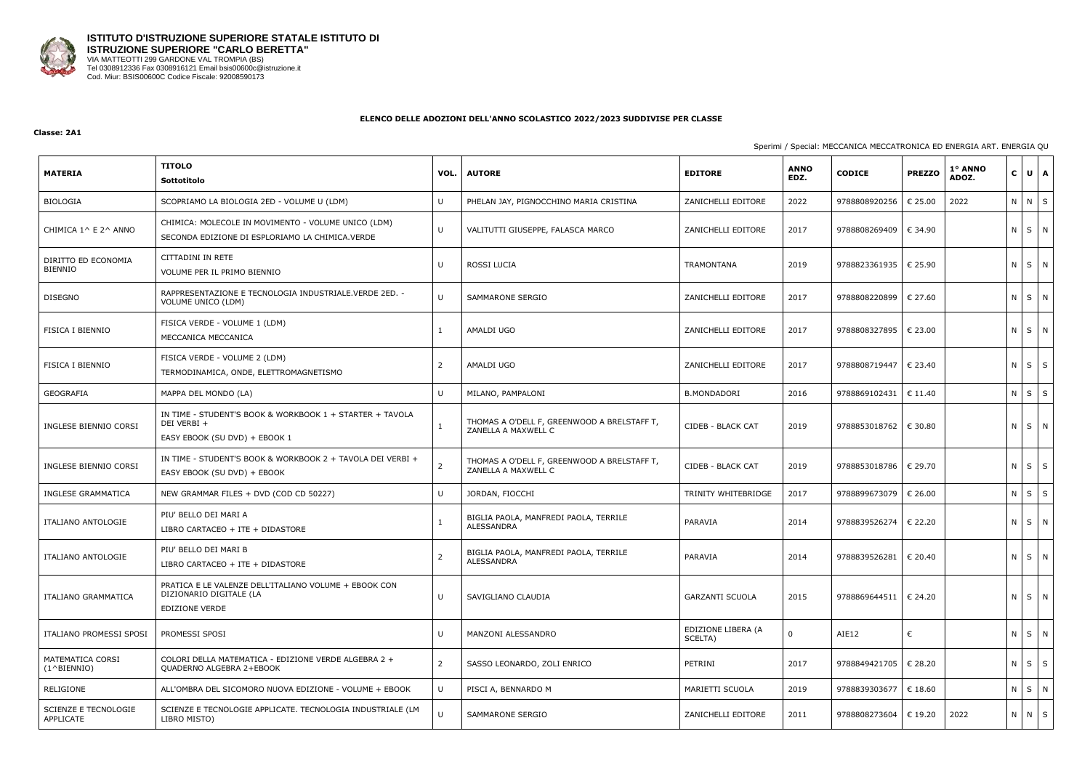

#### **Classe: 2A1**

## Sperimi / Special: MECCANICA MECCATRONICA ED ENERGIA ART. ENERGIA QU

| <b>MATERIA</b>                            | <b>TITOLO</b><br>Sottotitolo                                                                              | VOL.   | <b>AUTORE</b>                                                      | <b>EDITORE</b>                | <b>ANNO</b><br>EDZ. | <b>CODICE</b>           | <b>PREZZO</b>    | 1° ANNO<br>ADOZ. | $\mathbf{C}$ | $U$ $A$    |
|-------------------------------------------|-----------------------------------------------------------------------------------------------------------|--------|--------------------------------------------------------------------|-------------------------------|---------------------|-------------------------|------------------|------------------|--------------|------------|
| BIOLOGIA                                  | SCOPRIAMO LA BIOLOGIA 2ED - VOLUME U (LDM)                                                                | U      | PHELAN JAY, PIGNOCCHINO MARIA CRISTINA                             | ZANICHELLI EDITORE            | 2022                | 9788808920256           | € 25.00          | 2022             | ΝI           | $N \mid S$ |
| CHIMICA 1^ E 2^ ANNO                      | CHIMICA: MOLECOLE IN MOVIMENTO - VOLUME UNICO (LDM)<br>SECONDA EDIZIONE DI ESPLORIAMO LA CHIMICA.VERDE    | U      | VALITUTTI GIUSEPPE, FALASCA MARCO                                  | ZANICHELLI EDITORE            | 2017                | 9788808269409           | € 34.90          |                  | N S N        |            |
| DIRITTO ED ECONOMIA<br><b>BIENNIO</b>     | CITTADINI IN RETE<br>VOLUME PER IL PRIMO BIENNIO                                                          | IJ     | ROSSI LUCIA                                                        | <b>TRAMONTANA</b>             | 2019                | 9788823361935           | € 25.90          |                  | N S N        |            |
| <b>DISEGNO</b>                            | RAPPRESENTAZIONE E TECNOLOGIA INDUSTRIALE. VERDE 2ED. -<br>VOLUME UNICO (LDM)                             | $\cup$ | SAMMARONE SERGIO                                                   | ZANICHELLI EDITORE            | 2017                | 9788808220899           | € 27.60          |                  | N S N        |            |
| <b>FISICA I BIENNIO</b>                   | FISICA VERDE - VOLUME 1 (LDM)<br>MECCANICA MECCANICA                                                      |        | AMALDI UGO                                                         | ZANICHELLI EDITORE            | 2017                | 9788808327895           | € 23.00          |                  | N S N        |            |
| <b>FISICA I BIENNIO</b>                   | FISICA VERDE - VOLUME 2 (LDM)<br>TERMODINAMICA, ONDE, ELETTROMAGNETISMO                                   |        | AMALDI UGO                                                         | ZANICHELLI EDITORE            | 2017                | 9788808719447           | € 23.40          |                  | N            | $S \mid S$ |
| GEOGRAFIA                                 | MAPPA DEL MONDO (LA)                                                                                      | $\cup$ | MILANO, PAMPALONI                                                  | <b>B.MONDADORI</b>            | 2016                | 9788869102431           | $\epsilon$ 11.40 |                  | N.           | $S \mid S$ |
| INGLESE BIENNIO CORSI                     | IN TIME - STUDENT'S BOOK & WORKBOOK 1 + STARTER + TAVOLA<br>DEI VERBI +<br>EASY EBOOK (SU DVD) + EBOOK 1  |        | THOMAS A O'DELL F, GREENWOOD A BRELSTAFF T,<br>ZANELLA A MAXWELL C | CIDEB - BLACK CAT             | 2019                | 9788853018762           | € 30.80          |                  | ΝI           | $S$ N      |
| INGLESE BIENNIO CORSI                     | IN TIME - STUDENT'S BOOK & WORKBOOK 2 + TAVOLA DEI VERBI +<br>EASY EBOOK (SU DVD) + EBOOK                 |        | THOMAS A O'DELL F, GREENWOOD A BRELSTAFF T,<br>ZANELLA A MAXWELL C | CIDEB - BLACK CAT             | 2019                | 9788853018786           | € 29.70          |                  | $N$ $S$ $S$  |            |
| INGLESE GRAMMATICA                        | NEW GRAMMAR FILES + DVD (COD CD 50227)                                                                    | U      | JORDAN, FIOCCHI                                                    | TRINITY WHITEBRIDGE           | 2017                | 9788899673079           | € 26.00          |                  | ΝI           | $S \mid S$ |
| ITALIANO ANTOLOGIE                        | PIU' BELLO DEI MARI A<br>LIBRO CARTACEO + ITE + DIDASTORE                                                 |        | BIGLIA PAOLA, MANFREDI PAOLA, TERRILE<br>ALESSANDRA                | PARAVIA                       | 2014                | 9788839526274           | € 22.20          |                  | N S N        |            |
| ITALIANO ANTOLOGIE                        | PIU' BELLO DEI MARI B<br>LIBRO CARTACEO + ITE + DIDASTORE                                                 | 2      | BIGLIA PAOLA, MANFREDI PAOLA, TERRILE<br>ALESSANDRA                | PARAVIA                       | 2014                | 9788839526281   € 20.40 |                  |                  | N S N        |            |
| ITALIANO GRAMMATICA                       | PRATICA E LE VALENZE DELL'ITALIANO VOLUME + EBOOK CON<br>DIZIONARIO DIGITALE (LA<br><b>EDIZIONE VERDE</b> | U      | SAVIGLIANO CLAUDIA                                                 | <b>GARZANTI SCUOLA</b>        | 2015                | 9788869644511   € 24.20 |                  |                  | N S N        |            |
| ITALIANO PROMESSI SPOSI                   | PROMESSI SPOSI                                                                                            | U      | MANZONI ALESSANDRO                                                 | EDIZIONE LIBERA (A<br>SCELTA) | $\Omega$            | AIE12                   | €                |                  | N S N        |            |
| MATEMATICA CORSI<br>$(1^{\wedge}BIFNNIO)$ | COLORI DELLA MATEMATICA - EDIZIONE VERDE ALGEBRA 2 +<br>QUADERNO ALGEBRA 2+EBOOK                          | 2      | SASSO LEONARDO, ZOLI ENRICO                                        | PETRINI                       | 2017                | 9788849421705   € 28.20 |                  |                  | $N$ $S$ $S$  |            |
| RELIGIONE                                 | ALL'OMBRA DEL SICOMORO NUOVA EDIZIONE - VOLUME + EBOOK                                                    | U      | PISCI A, BENNARDO M                                                | MARIETTI SCUOLA               | 2019                | 9788839303677   € 18.60 |                  |                  | N S N        |            |
| SCIENZE E TECNOLOGIE<br>APPLICATE         | SCIENZE E TECNOLOGIE APPLICATE. TECNOLOGIA INDUSTRIALE (LM<br>LIBRO MISTO)                                | $\cup$ | SAMMARONE SERGIO                                                   | ZANICHELLI EDITORE            | 2011                | 9788808273604           | € 19.20          | 2022             | $N$ $N$ $S$  |            |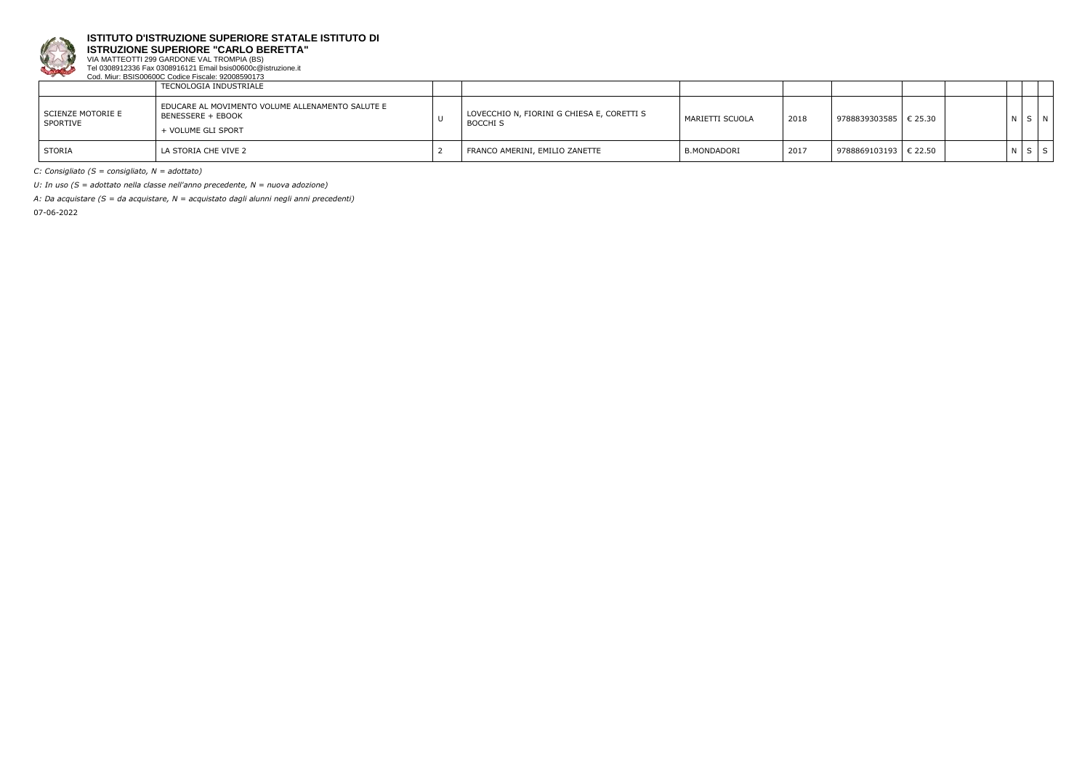

**ISTRUZIONE SUPERIORE "CARLO BERETTA"**

VIA MATTEOTTI 299 GARDONE VAL TROMPIA (BS) Tel 0308912336 Fax 0308916121 Email bsis00600c@istruzione.it Cod. Miur: BSIS00600C Codice Fiscale: 92008590173

|                               | TECNOLOGIA INDUSTRIALE                                                                      |                                                               |                 |      |                             |  |     |   |
|-------------------------------|---------------------------------------------------------------------------------------------|---------------------------------------------------------------|-----------------|------|-----------------------------|--|-----|---|
| SCIENZE MOTORIE E<br>SPORTIVE | EDUCARE AL MOVIMENTO VOLUME ALLENAMENTO SALUTE E<br>BENESSERE + EBOOK<br>+ VOLUME GLI SPORT | LOVECCHIO N, FIORINI G CHIESA E, CORETTI S<br><b>BOCCHI S</b> | MARIETTI SCUOLA | 2018 | 9788839303585   € 25.30     |  | N S | N |
| <b>STORIA</b>                 | LA STORIA CHE VIVE 2                                                                        | FRANCO AMERINI, EMILIO ZANETTE                                | B.MONDADORI     | 2017 | $9788869103193$ $\in$ 22.50 |  | N S | S |

*C: Consigliato (S = consigliato, N = adottato)*

*U: In uso (S = adottato nella classe nell'anno precedente, N = nuova adozione)*

*A: Da acquistare (S = da acquistare, N = acquistato dagli alunni negli anni precedenti)*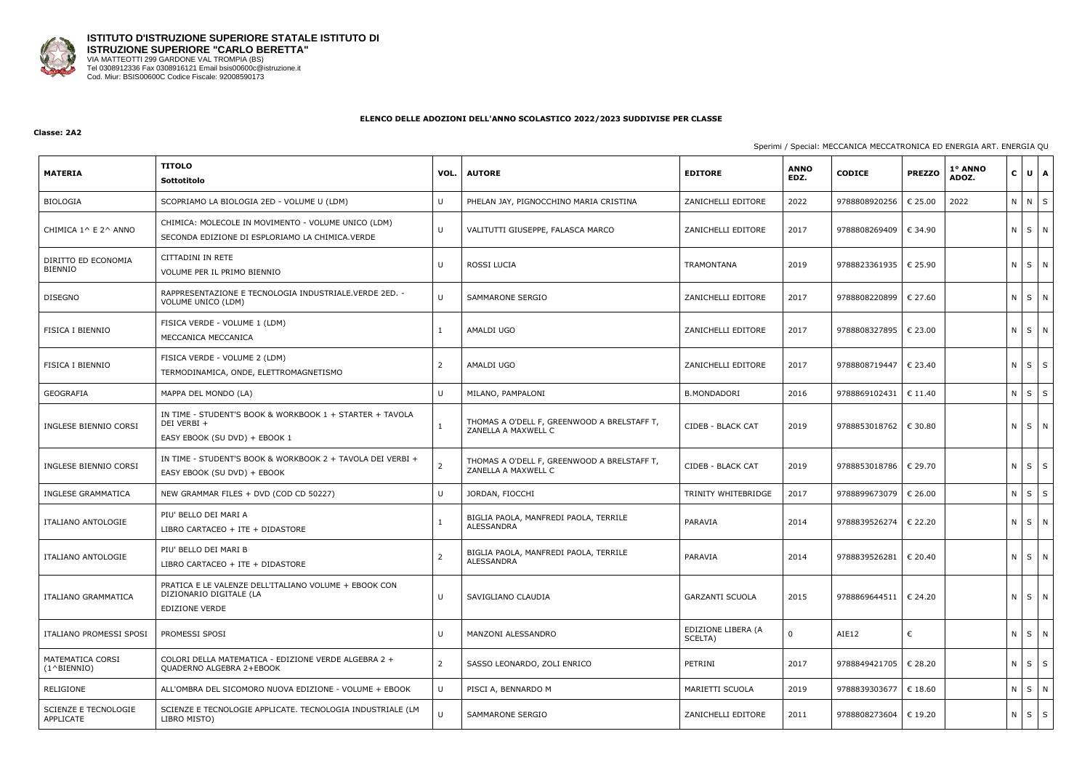

#### **Classe: 2A2**

## Sperimi / Special: MECCANICA MECCATRONICA ED ENERGIA ART. ENERGIA QU

| <b>MATERIA</b>                            | <b>TITOLO</b><br>Sottotitolo                                                                              | VOL.           | <b>AUTORE</b>                                                      | <b>EDITORE</b>                | <b>ANNO</b><br>EDZ. | <b>CODICE</b>           | <b>PREZZO</b>    | 1º ANNO<br>ADOZ. | $\mathbf{C}$ | $U$ $A$    |
|-------------------------------------------|-----------------------------------------------------------------------------------------------------------|----------------|--------------------------------------------------------------------|-------------------------------|---------------------|-------------------------|------------------|------------------|--------------|------------|
| BIOLOGIA                                  | SCOPRIAMO LA BIOLOGIA 2ED - VOLUME U (LDM)                                                                | $\mathbf{U}$   | PHELAN JAY, PIGNOCCHINO MARIA CRISTINA                             | ZANICHELLI EDITORE            | 2022                | 9788808920256           | € 25.00          | 2022             | N N S        |            |
| CHIMICA 1^ E 2^ ANNO                      | CHIMICA: MOLECOLE IN MOVIMENTO - VOLUME UNICO (LDM)<br>SECONDA EDIZIONE DI ESPLORIAMO LA CHIMICA.VERDE    | U              | VALITUTTI GIUSEPPE, FALASCA MARCO                                  | ZANICHELLI EDITORE            | 2017                | 9788808269409           | € 34.90          |                  | N S N        |            |
| DIRITTO ED ECONOMIA<br><b>BIENNIO</b>     | CITTADINI IN RETE<br>VOLUME PER IL PRIMO BIENNIO                                                          | U              | ROSSI LUCIA                                                        | TRAMONTANA                    | 2019                | 9788823361935           | € 25.90          |                  | N S N        |            |
| <b>DISEGNO</b>                            | RAPPRESENTAZIONE E TECNOLOGIA INDUSTRIALE.VERDE 2ED. -<br>VOLUME UNICO (LDM)                              | $\cup$         | SAMMARONE SERGIO                                                   | ZANICHELLI EDITORE            | 2017                | 9788808220899           | € 27.60          |                  | N S N        |            |
| <b>FISICA I BIENNIO</b>                   | FISICA VERDE - VOLUME 1 (LDM)<br>MECCANICA MECCANICA                                                      |                | AMALDI UGO                                                         | ZANICHELLI EDITORE            | 2017                | 9788808327895           | € 23.00          |                  | N S N        |            |
| <b>FISICA I BIENNIO</b>                   | FISICA VERDE - VOLUME 2 (LDM)<br>TERMODINAMICA, ONDE, ELETTROMAGNETISMO                                   |                | AMALDI UGO                                                         | ZANICHELLI EDITORE            | 2017                | 9788808719447           | € 23.40          |                  | N            | $S \mid S$ |
| GEOGRAFIA                                 | MAPPA DEL MONDO (LA)                                                                                      | $\mathbf{U}$   | MILANO, PAMPALONI                                                  | <b>B.MONDADORI</b>            | 2016                | 9788869102431           | € 11.40          |                  | N            | $S \mid S$ |
| INGLESE BIENNIO CORSI                     | IN TIME - STUDENT'S BOOK & WORKBOOK 1 + STARTER + TAVOLA<br>DEI VERBI +<br>EASY EBOOK (SU DVD) + EBOOK 1  |                | THOMAS A O'DELL F, GREENWOOD A BRELSTAFF T,<br>ZANELLA A MAXWELL C | CIDEB - BLACK CAT             | 2019                | 9788853018762   € 30.80 |                  |                  | ΝI           | SN         |
| INGLESE BIENNIO CORSI                     | IN TIME - STUDENT'S BOOK & WORKBOOK 2 + TAVOLA DEI VERBI +<br>EASY EBOOK (SU DVD) + EBOOK                 |                | THOMAS A O'DELL F, GREENWOOD A BRELSTAFF T,<br>ZANELLA A MAXWELL C | CIDEB - BLACK CAT             | 2019                | 9788853018786           | $\epsilon$ 29.70 |                  | $N$ $S$ $S$  |            |
| INGLESE GRAMMATICA                        | NEW GRAMMAR FILES + DVD (COD CD 50227)                                                                    | $\mathbf{U}$   | JORDAN, FIOCCHI                                                    | TRINITY WHITEBRIDGE           | 2017                | 9788899673079           | € 26.00          |                  | N I          | $S \mid S$ |
| ITALIANO ANTOLOGIE                        | PIU' BELLO DEI MARI A<br>LIBRO CARTACEO + ITE + DIDASTORE                                                 |                | BIGLIA PAOLA, MANFREDI PAOLA, TERRILE<br>ALESSANDRA                | PARAVIA                       | 2014                | 9788839526274           | € 22.20          |                  | N S N        |            |
| <b>ITALIANO ANTOLOGIE</b>                 | PIU' BELLO DEI MARI B<br>LIBRO CARTACEO + ITE + DIDASTORE                                                 |                | BIGLIA PAOLA, MANFREDI PAOLA, TERRILE<br>ALESSANDRA                | PARAVIA                       | 2014                | 9788839526281   € 20.40 |                  |                  | N S N        |            |
| ITALIANO GRAMMATICA                       | PRATICA E LE VALENZE DELL'ITALIANO VOLUME + EBOOK CON<br>DIZIONARIO DIGITALE (LA<br><b>EDIZIONE VERDE</b> | $\cup$         | SAVIGLIANO CLAUDIA                                                 | <b>GARZANTI SCUOLA</b>        | 2015                | 9788869644511   € 24.20 |                  |                  | N S N        |            |
| ITALIANO PROMESSI SPOSI                   | PROMESSI SPOSI                                                                                            | U              | MANZONI ALESSANDRO                                                 | EDIZIONE LIBERA (A<br>SCELTA) | $\Omega$            | AIE12                   | €                |                  | N S N        |            |
| MATEMATICA CORSI<br>$(1^{\wedge}BIFNNIO)$ | COLORI DELLA MATEMATICA - EDIZIONE VERDE ALGEBRA 2 +<br>QUADERNO ALGEBRA 2+EBOOK                          | $\overline{2}$ | SASSO LEONARDO, ZOLI ENRICO                                        | PETRINI                       | 2017                | 9788849421705   € 28.20 |                  |                  | $N$ $S$ $S$  |            |
| RELIGIONE                                 | ALL'OMBRA DEL SICOMORO NUOVA EDIZIONE - VOLUME + EBOOK                                                    | U              | PISCI A, BENNARDO M                                                | MARIETTI SCUOLA               | 2019                | 9788839303677   € 18.60 |                  |                  | N S N        |            |
| SCIENZE E TECNOLOGIE<br>APPLICATE         | SCIENZE E TECNOLOGIE APPLICATE. TECNOLOGIA INDUSTRIALE (LM<br>LIBRO MISTO)                                |                | SAMMARONE SERGIO                                                   | ZANICHELLI EDITORE            | 2011                | 9788808273604           | € 19.20          |                  | $N$ $S$ $S$  |            |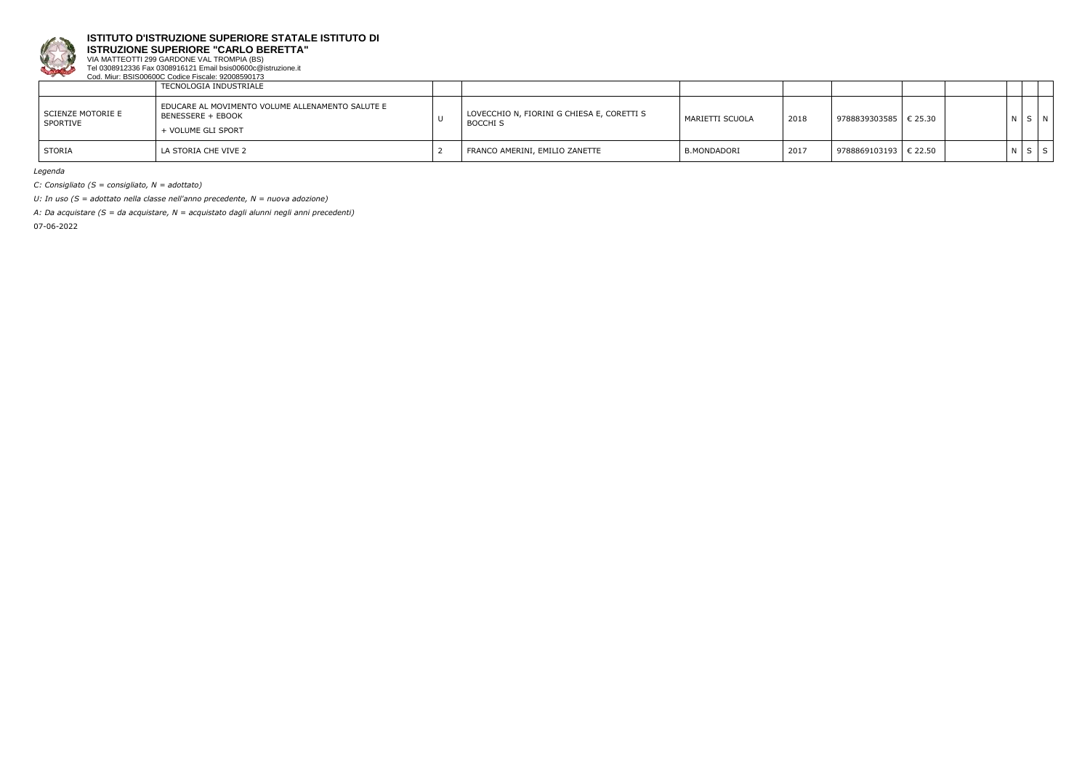

**ISTRUZIONE SUPERIORE "CARLO BERETTA"**

VIA MATTEOTTI 299 GARDONE VAL TROMPIA (BS) Tel 0308912336 Fax 0308916121 Email bsis00600c@istruzione.it Cod. Miur: BSIS00600C Codice Fiscale: 92008590173

|                               | TECNOLOGIA INDUSTRIALE                                                                      |                                                               |                 |      |                         |  |       |                |
|-------------------------------|---------------------------------------------------------------------------------------------|---------------------------------------------------------------|-----------------|------|-------------------------|--|-------|----------------|
| SCIENZE MOTORIE E<br>SPORTIVE | EDUCARE AL MOVIMENTO VOLUME ALLENAMENTO SALUTE E<br>BENESSERE + EBOOK<br>+ VOLUME GLI SPORT | LOVECCHIO N, FIORINI G CHIESA E, CORETTI S<br><b>BOCCHI S</b> | MARIETTI SCUOLA | 2018 | 9788839303585   € 25.30 |  | N S N |                |
| STORIA                        | l la storia che vive 2                                                                      | FRANCO AMERINI, EMILIO ZANETTE                                | B.MONDADORI     | 2017 | 9788869103193   € 22.50 |  | NSI   | S <sub>1</sub> |

*Legenda*

*C: Consigliato (S = consigliato, N = adottato)*

*U: In uso (S = adottato nella classe nell'anno precedente, N = nuova adozione)*

*A: Da acquistare (S = da acquistare, N = acquistato dagli alunni negli anni precedenti)*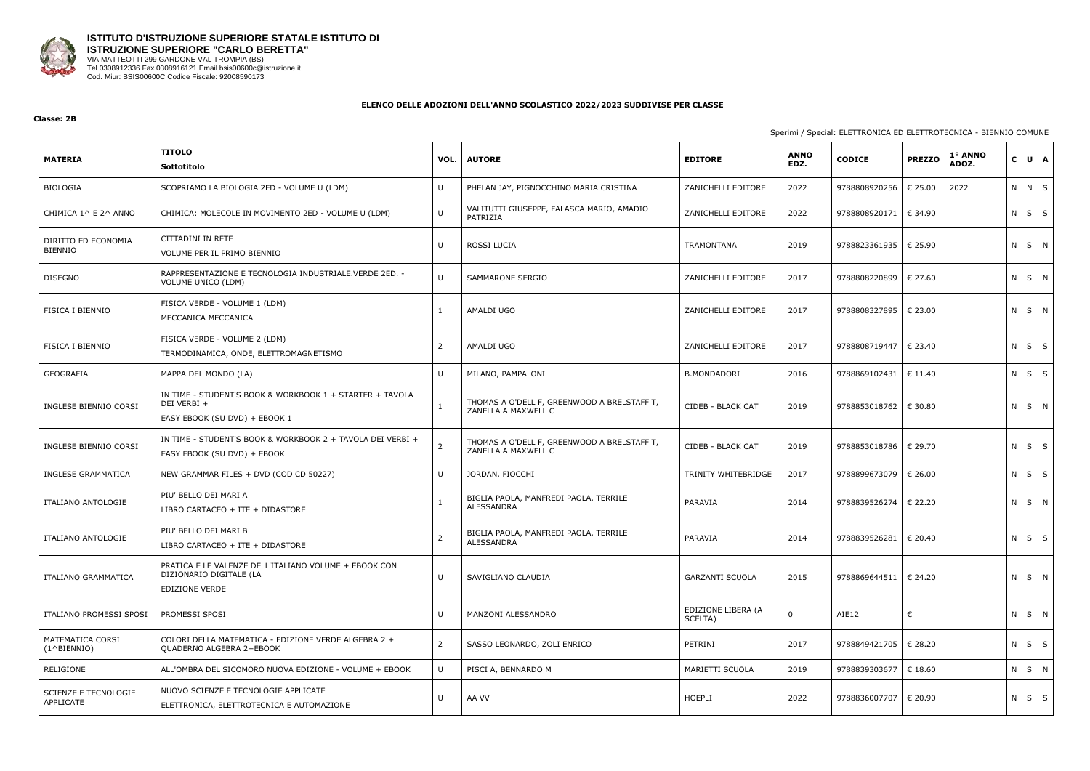

**Classe: 2B**

## Sperimi / Special: ELETTRONICA ED ELETTROTECNICA - BIENNIO COMUNE

| <b>MATERIA</b>                           | <b>TITOLO</b><br><b>Sottotitolo</b>                                                                      | VOL.         | <b>AUTORE</b>                                                      | <b>EDITORE</b>                | <b>ANNO</b><br>EDZ. | <b>CODICE</b>           | <b>PREZZO</b>    | 1º ANNO<br>ADOZ. | $\mathbf{C}$ | $U$ $A$    |
|------------------------------------------|----------------------------------------------------------------------------------------------------------|--------------|--------------------------------------------------------------------|-------------------------------|---------------------|-------------------------|------------------|------------------|--------------|------------|
| <b>BIOLOGIA</b>                          | SCOPRIAMO LA BIOLOGIA 2ED - VOLUME U (LDM)                                                               | U            | PHELAN JAY, PIGNOCCHINO MARIA CRISTINA                             | ZANICHELLI EDITORE            | 2022                | 9788808920256           | € 25.00          | 2022             | N N S        |            |
| CHIMICA 1^ E 2^ ANNO                     | CHIMICA: MOLECOLE IN MOVIMENTO 2ED - VOLUME U (LDM)                                                      | U            | VALITUTTI GIUSEPPE, FALASCA MARIO, AMADIO<br>PATRIZIA              | ZANICHELLI EDITORE            | 2022                | 9788808920171           | € 34.90          |                  | $N$ $S$ $S$  |            |
| DIRITTO ED ECONOMIA<br><b>BIENNIO</b>    | CITTADINI IN RETE<br>VOLUME PER IL PRIMO BIENNIO                                                         | -U           | ROSSI LUCIA                                                        | TRAMONTANA                    | 2019                | 9788823361935           | € 25.90          |                  | N S N        |            |
| <b>DISEGNO</b>                           | RAPPRESENTAZIONE E TECNOLOGIA INDUSTRIALE.VERDE 2ED. -<br>VOLUME UNICO (LDM)                             | $\cup$       | <b>SAMMARONE SERGIO</b>                                            | ZANICHELLI EDITORE            | 2017                | 9788808220899           | € 27.60          |                  | $N$ $S$ $N$  |            |
| FISICA I BIENNIO                         | FISICA VERDE - VOLUME 1 (LDM)<br>MECCANICA MECCANICA                                                     |              | AMALDI UGO                                                         | ZANICHELLI EDITORE            | 2017                | 9788808327895           | $\epsilon$ 23.00 |                  | N S N        |            |
| FISICA I BIENNIO                         | FISICA VERDE - VOLUME 2 (LDM)<br>TERMODINAMICA, ONDE, ELETTROMAGNETISMO                                  |              | AMALDI UGO                                                         | ZANICHELLI EDITORE            | 2017                | 9788808719447           | € 23.40          |                  | N            | $S \mid S$ |
| GEOGRAFIA                                | MAPPA DEL MONDO (LA)                                                                                     | $\mathsf{U}$ | MILANO, PAMPALONI                                                  | <b>B.MONDADORI</b>            | 2016                | 9788869102431           | € 11.40          |                  | ΝI           | $S \mid S$ |
| INGLESE BIENNIO CORSI                    | IN TIME - STUDENT'S BOOK & WORKBOOK 1 + STARTER + TAVOLA<br>DEI VERBI +<br>EASY EBOOK (SU DVD) + EBOOK 1 |              | THOMAS A O'DELL F, GREENWOOD A BRELSTAFF T,<br>ZANELLA A MAXWELL C | CIDEB - BLACK CAT             | 2019                | 9788853018762           | $\epsilon$ 30.80 |                  | N            | $S \mid N$ |
| INGLESE BIENNIO CORSI                    | IN TIME - STUDENT'S BOOK & WORKBOOK 2 + TAVOLA DEI VERBI +<br>EASY EBOOK (SU DVD) + EBOOK                |              | THOMAS A O'DELL F, GREENWOOD A BRELSTAFF T,<br>ZANELLA A MAXWELL C | CIDEB - BLACK CAT             | 2019                | 9788853018786           | $\in$ 29.70      |                  | $N$ $S$ $S$  |            |
| INGLESE GRAMMATICA                       | NEW GRAMMAR FILES + DVD (COD CD 50227)                                                                   | $\mathbf{U}$ | JORDAN, FIOCCHI                                                    | TRINITY WHITEBRIDGE           | 2017                | 9788899673079           | € 26.00          |                  | ΝI           | $S \mid S$ |
| <b>ITALIANO ANTOLOGIE</b>                | PIU' BELLO DEI MARI A<br>LIBRO CARTACEO + ITE + DIDASTORE                                                |              | BIGLIA PAOLA, MANFREDI PAOLA, TERRILE<br>ALESSANDRA                | PARAVIA                       | 2014                | 9788839526274           | € 22.20          |                  | N S N        |            |
| ITALIANO ANTOLOGIE                       | PIU' BELLO DEI MARI B<br>LIBRO CARTACEO + ITE + DIDASTORE                                                |              | BIGLIA PAOLA, MANFREDI PAOLA, TERRILE<br>ALESSANDRA                | PARAVIA                       | 2014                | 9788839526281           | € 20.40          |                  | N.           | $S \mid S$ |
| ITALIANO GRAMMATICA                      | PRATICA E LE VALENZE DELL'ITALIANO VOLUME + EBOOK CON<br>DIZIONARIO DIGITALE (LA<br>EDIZIONE VERDE       | U            | SAVIGLIANO CLAUDIA                                                 | <b>GARZANTI SCUOLA</b>        | 2015                | 9788869644511   € 24.20 |                  |                  | N S N        |            |
| ITALIANO PROMESSI SPOSI                  | PROMESSI SPOSI                                                                                           | $\cup$       | MANZONI ALESSANDRO                                                 | EDIZIONE LIBERA (A<br>SCELTA) | 0                   | AIE12                   | €                |                  | N S N        |            |
| MATEMATICA CORSI<br>$(1^{\wedge}BIENTO)$ | COLORI DELLA MATEMATICA - EDIZIONE VERDE ALGEBRA 2 +<br>QUADERNO ALGEBRA 2+EBOOK                         |              | SASSO LEONARDO, ZOLI ENRICO                                        | PETRINI                       | 2017                | 9788849421705           | $\epsilon$ 28.20 |                  | $N$ $S$ $S$  |            |
| RELIGIONE                                | ALL'OMBRA DEL SICOMORO NUOVA EDIZIONE - VOLUME + EBOOK                                                   | -11          | PISCI A, BENNARDO M                                                | MARIETTI SCUOLA               | 2019                | 9788839303677           | $\epsilon$ 18.60 |                  | $N$ $S$ $N$  |            |
| <b>SCIENZE E TECNOLOGIE</b><br>APPLICATE | NUOVO SCIENZE E TECNOLOGIE APPLICATE<br>ELETTRONICA, ELETTROTECNICA E AUTOMAZIONE                        | U            | AA VV                                                              | <b>HOEPLI</b>                 | 2022                | 9788836007707           | $\epsilon$ 20.90 |                  | N            | $S \mid S$ |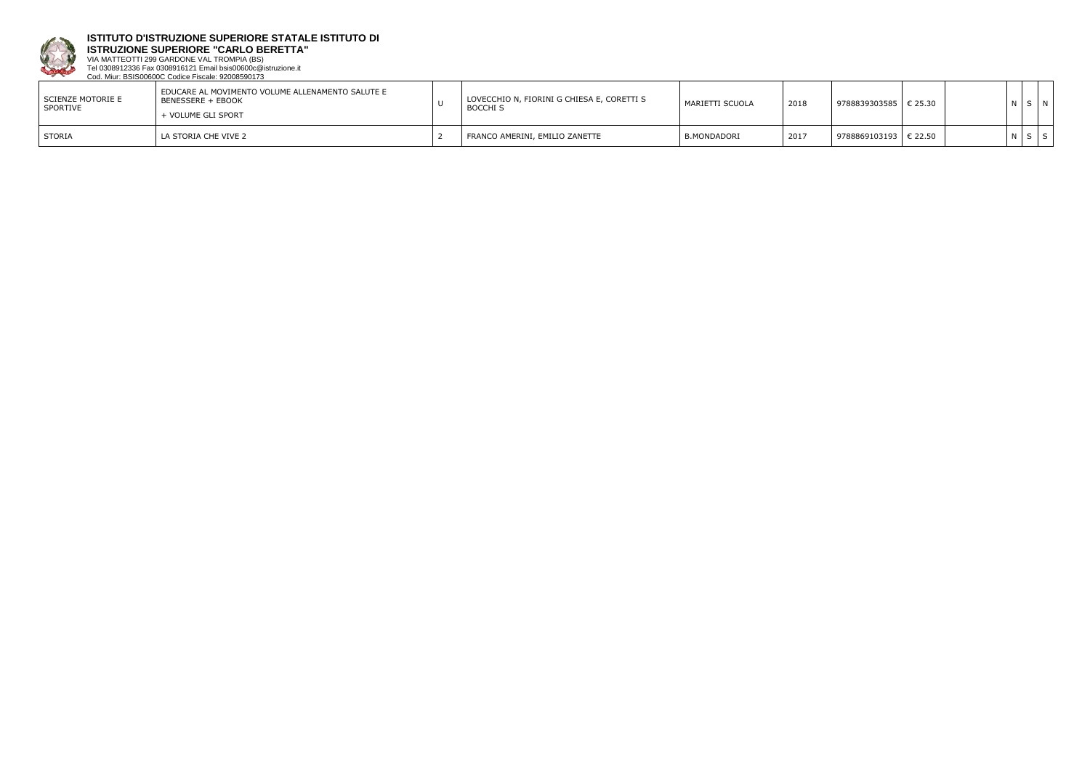

**ISTRUZIONE SUPERIORE "CARLO BERETTA"**

VIA MATTEOTTI 299 GARDONE VAL TROMPIA (BS) Tel 0308912336 Fax 0308916121 Email bsis00600c@istruzione.it Cod. Miur: BSIS00600C Codice Fiscale: 92008590173

| SCIENZE MOTORIE E<br>SPORTIVE | EDUCARE AL MOVIMENTO VOLUME ALLENAMENTO SALUTE E<br>l BENESSERE + EBOOK<br>+ VOLUME GLI SPORT | LOVECCHIO N, FIORINI G CHIESA E, CORETTI S<br><b>BOCCHI S</b> | MARIETTI SCUOLA    | 2018 | 9788839303585   € 25.30 |  | SIN |
|-------------------------------|-----------------------------------------------------------------------------------------------|---------------------------------------------------------------|--------------------|------|-------------------------|--|-----|
| STORIA                        | LA STORIA CHE VIVE 2                                                                          | FRANCO AMERINI, EMILIO ZANETTE                                | <b>B.MONDADORI</b> | 2017 | 9788869103193   € 22.50 |  |     |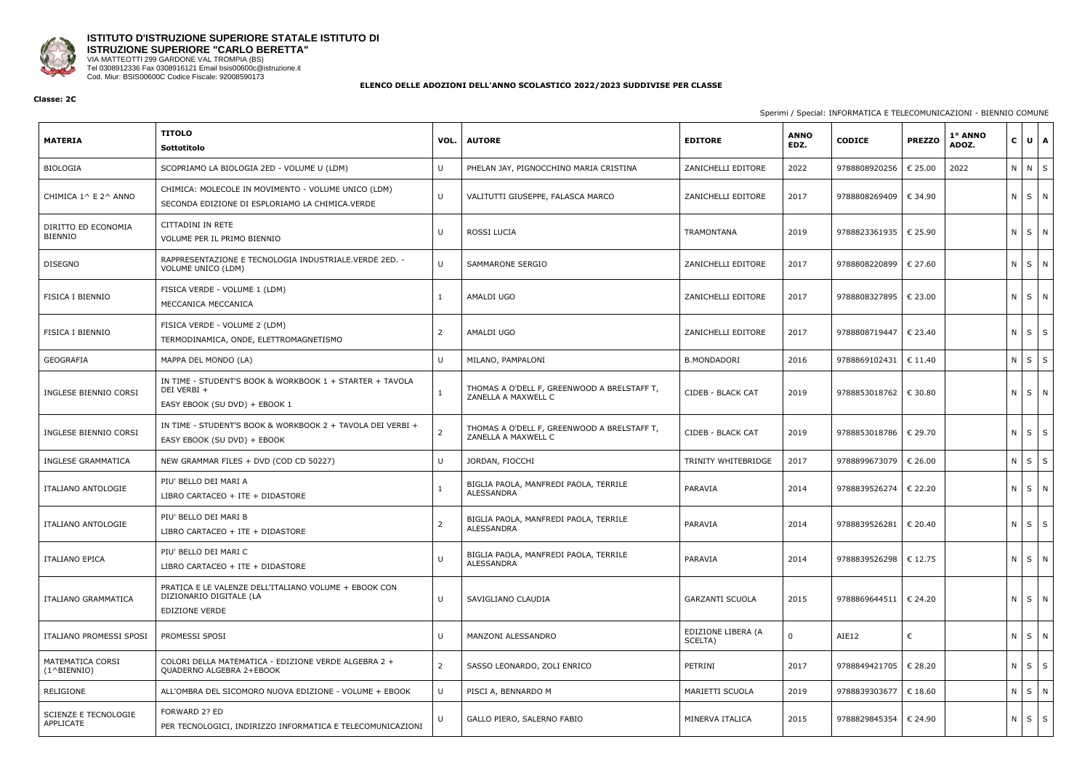

## **ISTITUTO D'ISTRUZIONE SUPERIORE STATALE ISTITUTO DI ISTRUZIONE SUPERIORE "CARLO BERETTA"** VIA MATTEOTTI 299 GARDONE VAL TROMPIA (BS)

Tel 0308912336 Fax 0308916121 Email bsis00600c@istruzione.it Cod. Miur: BSIS00600C Codice Fiscale: 92008590173

#### **ELENCO DELLE ADOZIONI DELL'ANNO SCOLASTICO 2022/2023 SUDDIVISE PER CLASSE**

#### **Classe: 2C**

#### Sperimi / Special: INFORMATICA E TELECOMUNICAZIONI - BIENNIO COMUNE

| <b>MATERIA</b>                           | <b>TITOLO</b><br>Sottotitolo                                                                             | VOL.   | <b>AUTORE</b>                                                      | <b>EDITORE</b>                | <b>ANNO</b><br>EDZ. | <b>CODICE</b>           | <b>PREZZO</b>    | 1° ANNO<br>ADOZ. | $\mathbf{C}$      | $U$ $A$    |
|------------------------------------------|----------------------------------------------------------------------------------------------------------|--------|--------------------------------------------------------------------|-------------------------------|---------------------|-------------------------|------------------|------------------|-------------------|------------|
| BIOLOGIA                                 | SCOPRIAMO LA BIOLOGIA 2ED - VOLUME U (LDM)                                                               | U      | PHELAN JAY, PIGNOCCHINO MARIA CRISTINA                             | ZANICHELLI EDITORE            | 2022                | 9788808920256           | € 25.00          | 2022             | $N$ $N$ $S$       |            |
| CHIMICA 1^ E 2^ ANNO                     | CHIMICA: MOLECOLE IN MOVIMENTO - VOLUME UNICO (LDM)<br>SECONDA EDIZIONE DI ESPLORIAMO LA CHIMICA.VERDE   | U      | VALITUTTI GIUSEPPE, FALASCA MARCO                                  | ZANICHELLI EDITORE            | 2017                | 9788808269409           | € 34.90          |                  | N S N             |            |
| DIRITTO ED ECONOMIA<br><b>BIENNIO</b>    | CITTADINI IN RETE<br>VOLUME PER IL PRIMO BIENNIO                                                         | -U     | ROSSI LUCIA                                                        | <b>TRAMONTANA</b>             | 2019                | 9788823361935           | $\in$ 25.90      |                  | ΝI                | $S$ N      |
| <b>DISEGNO</b>                           | RAPPRESENTAZIONE E TECNOLOGIA INDUSTRIALE.VERDE 2ED. -<br>VOLUME UNICO (LDM)                             | $\cup$ | SAMMARONE SERGIO                                                   | ZANICHELLI EDITORE            | 2017                | 9788808220899           | € 27.60          |                  | N S N             |            |
| <b>FISICA I BIENNIO</b>                  | FISICA VERDE - VOLUME 1 (LDM)<br>MECCANICA MECCANICA                                                     |        | AMALDI UGO                                                         | ZANICHELLI EDITORE            | 2017                | 9788808327895           | $\in$ 23.00      |                  | N S N             |            |
| FISICA I BIENNIO                         | FISICA VERDE - VOLUME 2 (LDM)<br>TERMODINAMICA, ONDE, ELETTROMAGNETISMO                                  |        | AMALDI UGO                                                         | ZANICHELLI EDITORE            | 2017                | 9788808719447           | € 23.40          |                  | $N$ $S$ $S$       |            |
| GEOGRAFIA                                | MAPPA DEL MONDO (LA)                                                                                     | -U     | MILANO, PAMPALONI                                                  | <b>B.MONDADORI</b>            | 2016                | 9788869102431           | $\epsilon$ 11.40 |                  | $N$ $S$ $S$       |            |
| INGLESE BIENNIO CORSI                    | IN TIME - STUDENT'S BOOK & WORKBOOK 1 + STARTER + TAVOLA<br>DEI VERBI +<br>EASY EBOOK (SU DVD) + EBOOK 1 |        | THOMAS A O'DELL F, GREENWOOD A BRELSTAFF T,<br>ZANELLA A MAXWELL C | CIDEB - BLACK CAT             | 2019                | 9788853018762           | $\in$ 30.80      |                  | N S N             |            |
| INGLESE BIENNIO CORSI                    | IN TIME - STUDENT'S BOOK & WORKBOOK 2 + TAVOLA DEI VERBI +<br>EASY EBOOK (SU DVD) + EBOOK                | -2     | THOMAS A O'DELL F, GREENWOOD A BRELSTAFF T,<br>ZANELLA A MAXWELL C | CIDEB - BLACK CAT             | 2019                | 9788853018786           | € 29.70          |                  | $N \mid S \mid S$ |            |
| INGLESE GRAMMATICA                       | NEW GRAMMAR FILES + DVD (COD CD 50227)                                                                   | U      | JORDAN, FIOCCHI                                                    | TRINITY WHITEBRIDGE           | 2017                | 9788899673079           | € 26.00          |                  | $N$ $S$ $S$       |            |
| ITALIANO ANTOLOGIE                       | PIU' BELLO DEI MARI A<br>LIBRO CARTACEO + ITE + DIDASTORE                                                |        | BIGLIA PAOLA, MANFREDI PAOLA, TERRILE<br>ALESSANDRA                | PARAVIA                       | 2014                | 9788839526274           | € 22.20          |                  | N S N             |            |
| ITALIANO ANTOLOGIE                       | PIU' BELLO DEI MARI B<br>LIBRO CARTACEO + ITE + DIDASTORE                                                |        | BIGLIA PAOLA, MANFREDI PAOLA, TERRILE<br>ALESSANDRA                | PARAVIA                       | 2014                | 9788839526281   € 20.40 |                  |                  | N                 | $S \mid S$ |
| <b>ITALIANO EPICA</b>                    | PIU' BELLO DEI MARI C<br>LIBRO CARTACEO + ITE + DIDASTORE                                                | -U     | BIGLIA PAOLA, MANFREDI PAOLA, TERRILE<br>ALESSANDRA                | PARAVIA                       | 2014                | 9788839526298           | € 12.75          |                  | N S N             |            |
| ITALIANO GRAMMATICA                      | PRATICA E LE VALENZE DELL'ITALIANO VOLUME + EBOOK CON<br>DIZIONARIO DIGITALE (LA<br>EDIZIONE VERDE       | U      | SAVIGLIANO CLAUDIA                                                 | <b>GARZANTI SCUOLA</b>        | 2015                | 9788869644511           | $\in$ 24.20      |                  | N S N             |            |
| ITALIANO PROMESSI SPOSI                  | PROMESSI SPOSI                                                                                           | U      | MANZONI ALESSANDRO                                                 | EDIZIONE LIBERA (A<br>SCELTA) | $\mathbf 0$         | AIE12                   | €                |                  | N S N             |            |
| MATEMATICA CORSI<br>$(1^{\wedge}BIENTO)$ | COLORI DELLA MATEMATICA - EDIZIONE VERDE ALGEBRA 2 +<br>QUADERNO ALGEBRA 2+EBOOK                         | 2      | SASSO LEONARDO, ZOLI ENRICO                                        | PETRINI                       | 2017                | 9788849421705           | € 28.20          |                  | $N$ $S$ $S$       |            |
| RELIGIONE                                | ALL'OMBRA DEL SICOMORO NUOVA EDIZIONE - VOLUME + EBOOK                                                   | U      | PISCI A, BENNARDO M                                                | MARIETTI SCUOLA               | 2019                | 9788839303677           | € 18.60          |                  | $N$ $S$ $N$       |            |
| SCIENZE E TECNOLOGIE<br>APPLICATE        | FORWARD 2? ED<br>PER TECNOLOGICI, INDIRIZZO INFORMATICA E TELECOMUNICAZIONI                              | U      | GALLO PIERO, SALERNO FABIO                                         | MINERVA ITALICA               | 2015                | 9788829845354           | € 24.90          |                  | $N$ $S$ $S$       |            |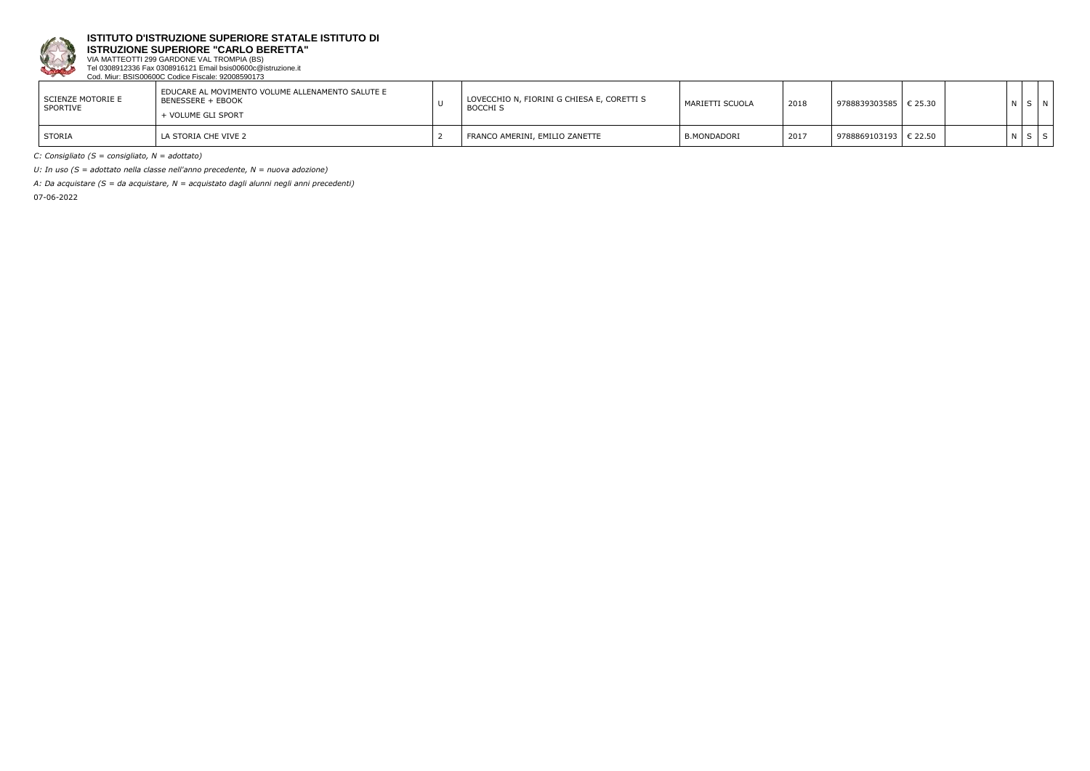

**ISTRUZIONE SUPERIORE "CARLO BERETTA"**

VIA MATTEOTTI 299 GARDONE VAL TROMPIA (BS) Tel 0308912336 Fax 0308916121 Email bsis00600c@istruzione.it Cod. Miur: BSIS00600C Codice Fiscale: 92008590173

| l SCIENZE MOTORIE E<br>SPORTIVE | I EDUCARE AL MOVIMENTO VOLUME ALLENAMENTO SALUTE E<br>BENESSERE + EBOOK<br>+ VOLUME GLI SPORT | LOVECCHIO N, FIORINI G CHIESA E, CORETTI S<br><b>BOCCHI S</b> | MARIETTI SCUOLA | 2018 | € 25.30<br>  9788839303585 |  |  |
|---------------------------------|-----------------------------------------------------------------------------------------------|---------------------------------------------------------------|-----------------|------|----------------------------|--|--|
| <b>STORIA</b>                   | LA STORIA CHE VIVE 2                                                                          | FRANCO AMERINI, EMILIO ZANETTE                                | B.MONDADORI     | 2017 | € 22.50<br>  9788869103193 |  |  |

*C: Consigliato (S = consigliato, N = adottato)*

*U: In uso (S = adottato nella classe nell'anno precedente, N = nuova adozione)*

*A: Da acquistare (S = da acquistare, N = acquistato dagli alunni negli anni precedenti)*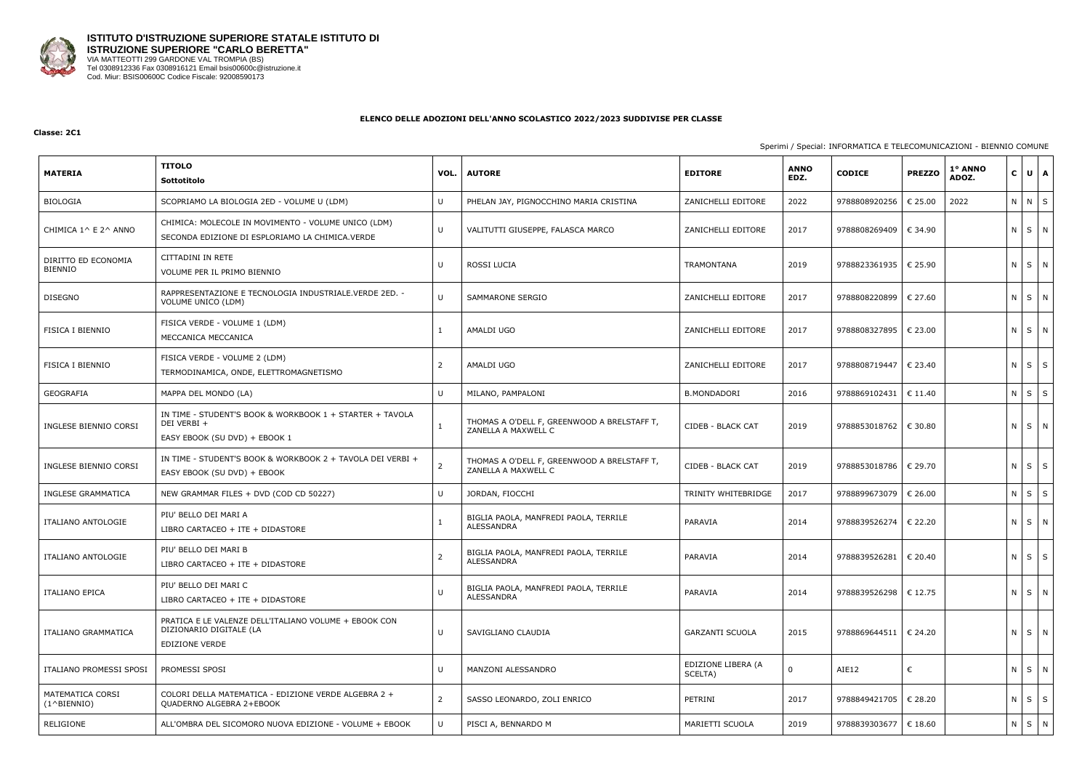

#### **Classe: 2C1**

## Sperimi / Special: INFORMATICA E TELECOMUNICAZIONI - BIENNIO COMUNE

|                                           | <b>TITOLO</b>                                                                                             |                |                                                                    |                               | <b>ANNO</b> |                         | <b>PREZZO</b> | 1° ANNO |              |                   | $U$ $A$ |
|-------------------------------------------|-----------------------------------------------------------------------------------------------------------|----------------|--------------------------------------------------------------------|-------------------------------|-------------|-------------------------|---------------|---------|--------------|-------------------|---------|
| <b>MATERIA</b>                            | Sottotitolo                                                                                               | VOL.           | <b>AUTORE</b>                                                      | <b>EDITORE</b>                | EDZ.        | <b>CODICE</b>           |               | ADOZ.   | $\mathbf{C}$ |                   |         |
| BIOLOGIA                                  | SCOPRIAMO LA BIOLOGIA 2ED - VOLUME U (LDM)                                                                | -U             | PHELAN JAY, PIGNOCCHINO MARIA CRISTINA                             | ZANICHELLI EDITORE            | 2022        | 9788808920256           | € 25.00       | 2022    |              | N N S             |         |
| CHIMICA 1^ E 2^ ANNO                      | CHIMICA: MOLECOLE IN MOVIMENTO - VOLUME UNICO (LDM)<br>SECONDA EDIZIONE DI ESPLORIAMO LA CHIMICA.VERDE    | U              | VALITUTTI GIUSEPPE, FALASCA MARCO                                  | ZANICHELLI EDITORE            | 2017        | 9788808269409           | € 34.90       |         |              | N S N             |         |
| DIRITTO ED ECONOMIA<br><b>BIENNIO</b>     | CITTADINI IN RETE<br>VOLUME PER IL PRIMO BIENNIO                                                          | IJ             | ROSSI LUCIA                                                        | TRAMONTANA                    | 2019        | 9788823361935   € 25.90 |               |         |              | $N$ $S$ $N$       |         |
| <b>DISEGNO</b>                            | RAPPRESENTAZIONE E TECNOLOGIA INDUSTRIALE. VERDE 2ED. -<br>VOLUME UNICO (LDM)                             | $\cup$         | SAMMARONE SERGIO                                                   | ZANICHELLI EDITORE            | 2017        | 9788808220899           | € 27.60       |         |              | N S N             |         |
| <b>FISICA I BIENNIO</b>                   | FISICA VERDE - VOLUME 1 (LDM)<br>MECCANICA MECCANICA                                                      |                | AMALDI UGO                                                         | ZANICHELLI EDITORE            | 2017        | 9788808327895           | € 23.00       |         |              | N S N             |         |
| <b>FISICA I BIENNIO</b>                   | FISICA VERDE - VOLUME 2 (LDM)<br>TERMODINAMICA, ONDE, ELETTROMAGNETISMO                                   |                | AMALDI UGO                                                         | ZANICHELLI EDITORE            | 2017        | 9788808719447           | € 23.40       |         |              | $N \mid S \mid S$ |         |
| GEOGRAFIA                                 | MAPPA DEL MONDO (LA)                                                                                      | $\mathsf{U}$   | MILANO, PAMPALONI                                                  | <b>B.MONDADORI</b>            | 2016        | 9788869102431           | € 11.40       |         |              | N S S             |         |
| INGLESE BIENNIO CORSI                     | IN TIME - STUDENT'S BOOK & WORKBOOK 1 + STARTER + TAVOLA<br>DEI VERBI +<br>EASY EBOOK (SU DVD) + EBOOK 1  |                | THOMAS A O'DELL F, GREENWOOD A BRELSTAFF T,<br>ZANELLA A MAXWELL C | CIDEB - BLACK CAT             | 2019        | 9788853018762   € 30.80 |               |         |              | $N$ $S$ $N$       |         |
| INGLESE BIENNIO CORSI                     | IN TIME - STUDENT'S BOOK & WORKBOOK 2 + TAVOLA DEI VERBI +<br>EASY EBOOK (SU DVD) + EBOOK                 | 2              | THOMAS A O'DELL F, GREENWOOD A BRELSTAFF T,<br>ZANELLA A MAXWELL C | CIDEB - BLACK CAT             | 2019        | 9788853018786   € 29.70 |               |         |              | $N$ $S$ $S$       |         |
| INGLESE GRAMMATICA                        | NEW GRAMMAR FILES + DVD (COD CD 50227)                                                                    | $\cup$         | JORDAN, FIOCCHI                                                    | TRINITY WHITEBRIDGE           | 2017        | 9788899673079           | € 26.00       |         |              | $N$ $S$ $S$       |         |
| ITALIANO ANTOLOGIE                        | PIU' BELLO DEI MARI A<br>LIBRO CARTACEO + ITE + DIDASTORE                                                 |                | BIGLIA PAOLA, MANFREDI PAOLA, TERRILE<br>ALESSANDRA                | PARAVIA                       | 2014        | 9788839526274           | € 22.20       |         |              | N S N             |         |
| ITALIANO ANTOLOGIE                        | PIU' BELLO DEI MARI B<br>LIBRO CARTACEO + ITE + DIDASTORE                                                 |                | BIGLIA PAOLA, MANFREDI PAOLA, TERRILE<br>ALESSANDRA                | PARAVIA                       | 2014        | 9788839526281   € 20.40 |               |         |              | $N \mid S \mid S$ |         |
| <b>ITALIANO EPICA</b>                     | PIU' BELLO DEI MARI C<br>LIBRO CARTACEO + ITE + DIDASTORE                                                 | IJ             | BIGLIA PAOLA, MANFREDI PAOLA, TERRILE<br>ALESSANDRA                | PARAVIA                       | 2014        | 9788839526298   € 12.75 |               |         |              | N S N             |         |
| ITALIANO GRAMMATICA                       | PRATICA E LE VALENZE DELL'ITALIANO VOLUME + EBOOK CON<br>DIZIONARIO DIGITALE (LA<br><b>EDIZIONE VERDE</b> | $\cup$         | SAVIGLIANO CLAUDIA                                                 | <b>GARZANTI SCUOLA</b>        | 2015        | 9788869644511           | € 24.20       |         |              | N S N             |         |
| ITALIANO PROMESSI SPOSI                   | PROMESSI SPOSI                                                                                            | $\mathsf{U}$   | MANZONI ALESSANDRO                                                 | EDIZIONE LIBERA (A<br>SCELTA) |             | AIE12                   | €             |         |              | N S N             |         |
| MATEMATICA CORSI<br>$(1^{\wedge}BIFNNIO)$ | COLORI DELLA MATEMATICA - EDIZIONE VERDE ALGEBRA 2 +<br>QUADERNO ALGEBRA 2+EBOOK                          | $\overline{2}$ | SASSO LEONARDO, ZOLI ENRICO                                        | PETRINI                       | 2017        | 9788849421705   € 28.20 |               |         |              | $N$ $S$ $S$       |         |
| RELIGIONE                                 | ALL'OMBRA DEL SICOMORO NUOVA EDIZIONE - VOLUME + EBOOK                                                    | $\cup$         | PISCI A, BENNARDO M                                                | MARIETTI SCUOLA               | 2019        | 9788839303677   € 18.60 |               |         |              | N S N             |         |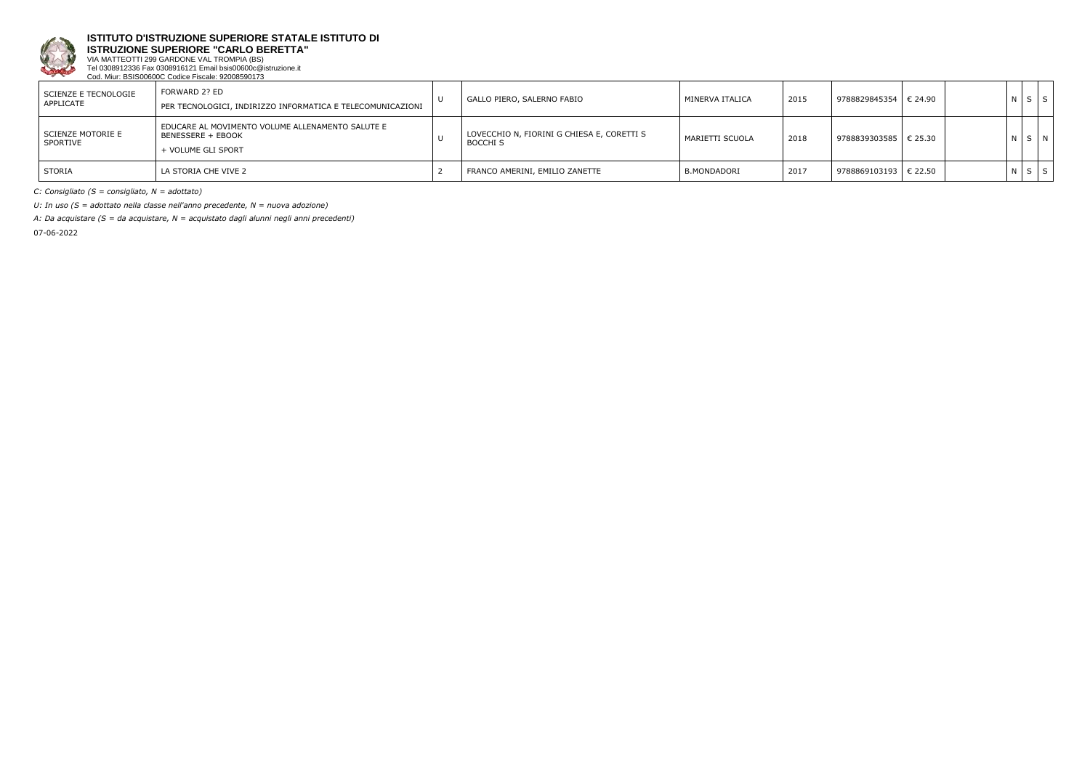

**ISTRUZIONE SUPERIORE "CARLO BERETTA"** VIA MATTEOTTI 299 GARDONE VAL TROMPIA (BS)

Tel 0308912336 Fax 0308916121 Email bsis00600c@istruzione.it Cod. Miur: BSIS00600C Codice Fiscale: 92008590173

| SCIENZE E TECNOLOGIE<br>APPLICATE | FORWARD 2? ED<br>PER TECNOLOGICI, INDIRIZZO INFORMATICA E TELECOMUNICAZIONI                 | GALLO PIERO, SALERNO FABIO                                    | MINERVA ITALICA | 2015 | 9788829845354   € 24.90 |  | NSI         | S |
|-----------------------------------|---------------------------------------------------------------------------------------------|---------------------------------------------------------------|-----------------|------|-------------------------|--|-------------|---|
| SCIENZE MOTORIE E<br>SPORTIVE     | EDUCARE AL MOVIMENTO VOLUME ALLENAMENTO SALUTE E<br>BENESSERE + EBOOK<br>+ VOLUME GLI SPORT | LOVECCHIO N, FIORINI G CHIESA E, CORETTI S<br><b>BOCCHI S</b> | MARIETTI SCUOLA | 2018 | 9788839303585   € 25.30 |  | N S N       |   |
| <b>STORIA</b>                     | l la storia che vive 2                                                                      | FRANCO AMERINI, EMILIO ZANETTE                                | B.MONDADORI     | 2017 | 9788869103193   € 22.50 |  | $N$ $S$ $S$ |   |

*C: Consigliato (S = consigliato, N = adottato)*

*U: In uso (S = adottato nella classe nell'anno precedente, N = nuova adozione)*

*A: Da acquistare (S = da acquistare, N = acquistato dagli alunni negli anni precedenti)*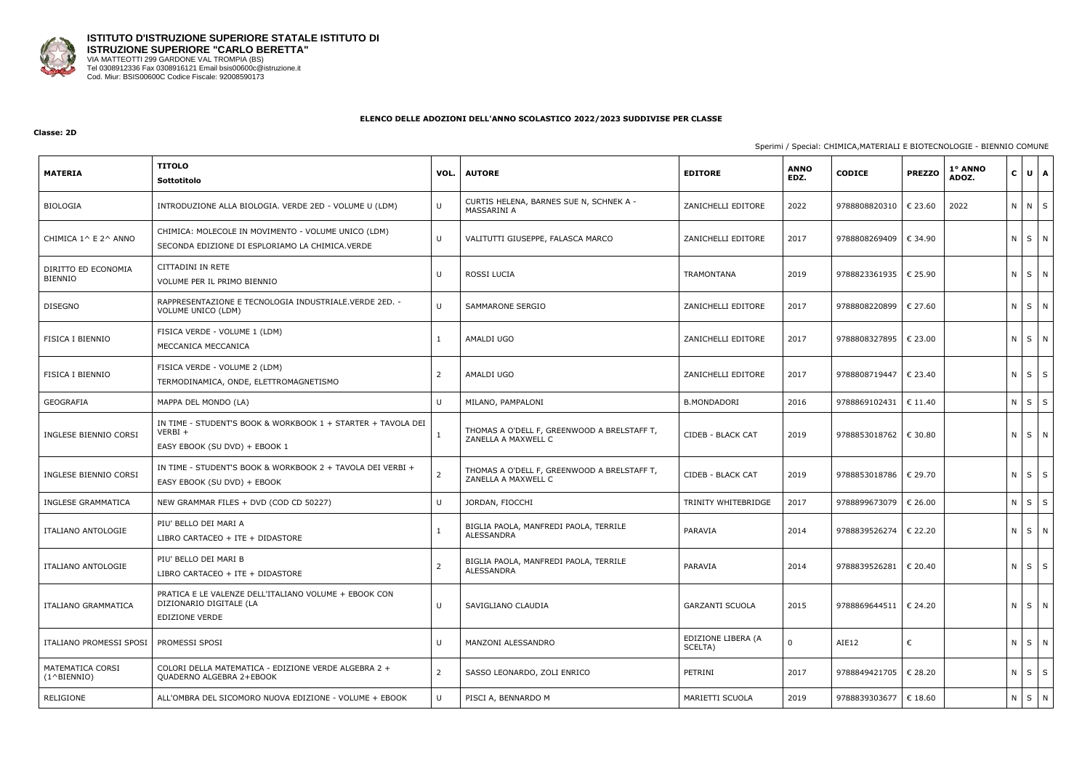

#### **Classe: 2D**

## Sperimi / Special: CHIMICA,MATERIALI E BIOTECNOLOGIE - BIENNIO COMUNE

| <b>MATERIA</b>                            | <b>TITOLO</b><br>Sottotitolo                                                                               | VOL.         | <b>AUTORE</b>                                                      | <b>EDITORE</b>                | <b>ANNO</b><br>EDZ. | <b>CODICE</b>           | <b>PREZZO</b> | 1° ANNO<br>ADOZ. | $\mathbf{C}$ | $U$ $A$           |
|-------------------------------------------|------------------------------------------------------------------------------------------------------------|--------------|--------------------------------------------------------------------|-------------------------------|---------------------|-------------------------|---------------|------------------|--------------|-------------------|
| BIOLOGIA                                  | INTRODUZIONE ALLA BIOLOGIA. VERDE 2ED - VOLUME U (LDM)                                                     | $\cup$       | CURTIS HELENA, BARNES SUE N, SCHNEK A -<br>MASSARINI A             | ZANICHELLI EDITORE            | 2022                | 9788808820310           | € 23.60       | 2022             |              | N N S             |
| CHIMICA 1^ E 2^ ANNO                      | CHIMICA: MOLECOLE IN MOVIMENTO - VOLUME UNICO (LDM)<br>SECONDA EDIZIONE DI ESPLORIAMO LA CHIMICA.VERDE     | U            | VALITUTTI GIUSEPPE, FALASCA MARCO                                  | ZANICHELLI EDITORE            | 2017                | 9788808269409           | € 34.90       |                  |              | N S N             |
| DIRITTO ED ECONOMIA<br>BIENNIO            | CITTADINI IN RETE<br>VOLUME PER IL PRIMO BIENNIO                                                           | U            | ROSSI LUCIA                                                        | <b>TRAMONTANA</b>             | 2019                | 9788823361935   € 25.90 |               |                  |              | N S N             |
| <b>DISEGNO</b>                            | RAPPRESENTAZIONE E TECNOLOGIA INDUSTRIALE.VERDE 2ED. -<br>VOLUME UNICO (LDM)                               | $\mathbf{U}$ | <b>SAMMARONE SERGIO</b>                                            | ZANICHELLI EDITORE            | 2017                | 9788808220899   € 27.60 |               |                  |              | N S N             |
| FISICA I BIENNIO                          | FISICA VERDE - VOLUME 1 (LDM)<br>MECCANICA MECCANICA                                                       | $\mathbf{1}$ | AMALDI UGO                                                         | ZANICHELLI EDITORE            | 2017                | 9788808327895   € 23.00 |               |                  |              | N S N             |
| <b>FISICA I BIENNIO</b>                   | FISICA VERDE - VOLUME 2 (LDM)<br>TERMODINAMICA, ONDE, ELETTROMAGNETISMO                                    | 2            | AMALDI UGO                                                         | ZANICHELLI EDITORE            | 2017                | 9788808719447           | € 23.40       |                  |              | $N$ $S$ $S$       |
| GEOGRAFIA                                 | MAPPA DEL MONDO (LA)                                                                                       | $\mathbf{U}$ | MILANO, PAMPALONI                                                  | <b>B.MONDADORI</b>            | 2016                | 9788869102431           | € 11.40       |                  |              | $N$ $S$ $S$       |
| INGLESE BIENNIO CORSI                     | IN TIME - STUDENT'S BOOK & WORKBOOK 1 + STARTER + TAVOLA DEI<br>$VERBI +$<br>EASY EBOOK (SU DVD) + EBOOK 1 |              | THOMAS A O'DELL F, GREENWOOD A BRELSTAFF T,<br>ZANELLA A MAXWELL C | CIDEB - BLACK CAT             | 2019                | 9788853018762   € 30.80 |               |                  |              | N S N             |
| INGLESE BIENNIO CORSI                     | IN TIME - STUDENT'S BOOK & WORKBOOK 2 + TAVOLA DEI VERBI +<br>EASY EBOOK (SU DVD) + EBOOK                  | 2            | THOMAS A O'DELL F, GREENWOOD A BRELSTAFF T,<br>ZANELLA A MAXWELL C | CIDEB - BLACK CAT             | 2019                | 9788853018786           | € 29.70       |                  |              | $N$ $S$ $S$       |
| INGLESE GRAMMATICA                        | NEW GRAMMAR FILES + DVD (COD CD 50227)                                                                     | $\cup$       | JORDAN, FIOCCHI                                                    | TRINITY WHITEBRIDGE           | 2017                | 9788899673079   € 26.00 |               |                  |              | $N \mid S \mid S$ |
| ITALIANO ANTOLOGIE                        | PIU' BELLO DEI MARI A<br>LIBRO CARTACEO + ITE + DIDASTORE                                                  |              | BIGLIA PAOLA, MANFREDI PAOLA, TERRILE<br>ALESSANDRA                | PARAVIA                       | 2014                | 9788839526274   € 22.20 |               |                  |              | N S N             |
| ITALIANO ANTOLOGIE                        | PIU' BELLO DEI MARI B<br>LIBRO CARTACEO + ITE + DIDASTORE                                                  | 2            | BIGLIA PAOLA, MANFREDI PAOLA, TERRILE<br>ALESSANDRA                | PARAVIA                       | 2014                | 9788839526281   € 20.40 |               |                  |              | $N$ $S$ $S$       |
| ITALIANO GRAMMATICA                       | PRATICA E LE VALENZE DELL'ITALIANO VOLUME + EBOOK CON<br>DIZIONARIO DIGITALE (LA<br>EDIZIONE VERDE         | U            | SAVIGLIANO CLAUDIA                                                 | <b>GARZANTI SCUOLA</b>        | 2015                | 9788869644511   € 24.20 |               |                  |              | $N$ $S$ $N$       |
| ITALIANO PROMESSI SPOSI                   | PROMESSI SPOSI                                                                                             | U            | MANZONI ALESSANDRO                                                 | EDIZIONE LIBERA (A<br>SCELTA) | 0                   | AIE12                   | €             |                  |              | $N$ $S$ $N$       |
| MATEMATICA CORSI<br>$(1^{\wedge}BIFNNIO)$ | COLORI DELLA MATEMATICA - EDIZIONE VERDE ALGEBRA 2 +<br>QUADERNO ALGEBRA 2+EBOOK                           | 2            | SASSO LEONARDO, ZOLI ENRICO                                        | PETRINI                       | 2017                | 9788849421705   € 28.20 |               |                  |              | N S S             |
| RELIGIONE                                 | ALL'OMBRA DEL SICOMORO NUOVA EDIZIONE - VOLUME + EBOOK                                                     | $\mathbf{U}$ | PISCI A, BENNARDO M                                                | MARIETTI SCUOLA               | 2019                | 9788839303677   € 18.60 |               |                  |              | N S N             |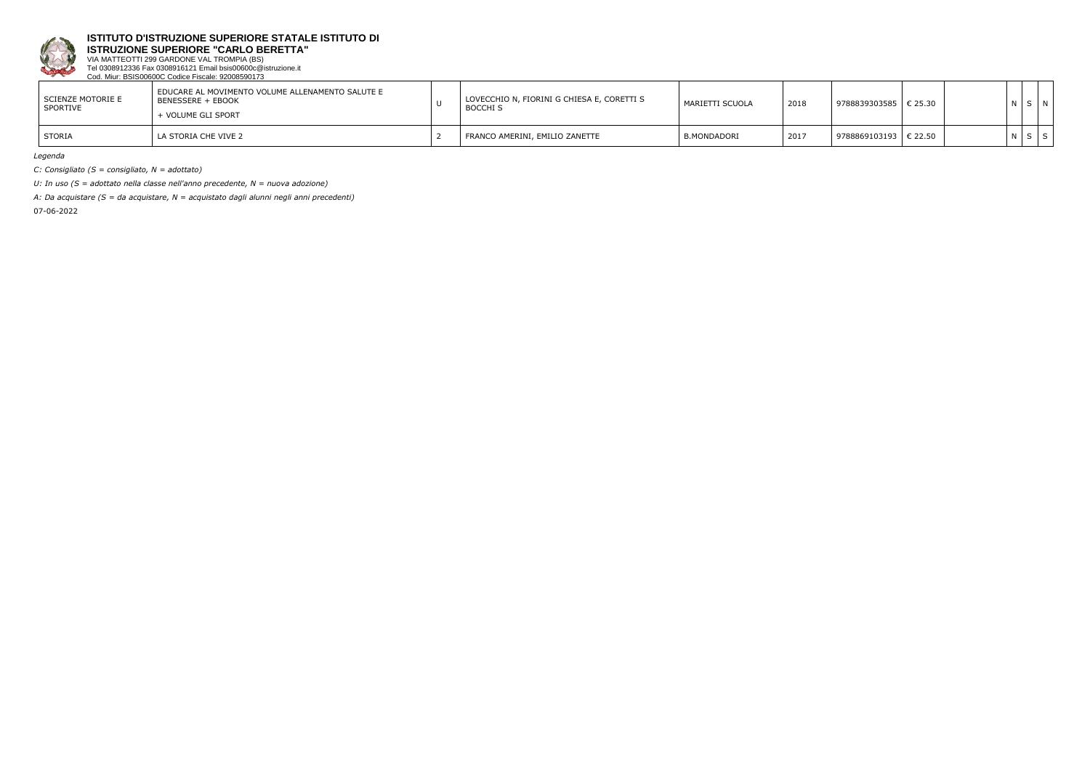

**ISTRUZIONE SUPERIORE "CARLO BERETTA"**

VIA MATTEOTTI 299 GARDONE VAL TROMPIA (BS) Tel 0308912336 Fax 0308916121 Email bsis00600c@istruzione.it Cod. Miur: BSIS00600C Codice Fiscale: 92008590173

| SCIENZE MOTORIE E<br>SPORTIVE | EDUCARE AL MOVIMENTO VOLUME ALLENAMENTO SALUTE E<br>BENESSERE + EBOOK<br>- VOLUME GLI SPORT | LOVECCHIO N, FIORINI G CHIESA E, CORETTI S<br><b>BOCCHI S</b> | MARIETTI SCUOLA | 2018 | 9788839303585 | $\in$ 25.30 |  |  |
|-------------------------------|---------------------------------------------------------------------------------------------|---------------------------------------------------------------|-----------------|------|---------------|-------------|--|--|
| <b>STORIA</b>                 | LA STORIA CHE VIVE 2                                                                        | I FRANCO AMERINI, EMILIO ZANETTE                              | B.MONDADORI     | 2017 | 9788869103193 | € 22.50     |  |  |

*Legenda*

*C: Consigliato (S = consigliato, N = adottato)*

*U: In uso (S = adottato nella classe nell'anno precedente, N = nuova adozione)*

*A: Da acquistare (S = da acquistare, N = acquistato dagli alunni negli anni precedenti)*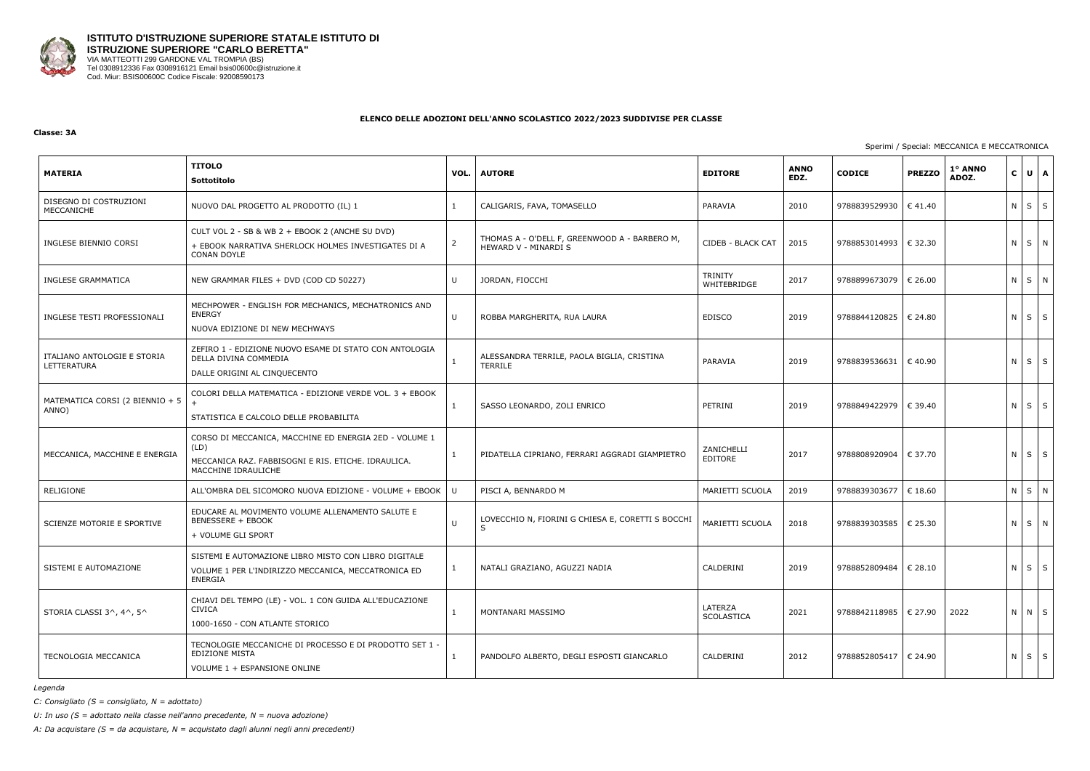

#### **Classe: 3A**

## Sperimi / Special: MECCANICA E MECCATRONICA

| <b>MATERIA</b>                             | <b>TITOLO</b><br>Sottotitolo                                                                                                                 | VOL. | <b>AUTORE</b>                                                         | <b>EDITORE</b>         | <b>ANNO</b><br>EDZ. | <b>CODICE</b>           | <b>PREZZO</b> | 1° ANNO<br>ADOZ. | $\mathbf{C}$ | UA                |
|--------------------------------------------|----------------------------------------------------------------------------------------------------------------------------------------------|------|-----------------------------------------------------------------------|------------------------|---------------------|-------------------------|---------------|------------------|--------------|-------------------|
| DISEGNO DI COSTRUZIONI<br>MECCANICHE       | NUOVO DAL PROGETTO AL PRODOTTO (IL) 1                                                                                                        | -1   | CALIGARIS, FAVA, TOMASELLO                                            | PARAVIA                | 2010                | 9788839529930           | €41.40        |                  | $N$ $S$      | S                 |
| INGLESE BIENNIO CORSI                      | CULT VOL 2 - SB & WB 2 + EBOOK 2 (ANCHE SU DVD)<br>+ EBOOK NARRATIVA SHERLOCK HOLMES INVESTIGATES DI A<br><b>CONAN DOYLE</b>                 | -2   | THOMAS A - O'DELL F, GREENWOOD A - BARBERO M,<br>HEWARD V - MINARDI S | CIDEB - BLACK CAT      | 2015                | 9788853014993   € 32.30 |               |                  |              | N S N             |
| INGLESE GRAMMATICA                         | NEW GRAMMAR FILES + DVD (COD CD 50227)                                                                                                       | U    | JORDAN, FIOCCHI                                                       | TRINITY<br>WHITEBRIDGE | 2017                | 9788899673079           | € 26.00       |                  |              | $N$ $S$ $N$       |
| INGLESE TESTI PROFESSIONALI                | MECHPOWER - ENGLISH FOR MECHANICS, MECHATRONICS AND<br><b>ENERGY</b><br>NUOVA EDIZIONE DI NEW MECHWAYS                                       | U    | ROBBA MARGHERITA, RUA LAURA                                           | <b>EDISCO</b>          | 2019                | 9788844120825   € 24.80 |               |                  |              | $N \mid S \mid S$ |
| ITALIANO ANTOLOGIE E STORIA<br>LETTERATURA | ZEFIRO 1 - EDIZIONE NUOVO ESAME DI STATO CON ANTOLOGIA<br>DELLA DIVINA COMMEDIA<br>DALLE ORIGINI AL CINQUECENTO                              | -1   | ALESSANDRA TERRILE, PAOLA BIGLIA, CRISTINA<br>TERRILE                 | PARAVIA                | 2019                | 9788839536631   € 40.90 |               |                  |              | $N \mid S \mid S$ |
| MATEMATICA CORSI (2 BIENNIO + 5<br>ANNO)   | COLORI DELLA MATEMATICA - EDIZIONE VERDE VOL. 3 + EBOOK<br>STATISTICA E CALCOLO DELLE PROBABILITA                                            |      | SASSO LEONARDO, ZOLI ENRICO                                           | PETRINI                | 2019                | 9788849422979   € 39.40 |               |                  | $N$ $S$      | S                 |
| MECCANICA, MACCHINE E ENERGIA              | CORSO DI MECCANICA, MACCHINE ED ENERGIA 2ED - VOLUME 1<br>(LD)<br>MECCANICA RAZ. FABBISOGNI E RIS. ETICHE. IDRAULICA.<br>MACCHINE IDRAULICHE | 1    | PIDATELLA CIPRIANO, FERRARI AGGRADI GIAMPIETRO                        | ZANICHELLI<br>EDITORE  | 2017                | 9788808920904           | € 37.70       |                  |              | $N \mid S \mid S$ |
| RELIGIONE                                  | ALL'OMBRA DEL SICOMORO NUOVA EDIZIONE - VOLUME + EBOOK                                                                                       | -U   | PISCI A, BENNARDO M                                                   | MARIETTI SCUOLA        | 2019                | 9788839303677           | € 18.60       |                  | $N \mid S$   | N                 |
| SCIENZE MOTORIE E SPORTIVE                 | EDUCARE AL MOVIMENTO VOLUME ALLENAMENTO SALUTE E<br><b>BENESSERE + EBOOK</b><br>+ VOLUME GLI SPORT                                           | U    | LOVECCHIO N, FIORINI G CHIESA E, CORETTI S BOCCHI<br>$\varsigma$      | MARIETTI SCUOLA        | 2018                | 9788839303585           | € 25.30       |                  |              | NSN               |
| SISTEMI E AUTOMAZIONE                      | SISTEMI E AUTOMAZIONE LIBRO MISTO CON LIBRO DIGITALE<br>VOLUME 1 PER L'INDIRIZZO MECCANICA, MECCATRONICA ED<br><b>ENERGIA</b>                | -1   | NATALI GRAZIANO, AGUZZI NADIA                                         | CALDERINI              | 2019                | 9788852809484   € 28.10 |               |                  |              | $N$ $S$ $S$       |
| STORIA CLASSI 3^, 4^, 5^                   | CHIAVI DEL TEMPO (LE) - VOL. 1 CON GUIDA ALL'EDUCAZIONE<br><b>CIVICA</b><br>1000-1650 - CON ATLANTE STORICO                                  |      | MONTANARI MASSIMO                                                     | LATERZA<br>SCOLASTICA  | 2021                | 9788842118985   € 27.90 |               | 2022             |              | N N S             |
| TECNOLOGIA MECCANICA                       | TECNOLOGIE MECCANICHE DI PROCESSO E DI PRODOTTO SET 1 -<br><b>EDIZIONE MISTA</b><br>VOLUME 1 + ESPANSIONE ONLINE                             | -1   | PANDOLFO ALBERTO, DEGLI ESPOSTI GIANCARLO                             | CALDERINI              | 2012                | 9788852805417   € 24.90 |               |                  |              | $N$ $S$ $S$       |

*Legenda*

*C: Consigliato (S = consigliato, N = adottato)*

*U: In uso (S = adottato nella classe nell'anno precedente, N = nuova adozione)*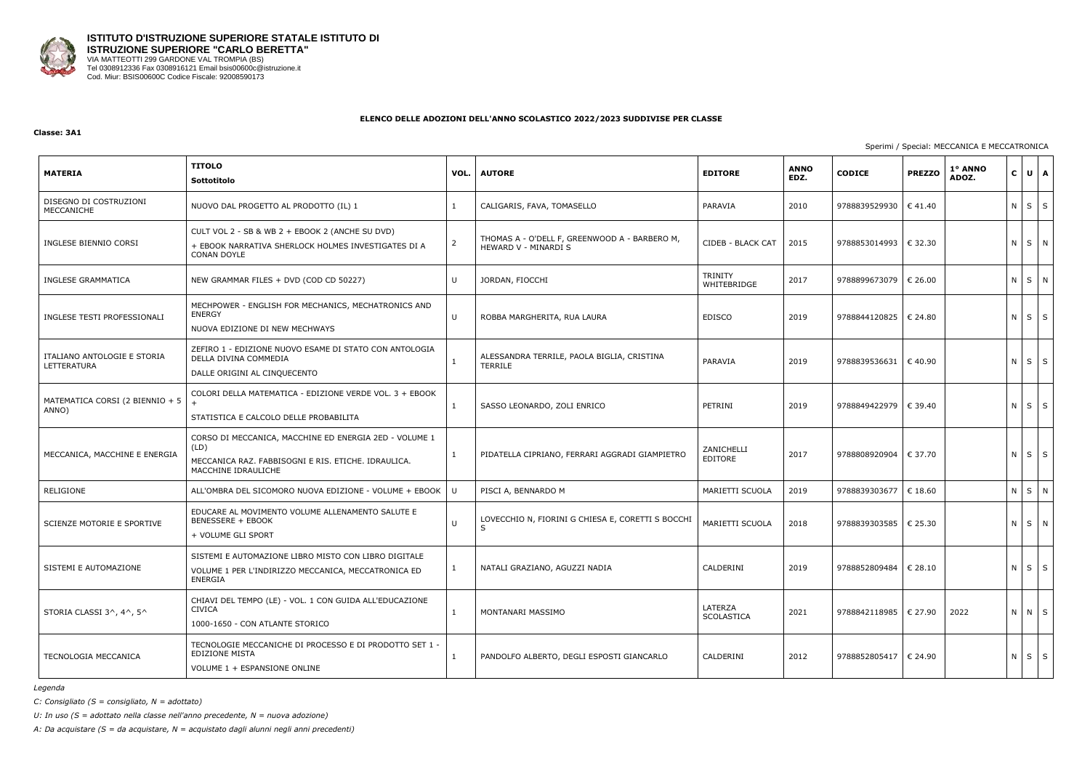

#### **Classe: 3A1**

## Sperimi / Special: MECCANICA E MECCATRONICA

| <b>MATERIA</b>                             | <b>TITOLO</b><br>Sottotitolo                                                                                                                 | VOL. | <b>AUTORE</b>                                                         | <b>EDITORE</b>         | <b>ANNO</b><br>EDZ. | <b>CODICE</b>           | <b>PREZZO</b> | 1° ANNO<br>ADOZ. | $\mathbf{C}$ | UA                |
|--------------------------------------------|----------------------------------------------------------------------------------------------------------------------------------------------|------|-----------------------------------------------------------------------|------------------------|---------------------|-------------------------|---------------|------------------|--------------|-------------------|
| DISEGNO DI COSTRUZIONI<br>MECCANICHE       | NUOVO DAL PROGETTO AL PRODOTTO (IL) 1                                                                                                        | -1   | CALIGARIS, FAVA, TOMASELLO                                            | PARAVIA                | 2010                | 9788839529930           | €41.40        |                  | $N$ $S$      | S                 |
| INGLESE BIENNIO CORSI                      | CULT VOL 2 - SB & WB 2 + EBOOK 2 (ANCHE SU DVD)<br>+ EBOOK NARRATIVA SHERLOCK HOLMES INVESTIGATES DI A<br><b>CONAN DOYLE</b>                 | -2   | THOMAS A - O'DELL F, GREENWOOD A - BARBERO M,<br>HEWARD V - MINARDI S | CIDEB - BLACK CAT      | 2015                | 9788853014993   € 32.30 |               |                  |              | N S N             |
| INGLESE GRAMMATICA                         | NEW GRAMMAR FILES + DVD (COD CD 50227)                                                                                                       | U    | JORDAN, FIOCCHI                                                       | TRINITY<br>WHITEBRIDGE | 2017                | 9788899673079           | € 26.00       |                  |              | $N$ $S$ $N$       |
| INGLESE TESTI PROFESSIONALI                | MECHPOWER - ENGLISH FOR MECHANICS, MECHATRONICS AND<br><b>ENERGY</b><br>NUOVA EDIZIONE DI NEW MECHWAYS                                       | U    | ROBBA MARGHERITA, RUA LAURA                                           | <b>EDISCO</b>          | 2019                | 9788844120825   € 24.80 |               |                  |              | $N \mid S \mid S$ |
| ITALIANO ANTOLOGIE E STORIA<br>LETTERATURA | ZEFIRO 1 - EDIZIONE NUOVO ESAME DI STATO CON ANTOLOGIA<br>DELLA DIVINA COMMEDIA<br>DALLE ORIGINI AL CINQUECENTO                              | -1   | ALESSANDRA TERRILE, PAOLA BIGLIA, CRISTINA<br>TERRILE                 | PARAVIA                | 2019                | 9788839536631   € 40.90 |               |                  |              | $N \mid S \mid S$ |
| MATEMATICA CORSI (2 BIENNIO + 5<br>ANNO)   | COLORI DELLA MATEMATICA - EDIZIONE VERDE VOL. 3 + EBOOK<br>STATISTICA E CALCOLO DELLE PROBABILITA                                            |      | SASSO LEONARDO, ZOLI ENRICO                                           | PETRINI                | 2019                | 9788849422979   € 39.40 |               |                  | $N$ $S$      | S                 |
| MECCANICA, MACCHINE E ENERGIA              | CORSO DI MECCANICA, MACCHINE ED ENERGIA 2ED - VOLUME 1<br>(LD)<br>MECCANICA RAZ. FABBISOGNI E RIS. ETICHE. IDRAULICA.<br>MACCHINE IDRAULICHE | 1    | PIDATELLA CIPRIANO, FERRARI AGGRADI GIAMPIETRO                        | ZANICHELLI<br>EDITORE  | 2017                | 9788808920904           | € 37.70       |                  |              | $N \mid S \mid S$ |
| RELIGIONE                                  | ALL'OMBRA DEL SICOMORO NUOVA EDIZIONE - VOLUME + EBOOK                                                                                       | -U   | PISCI A, BENNARDO M                                                   | MARIETTI SCUOLA        | 2019                | 9788839303677           | € 18.60       |                  | $N \mid S$   | N                 |
| SCIENZE MOTORIE E SPORTIVE                 | EDUCARE AL MOVIMENTO VOLUME ALLENAMENTO SALUTE E<br><b>BENESSERE + EBOOK</b><br>+ VOLUME GLI SPORT                                           | U    | LOVECCHIO N, FIORINI G CHIESA E, CORETTI S BOCCHI<br>$\varsigma$      | MARIETTI SCUOLA        | 2018                | 9788839303585           | € 25.30       |                  |              | N S N             |
| SISTEMI E AUTOMAZIONE                      | SISTEMI E AUTOMAZIONE LIBRO MISTO CON LIBRO DIGITALE<br>VOLUME 1 PER L'INDIRIZZO MECCANICA, MECCATRONICA ED<br><b>ENERGIA</b>                | -1   | NATALI GRAZIANO, AGUZZI NADIA                                         | CALDERINI              | 2019                | 9788852809484   € 28.10 |               |                  |              | $N$ $S$ $S$       |
| STORIA CLASSI 3^, 4^, 5^                   | CHIAVI DEL TEMPO (LE) - VOL. 1 CON GUIDA ALL'EDUCAZIONE<br><b>CIVICA</b><br>1000-1650 - CON ATLANTE STORICO                                  | 1    | MONTANARI MASSIMO                                                     | LATERZA<br>SCOLASTICA  | 2021                | 9788842118985   € 27.90 |               | 2022             |              | N N S             |
| TECNOLOGIA MECCANICA                       | TECNOLOGIE MECCANICHE DI PROCESSO E DI PRODOTTO SET 1 -<br><b>EDIZIONE MISTA</b><br>VOLUME 1 + ESPANSIONE ONLINE                             |      | PANDOLFO ALBERTO, DEGLI ESPOSTI GIANCARLO                             | CALDERINI              | 2012                | 9788852805417   € 24.90 |               |                  |              | $N$ $S$ $S$       |

*Legenda*

*C: Consigliato (S = consigliato, N = adottato)*

*U: In uso (S = adottato nella classe nell'anno precedente, N = nuova adozione)*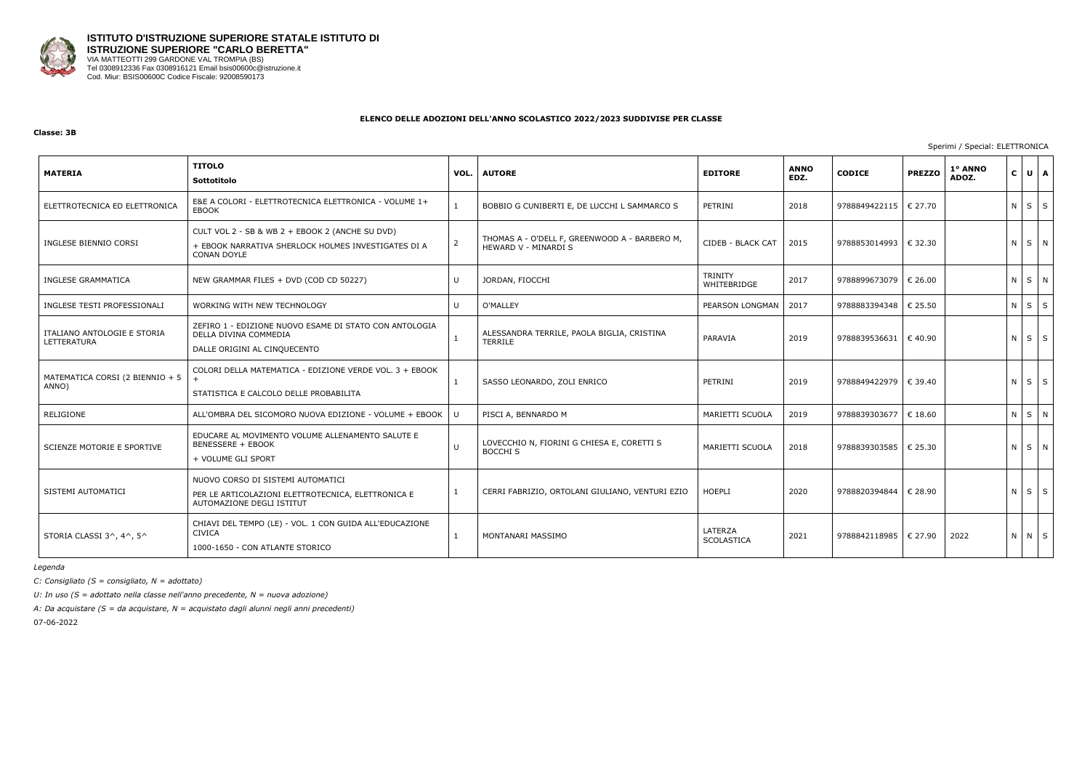

#### **Classe: 3B**

## Sperimi / Special: ELETTRONICA

| <b>MATERIA</b>                             | <b>TITOLO</b><br>Sottotitolo                                                                                                 | VOL.         | <b>AUTORE</b>                                                         | <b>EDITORE</b>               | <b>ANNO</b><br>EDZ. | <b>CODICE</b>           | <b>PREZZO</b>    | 1° ANNO<br>ADOZ. | $\mathsf{C}$ | UA          |   |
|--------------------------------------------|------------------------------------------------------------------------------------------------------------------------------|--------------|-----------------------------------------------------------------------|------------------------------|---------------------|-------------------------|------------------|------------------|--------------|-------------|---|
| ELETTROTECNICA ED ELETTRONICA              | E&E A COLORI - ELETTROTECNICA ELETTRONICA - VOLUME 1+<br><b>EBOOK</b>                                                        |              | BOBBIO G CUNIBERTI E, DE LUCCHI L SAMMARCO S                          | PETRINI                      | 2018                | 9788849422115   € 27.70 |                  |                  |              | $N$ $S$ $S$ |   |
| INGLESE BIENNIO CORSI                      | CULT VOL 2 - SB & WB 2 + EBOOK 2 (ANCHE SU DVD)<br>+ EBOOK NARRATIVA SHERLOCK HOLMES INVESTIGATES DI A<br><b>CONAN DOYLE</b> |              | THOMAS A - O'DELL F, GREENWOOD A - BARBERO M,<br>HEWARD V - MINARDI S | CIDEB - BLACK CAT            | 2015                | 9788853014993           | $\epsilon$ 32.30 |                  |              | N S N       |   |
| INGLESE GRAMMATICA                         | NEW GRAMMAR FILES + DVD (COD CD 50227)                                                                                       | $\cup$       | JORDAN, FIOCCHI                                                       | TRINITY<br>WHITEBRIDGE       | 2017                | 9788899673079           | € 26.00          |                  |              | N S N       |   |
| INGLESE TESTI PROFESSIONALI                | WORKING WITH NEW TECHNOLOGY                                                                                                  | U            | O'MALLEY                                                              | PEARSON LONGMAN              | 2017                | 9788883394348           | € 25.50          |                  |              | $N$ $S$ $S$ |   |
| ITALIANO ANTOLOGIE E STORIA<br>LETTERATURA | ZEFIRO 1 - EDIZIONE NUOVO ESAME DI STATO CON ANTOLOGIA<br>DELLA DIVINA COMMEDIA<br>DALLE ORIGINI AL CINQUECENTO              | $\mathbf{1}$ | ALESSANDRA TERRILE, PAOLA BIGLIA, CRISTINA<br><b>TERRILE</b>          | PARAVIA                      | 2019                | 9788839536631 € 40.90   |                  |                  |              | $N$ $S$ $S$ |   |
| MATEMATICA CORSI (2 BIENNIO + 5<br>ANNO)   | COLORI DELLA MATEMATICA - EDIZIONE VERDE VOL. 3 + EBOOK<br>STATISTICA E CALCOLO DELLE PROBABILITA                            | $\mathbf{1}$ | SASSO LEONARDO, ZOLI ENRICO                                           | PETRINI                      | 2019                | 9788849422979 € 39.40   |                  |                  |              | $N$ $S$ $S$ |   |
| RELIGIONE                                  | ALL'OMBRA DEL SICOMORO NUOVA EDIZIONE - VOLUME + EBOOK                                                                       |              | PISCI A, BENNARDO M                                                   | MARIETTI SCUOLA              | 2019                | 9788839303677           | € 18.60          |                  |              | $N$ $S$     | N |
| SCIENZE MOTORIE E SPORTIVE                 | EDUCARE AL MOVIMENTO VOLUME ALLENAMENTO SALUTE E<br><b>BENESSERE + EBOOK</b><br>+ VOLUME GLI SPORT                           | $\mathbf{U}$ | LOVECCHIO N, FIORINI G CHIESA E, CORETTI S<br><b>BOCCHI S</b>         | MARIETTI SCUOLA              | 2018                | 9788839303585   € 25.30 |                  |                  |              | NSN         |   |
| SISTEMI AUTOMATICI                         | NUOVO CORSO DI SISTEMI AUTOMATICI<br>PER LE ARTICOLAZIONI ELETTROTECNICA, ELETTRONICA E<br>AUTOMAZIONE DEGLI ISTITUT         |              | CERRI FABRIZIO, ORTOLANI GIULIANO, VENTURI EZIO                       | HOEPLI                       | 2020                | 9788820394844           | € 28.90          |                  |              | $N$ $S$ $S$ |   |
| STORIA CLASSI 3^, 4^, 5^                   | CHIAVI DEL TEMPO (LE) - VOL. 1 CON GUIDA ALL'EDUCAZIONE<br><b>CIVICA</b><br>1000-1650 - CON ATLANTE STORICO                  |              | MONTANARI MASSIMO                                                     | LATERZA<br><b>SCOLASTICA</b> | 2021                | 9788842118985           | € 27.90          | 2022             |              | N N S       |   |

*Legenda*

*C: Consigliato (S = consigliato, N = adottato)*

*U: In uso (S = adottato nella classe nell'anno precedente, N = nuova adozione)*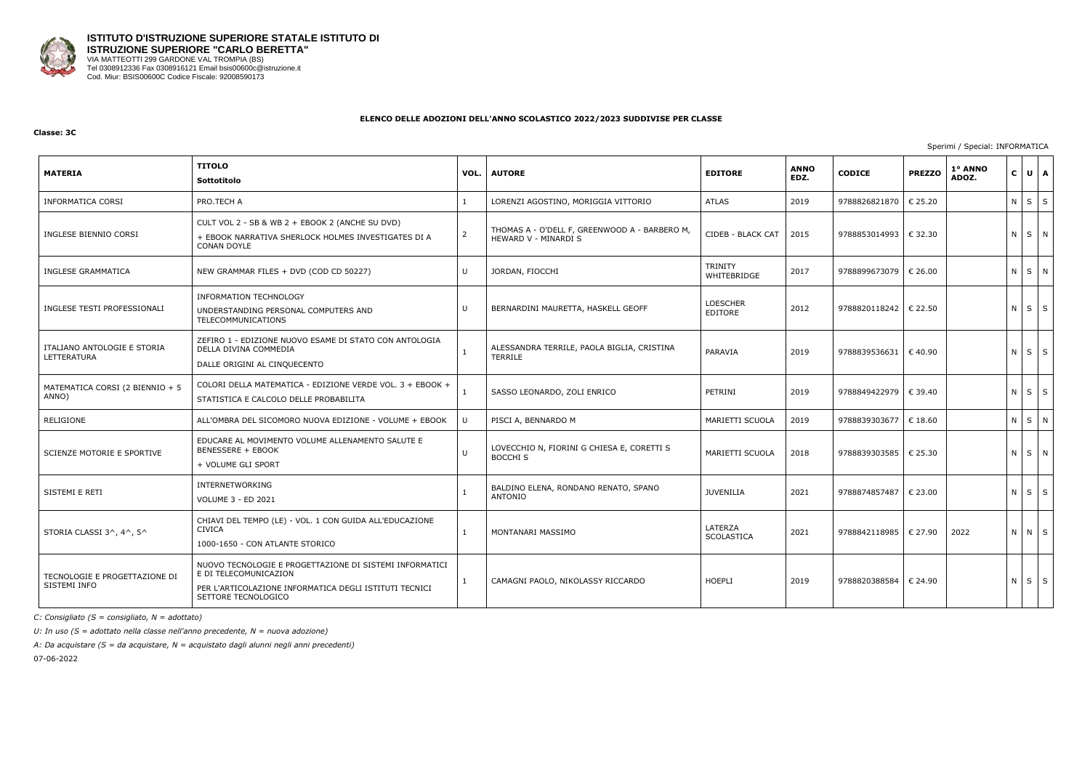

#### **Classe: 3C**

Sperimi / Special: INFORMATICA

| <b>MATERIA</b>                                | <b>TITOLO</b><br>Sottotitolo                                                                                                                                      | VOL.         | <b>AUTORE</b>                                                         | <b>EDITORE</b>                | <b>ANNO</b><br>EDZ. | <b>CODICE</b> | <b>PREZZO</b>    | 1° ANNO<br>ADOZ. | $\mathbf{C}$ | $U$ $A$           |  |
|-----------------------------------------------|-------------------------------------------------------------------------------------------------------------------------------------------------------------------|--------------|-----------------------------------------------------------------------|-------------------------------|---------------------|---------------|------------------|------------------|--------------|-------------------|--|
| <b>INFORMATICA CORSI</b>                      | PRO.TECH A                                                                                                                                                        | 1            | LORENZI AGOSTINO, MORIGGIA VITTORIO                                   | <b>ATLAS</b>                  | 2019                | 9788826821870 | € 25.20          |                  |              | $N$ $S$ $S$       |  |
| INGLESE BIENNIO CORSI                         | CULT VOL 2 - SB & WB 2 + EBOOK 2 (ANCHE SU DVD)<br>+ EBOOK NARRATIVA SHERLOCK HOLMES INVESTIGATES DI A<br><b>CONAN DOYLE</b>                                      | 2            | THOMAS A - O'DELL F, GREENWOOD A - BARBERO M,<br>HEWARD V - MINARDI S | CIDEB - BLACK CAT             | 2015                | 9788853014993 | € 32.30          |                  |              | NSN               |  |
| <b>INGLESE GRAMMATICA</b>                     | NEW GRAMMAR FILES + DVD (COD CD 50227)                                                                                                                            | $\mathbf{U}$ | JORDAN, FIOCCHI                                                       | <b>TRINITY</b><br>WHITEBRIDGE | 2017                | 9788899673079 | $\epsilon$ 26.00 |                  |              | N S N             |  |
| INGLESE TESTI PROFESSIONALI                   | INFORMATION TECHNOLOGY<br>UNDERSTANDING PERSONAL COMPUTERS AND<br>TELECOMMUNICATIONS                                                                              | $\cup$       | BERNARDINI MAURETTA, HASKELL GEOFF                                    | <b>LOESCHER</b><br>EDITORE    | 2012                | 9788820118242 | € 22.50          |                  |              | $N$ $S$ $S$       |  |
| ITALIANO ANTOLOGIE E STORIA<br>LETTERATURA    | ZEFIRO 1 - EDIZIONE NUOVO ESAME DI STATO CON ANTOLOGIA<br>DELLA DIVINA COMMEDIA<br>DALLE ORIGINI AL CINQUECENTO                                                   | 1            | ALESSANDRA TERRILE, PAOLA BIGLIA, CRISTINA<br><b>TERRILE</b>          | PARAVIA                       | 2019                | 9788839536631 | $\epsilon$ 40.90 |                  |              | $N$ $S$ $S$       |  |
| MATEMATICA CORSI (2 BIENNIO + 5<br>ANNO)      | COLORI DELLA MATEMATICA - EDIZIONE VERDE VOL. 3 + EBOOK +<br>STATISTICA E CALCOLO DELLE PROBABILITA                                                               |              | SASSO LEONARDO, ZOLI ENRICO                                           | PETRINI                       | 2019                | 9788849422979 | € 39.40          |                  |              | $N \mid S \mid S$ |  |
| RELIGIONE                                     | ALL'OMBRA DEL SICOMORO NUOVA EDIZIONE - VOLUME + EBOOK                                                                                                            | $\mathbf{H}$ | PISCI A, BENNARDO M                                                   | MARIETTI SCUOLA               | 2019                | 9788839303677 | € 18.60          |                  |              | N S N             |  |
| SCIENZE MOTORIE E SPORTIVE                    | EDUCARE AL MOVIMENTO VOLUME ALLENAMENTO SALUTE E<br><b>BENESSERE + EBOOK</b><br>+ VOLUME GLI SPORT                                                                | $\cup$       | LOVECCHIO N, FIORINI G CHIESA E, CORETTI S<br><b>BOCCHI S</b>         | MARIETTI SCUOLA               | 2018                | 9788839303585 | € 25.30          |                  |              | $N$ $S$ $N$       |  |
| SISTEMI E RETI                                | <b>INTERNETWORKING</b><br><b>VOLUME 3 - ED 2021</b>                                                                                                               | $\mathbf{1}$ | BALDINO ELENA, RONDANO RENATO, SPANO<br>ANTONIO                       | <b>JUVENILIA</b>              | 2021                | 9788874857487 | € 23.00          |                  |              | $N$ $S$ $S$       |  |
| STORIA CLASSI 3^, 4^, 5^                      | CHIAVI DEL TEMPO (LE) - VOL. 1 CON GUIDA ALL'EDUCAZIONE<br><b>CIVICA</b><br>1000-1650 - CON ATLANTE STORICO                                                       | $\mathbf{1}$ | MONTANARI MASSIMO                                                     | LATERZA<br>SCOLASTICA         | 2021                | 9788842118985 | € 27.90          | 2022             |              | N N S             |  |
| TECNOLOGIE E PROGETTAZIONE DI<br>SISTEMI INFO | NUOVO TECNOLOGIE E PROGETTAZIONE DI SISTEMI INFORMATICI<br>E DI TELECOMUNICAZION<br>PER L'ARTICOLAZIONE INFORMATICA DEGLI ISTITUTI TECNICI<br>SETTORE TECNOLOGICO | 1            | CAMAGNI PAOLO, NIKOLASSY RICCARDO                                     | HOEPLI                        | 2019                | 9788820388584 | € 24.90          |                  |              | $N$ $S$ $S$       |  |

*C: Consigliato (S = consigliato, N = adottato)*

*U: In uso (S = adottato nella classe nell'anno precedente, N = nuova adozione)*

*A: Da acquistare (S = da acquistare, N = acquistato dagli alunni negli anni precedenti)*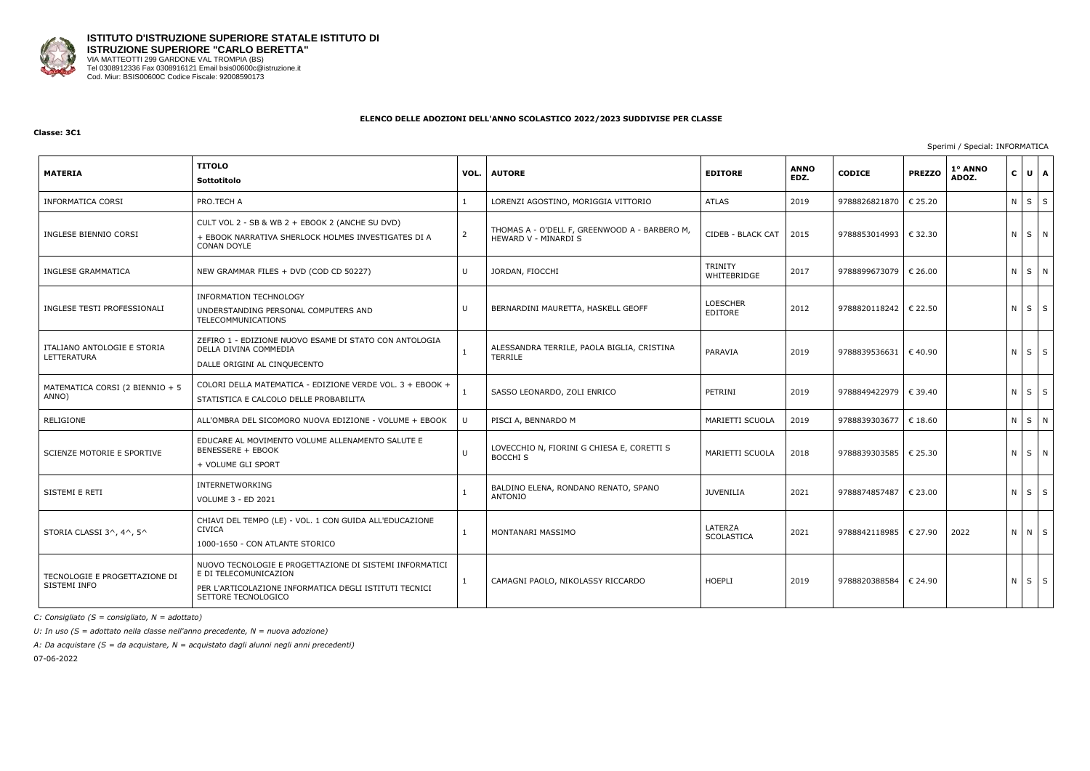

#### **Classe: 3C1**

Sperimi / Special: INFORMATICA

| <b>MATERIA</b>                                | TITOLO<br><b>Sottotitolo</b>                                                                                                                                      | VOL.           | <b>AUTORE</b>                                                         | <b>EDITORE</b>                | <b>ANNO</b><br>EDZ. | <b>CODICE</b> | <b>PREZZO</b>    | 1° ANNO<br>ADOZ. | $\mathbf{C}$ | $U$ $A$     |  |
|-----------------------------------------------|-------------------------------------------------------------------------------------------------------------------------------------------------------------------|----------------|-----------------------------------------------------------------------|-------------------------------|---------------------|---------------|------------------|------------------|--------------|-------------|--|
| <b>INFORMATICA CORSI</b>                      | PRO.TECH A                                                                                                                                                        | 1              | LORENZI AGOSTINO, MORIGGIA VITTORIO                                   | <b>ATLAS</b>                  | 2019                | 9788826821870 | € 25.20          |                  |              | $N$ $S$ $S$ |  |
| INGLESE BIENNIO CORSI                         | CULT VOL 2 - SB & WB 2 + EBOOK 2 (ANCHE SU DVD)<br>+ EBOOK NARRATIVA SHERLOCK HOLMES INVESTIGATES DI A<br><b>CONAN DOYLE</b>                                      | $\overline{2}$ | THOMAS A - O'DELL F, GREENWOOD A - BARBERO M,<br>HEWARD V - MINARDI S | CIDEB - BLACK CAT             | 2015                | 9788853014993 | € 32.30          |                  |              | N S N       |  |
| <b>INGLESE GRAMMATICA</b>                     | NEW GRAMMAR FILES + DVD (COD CD 50227)                                                                                                                            | $\cup$         | JORDAN, FIOCCHI                                                       | <b>TRINITY</b><br>WHITEBRIDGE | 2017                | 9788899673079 | € 26.00          |                  |              | NSN         |  |
| INGLESE TESTI PROFESSIONALI                   | <b>INFORMATION TECHNOLOGY</b><br>UNDERSTANDING PERSONAL COMPUTERS AND<br>TELECOMMUNICATIONS                                                                       | U              | BERNARDINI MAURETTA, HASKELL GEOFF                                    | <b>LOESCHER</b><br>EDITORE    | 2012                | 9788820118242 | € 22.50          |                  |              | $N$ $S$ $S$ |  |
| ITALIANO ANTOLOGIE E STORIA<br>LETTERATURA    | ZEFIRO 1 - EDIZIONE NUOVO ESAME DI STATO CON ANTOLOGIA<br>DELLA DIVINA COMMEDIA<br>DALLE ORIGINI AL CINQUECENTO                                                   | $\mathbf{1}$   | ALESSANDRA TERRILE, PAOLA BIGLIA, CRISTINA<br>TERRILE                 | PARAVIA                       | 2019                | 9788839536631 | $\epsilon$ 40.90 |                  |              | $N$ $S$ $S$ |  |
| MATEMATICA CORSI (2 BIENNIO + 5<br>ANNO)      | COLORI DELLA MATEMATICA - EDIZIONE VERDE VOL. 3 + EBOOK +<br>STATISTICA E CALCOLO DELLE PROBABILITA                                                               |                | SASSO LEONARDO, ZOLI ENRICO                                           | PETRINI                       | 2019                | 9788849422979 | € 39.40          |                  |              | $N$ $S$ $S$ |  |
| RELIGIONE                                     | ALL'OMBRA DEL SICOMORO NUOVA EDIZIONE - VOLUME + EBOOK                                                                                                            | $\mathbf{U}$   | PISCI A, BENNARDO M                                                   | MARIETTI SCUOLA               | 2019                | 9788839303677 | $\epsilon$ 18.60 |                  |              | NSN         |  |
| SCIENZE MOTORIE E SPORTIVE                    | EDUCARE AL MOVIMENTO VOLUME ALLENAMENTO SALUTE E<br><b>BENESSERE + EBOOK</b><br>+ VOLUME GLI SPORT                                                                | $\cup$         | LOVECCHIO N, FIORINI G CHIESA E, CORETTI S<br><b>BOCCHI S</b>         | MARIETTI SCUOLA               | 2018                | 9788839303585 | € 25.30          |                  |              | NSN         |  |
| SISTEMI E RETI                                | INTERNETWORKING<br>VOLUME 3 - ED 2021                                                                                                                             | $\mathbf{1}$   | BALDINO ELENA, RONDANO RENATO, SPANO<br>ANTONIO                       | <b>JUVENILIA</b>              | 2021                | 9788874857487 | € 23.00          |                  |              | $N$ $S$ $S$ |  |
| STORIA CLASSI 3^, 4^, 5^                      | CHIAVI DEL TEMPO (LE) - VOL. 1 CON GUIDA ALL'EDUCAZIONE<br><b>CIVICA</b><br>1000-1650 - CON ATLANTE STORICO                                                       | $\mathbf{1}$   | MONTANARI MASSIMO                                                     | LATERZA<br>SCOLASTICA         | 2021                | 9788842118985 | € 27.90          | 2022             |              | N N S       |  |
| TECNOLOGIE E PROGETTAZIONE DI<br>SISTEMI INFO | NUOVO TECNOLOGIE E PROGETTAZIONE DI SISTEMI INFORMATICI<br>E DI TELECOMUNICAZION<br>PER L'ARTICOLAZIONE INFORMATICA DEGLI ISTITUTI TECNICI<br>SETTORE TECNOLOGICO | $\mathbf{1}$   | CAMAGNI PAOLO, NIKOLASSY RICCARDO                                     | <b>HOEPLI</b>                 | 2019                | 9788820388584 | € 24.90          |                  |              | $N$ $S$ $S$ |  |

*C: Consigliato (S = consigliato, N = adottato)*

*U: In uso (S = adottato nella classe nell'anno precedente, N = nuova adozione)*

*A: Da acquistare (S = da acquistare, N = acquistato dagli alunni negli anni precedenti)*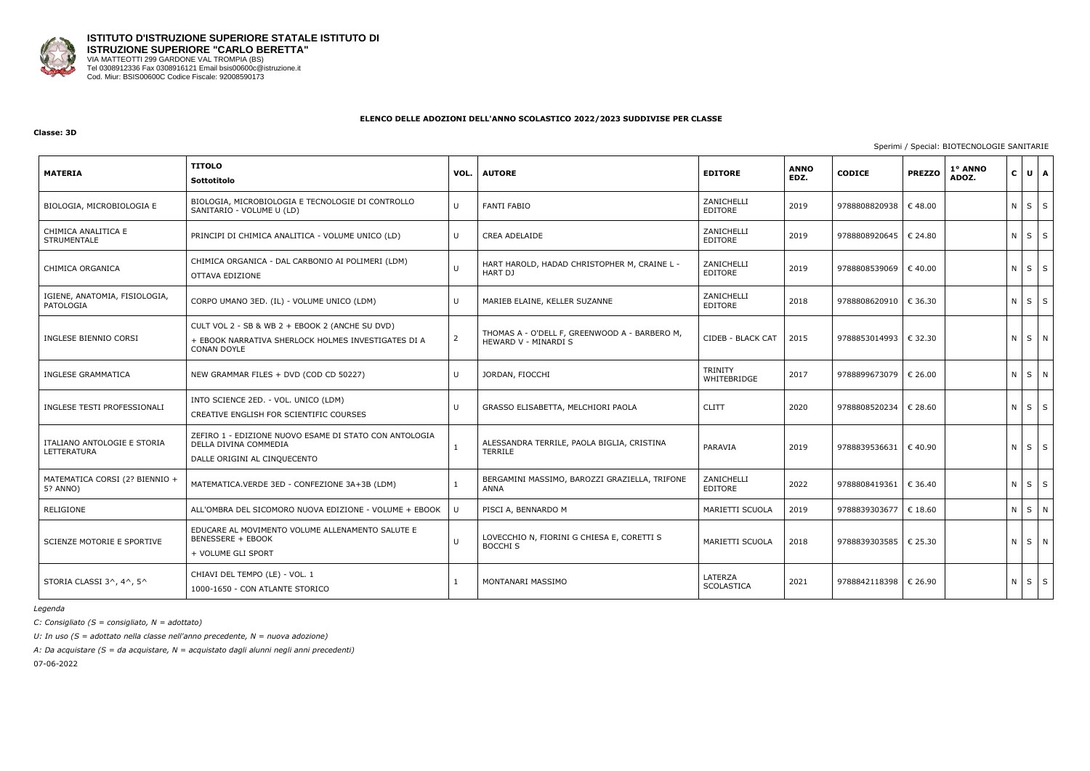

#### **Classe: 3D**

#### Sperimi / Special: BIOTECNOLOGIE SANITARIE

| <b>MATERIA</b>                             | <b>TITOLO</b><br>Sottotitolo                                                                                                 | VOL.         | <b>AUTORE</b>                                                         | <b>EDITORE</b>                | <b>ANNO</b><br>EDZ. | <b>CODICE</b> | <b>PREZZO</b> | 1° ANNO<br>ADOZ. | $\mathbf{C}$ | UA          |  |
|--------------------------------------------|------------------------------------------------------------------------------------------------------------------------------|--------------|-----------------------------------------------------------------------|-------------------------------|---------------------|---------------|---------------|------------------|--------------|-------------|--|
| BIOLOGIA, MICROBIOLOGIA E                  | BIOLOGIA, MICROBIOLOGIA E TECNOLOGIE DI CONTROLLO<br>SANITARIO - VOLUME U (LD)                                               | $\mathbf{H}$ | <b>FANTI FABIO</b>                                                    | ZANICHELLI<br>EDITORE         | 2019                | 9788808820938 | €48.00        |                  |              | $N$ $S$ $S$ |  |
| CHIMICA ANALITICA E<br><b>STRUMENTALE</b>  | PRINCIPI DI CHIMICA ANALITICA - VOLUME UNICO (LD)                                                                            | $\mathbf{H}$ | <b>CREA ADELAIDE</b>                                                  | ZANICHELLI<br>EDITORE         | 2019                | 9788808920645 | € 24.80       |                  |              | $N$ $S$ $S$ |  |
| CHIMICA ORGANICA                           | CHIMICA ORGANICA - DAL CARBONIO AI POLIMERI (LDM)<br>OTTAVA EDIZIONE                                                         |              | HART HAROLD, HADAD CHRISTOPHER M, CRAINE L -<br><b>HART DJ</b>        | ZANICHELLI<br>EDITORE         | 2019                | 9788808539069 | € 40.00       |                  |              | $N$ $S$ $S$ |  |
| IGIENE, ANATOMIA, FISIOLOGIA,<br>PATOLOGIA | CORPO UMANO 3ED. (IL) - VOLUME UNICO (LDM)                                                                                   | $\mathsf{U}$ | MARIEB ELAINE, KELLER SUZANNE                                         | ZANICHELLI<br>EDITORE         | 2018                | 9788808620910 | € 36.30       |                  |              | $N$ $S$ $S$ |  |
| INGLESE BIENNIO CORSI                      | CULT VOL 2 - SB & WB 2 + EBOOK 2 (ANCHE SU DVD)<br>+ EBOOK NARRATIVA SHERLOCK HOLMES INVESTIGATES DI A<br><b>CONAN DOYLE</b> | 2            | THOMAS A - O'DELL F, GREENWOOD A - BARBERO M,<br>HEWARD V - MINARDI S | CIDEB - BLACK CAT             | 2015                | 9788853014993 | € 32.30       |                  |              | NSN         |  |
| INGLESE GRAMMATICA                         | NEW GRAMMAR FILES + DVD (COD CD 50227)                                                                                       | $\mathbf{H}$ | JORDAN, FIOCCHI                                                       | <b>TRINITY</b><br>WHITEBRIDGE | 2017                | 9788899673079 | € 26.00       |                  |              | N S N       |  |
| INGLESE TESTI PROFESSIONALI                | INTO SCIENCE 2ED. - VOL. UNICO (LDM)<br>CREATIVE ENGLISH FOR SCIENTIFIC COURSES                                              | $\mathbf{H}$ | GRASSO ELISABETTA, MELCHIORI PAOLA                                    | <b>CLITT</b>                  | 2020                | 9788808520234 | € 28.60       |                  |              | $N$ $S$ $S$ |  |
| ITALIANO ANTOLOGIE E STORIA<br>LETTERATURA | ZEFIRO 1 - EDIZIONE NUOVO ESAME DI STATO CON ANTOLOGIA<br>DELLA DIVINA COMMEDIA<br>DALLE ORIGINI AL CINQUECENTO              | $\mathbf{1}$ | ALESSANDRA TERRILE, PAOLA BIGLIA, CRISTINA<br><b>TERRILE</b>          | PARAVIA                       | 2019                | 9788839536631 | € 40.90       |                  |              | $N$ $S$ $S$ |  |
| MATEMATICA CORSI (2? BIENNIO +<br>5? ANNO) | MATEMATICA.VERDE 3ED - CONFEZIONE 3A+3B (LDM)                                                                                |              | BERGAMINI MASSIMO, BAROZZI GRAZIELLA, TRIFONE<br>ANNA                 | ZANICHELLI<br><b>EDITORE</b>  | 2022                | 9788808419361 | € 36.40       |                  |              | $N$ $S$ $S$ |  |
| RELIGIONE                                  | ALL'OMBRA DEL SICOMORO NUOVA EDIZIONE - VOLUME + EBOOK                                                                       |              | PISCI A, BENNARDO M                                                   | MARIETTI SCUOLA               | 2019                | 9788839303677 | € 18.60       |                  |              | N S N       |  |
| SCIENZE MOTORIE E SPORTIVE                 | EDUCARE AL MOVIMENTO VOLUME ALLENAMENTO SALUTE E<br><b>BENESSERE + EBOOK</b><br>+ VOLUME GLI SPORT                           | U            | LOVECCHIO N, FIORINI G CHIESA E, CORETTI S<br><b>BOCCHI S</b>         | MARIETTI SCUOLA               | 2018                | 9788839303585 | € 25.30       |                  |              | N S N       |  |
| STORIA CLASSI 3^, 4^, 5^                   | CHIAVI DEL TEMPO (LE) - VOL. 1<br>1000-1650 - CON ATLANTE STORICO                                                            |              | MONTANARI MASSIMO                                                     | LATERZA<br><b>SCOLASTICA</b>  | 2021                | 9788842118398 | € 26.90       |                  |              | $N$ $S$ $S$ |  |

*Legenda*

*C: Consigliato (S = consigliato, N = adottato)*

*U: In uso (S = adottato nella classe nell'anno precedente, N = nuova adozione)*

*A: Da acquistare (S = da acquistare, N = acquistato dagli alunni negli anni precedenti)*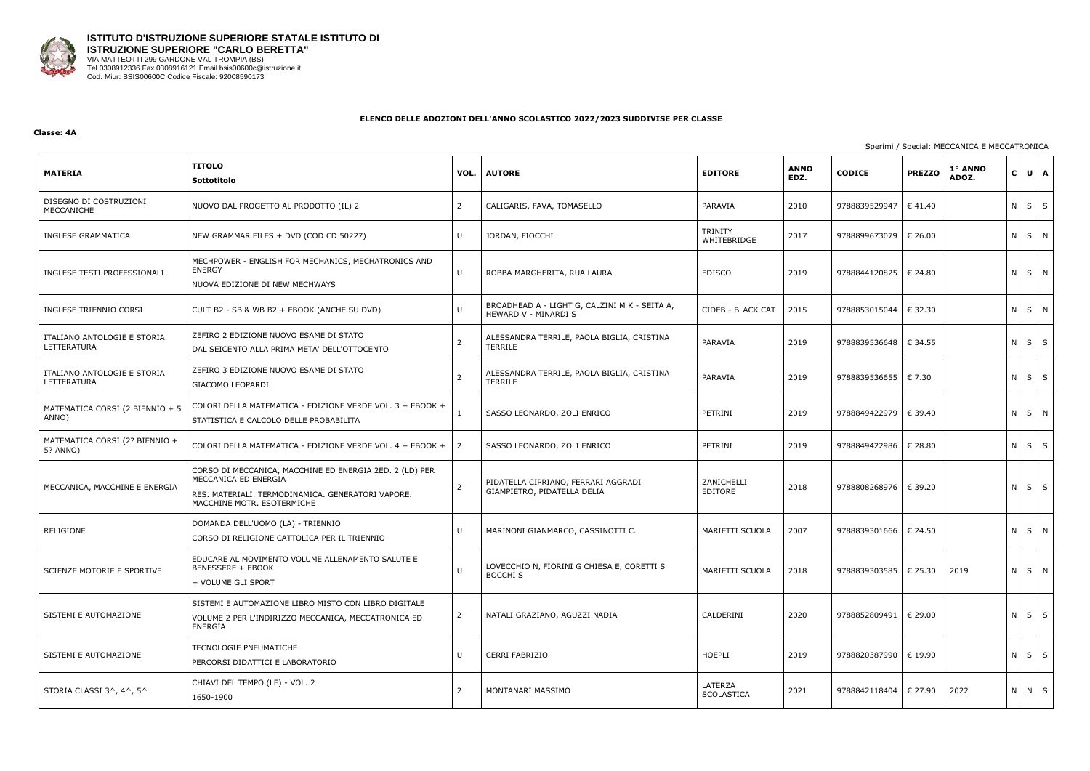

#### **Classe: 4A**

### Sperimi / Special: MECCANICA E MECCATRONICA

| <b>MATERIA</b>                             | <b>TITOLO</b><br>Sottotitolo                                                                                                                                       | VOL.           | <b>AUTORE</b>                                                         | <b>EDITORE</b>         | <b>ANNO</b><br>EDZ. | <b>CODICE</b>           | <b>PREZZO</b>    | 1º ANNO<br>ADOZ. | $C$ $U$ $A$       |   |
|--------------------------------------------|--------------------------------------------------------------------------------------------------------------------------------------------------------------------|----------------|-----------------------------------------------------------------------|------------------------|---------------------|-------------------------|------------------|------------------|-------------------|---|
| DISEGNO DI COSTRUZIONI<br>MECCANICHE       | NUOVO DAL PROGETTO AL PRODOTTO (IL) 2                                                                                                                              | $\overline{2}$ | CALIGARIS, FAVA, TOMASELLO                                            | PARAVIA                | 2010                | 9788839529947           | $\epsilon$ 41.40 |                  | $N$ $S$           | S |
| <b>INGLESE GRAMMATICA</b>                  | NEW GRAMMAR FILES + DVD (COD CD 50227)                                                                                                                             | U              | JORDAN, FIOCCHI                                                       | TRINITY<br>WHITEBRIDGE | 2017                | 9788899673079           | € 26.00          |                  | N S N             |   |
| INGLESE TESTI PROFESSIONALI                | MECHPOWER - ENGLISH FOR MECHANICS, MECHATRONICS AND<br><b>ENERGY</b><br>NUOVA EDIZIONE DI NEW MECHWAYS                                                             | U              | ROBBA MARGHERITA, RUA LAURA                                           | <b>EDISCO</b>          | 2019                | 9788844120825           | € 24.80          |                  | N S N             |   |
| INGLESE TRIENNIO CORSI                     | CULT B2 - SB & WB B2 + EBOOK (ANCHE SU DVD)                                                                                                                        | U              | BROADHEAD A - LIGHT G, CALZINI M K - SEITA A,<br>HEWARD V - MINARDI S | CIDEB - BLACK CAT      | 2015                | 9788853015044           | € 32.30          |                  | N S N             |   |
| ITALIANO ANTOLOGIE E STORIA<br>LETTERATURA | ZEFIRO 2 EDIZIONE NUOVO ESAME DI STATO<br>DAL SEICENTO ALLA PRIMA META' DELL'OTTOCENTO                                                                             | 2              | ALESSANDRA TERRILE, PAOLA BIGLIA, CRISTINA<br><b>TERRILE</b>          | PARAVIA                | 2019                | 9788839536648           | € 34.55          |                  | $N$ $S$ $S$       |   |
| ITALIANO ANTOLOGIE E STORIA<br>LETTERATURA | ZEFIRO 3 EDIZIONE NUOVO ESAME DI STATO<br><b>GIACOMO LEOPARDI</b>                                                                                                  |                | ALESSANDRA TERRILE, PAOLA BIGLIA, CRISTINA<br><b>TERRILE</b>          | PARAVIA                | 2019                | 9788839536655           | € 7.30           |                  | $N \mid S$        | S |
| MATEMATICA CORSI (2 BIENNIO + 5<br>ANNO)   | COLORI DELLA MATEMATICA - EDIZIONE VERDE VOL. 3 + EBOOK +<br>STATISTICA E CALCOLO DELLE PROBABILITA                                                                |                | SASSO LEONARDO, ZOLI ENRICO                                           | PETRINI                | 2019                | 9788849422979           | € 39.40          |                  | N S N             |   |
| MATEMATICA CORSI (2? BIENNIO +<br>5? ANNO) | COLORI DELLA MATEMATICA - EDIZIONE VERDE VOL. 4 + EBOOK +                                                                                                          | 2              | SASSO LEONARDO, ZOLI ENRICO                                           | PETRINI                | 2019                | 9788849422986           | € 28.80          |                  | $N \mid S \mid S$ |   |
| MECCANICA, MACCHINE E ENERGIA              | CORSO DI MECCANICA, MACCHINE ED ENERGIA 2ED. 2 (LD) PER<br>MECCANICA ED ENERGIA<br>RES. MATERIALI. TERMODINAMICA. GENERATORI VAPORE.<br>MACCHINE MOTR. ESOTERMICHE | $\overline{2}$ | PIDATELLA CIPRIANO, FERRARI AGGRADI<br>GIAMPIETRO, PIDATELLA DELIA    | ZANICHELLI<br>EDITORE  | 2018                | 9788808268976 € 39.20   |                  |                  | $N$ $S$           | S |
| RELIGIONE                                  | DOMANDA DELL'UOMO (LA) - TRIENNIO<br>CORSO DI RELIGIONE CATTOLICA PER IL TRIENNIO                                                                                  | U              | MARINONI GIANMARCO, CASSINOTTI C.                                     | MARIETTI SCUOLA        | 2007                | 9788839301666           | € 24.50          |                  | N S N             |   |
| SCIENZE MOTORIE E SPORTIVE                 | EDUCARE AL MOVIMENTO VOLUME ALLENAMENTO SALUTE E<br><b>BENESSERE + EBOOK</b><br>+ VOLUME GLI SPORT                                                                 | $\cup$         | LOVECCHIO N, FIORINI G CHIESA E, CORETTI S<br><b>BOCCHI S</b>         | MARIETTI SCUOLA        | 2018                | 9788839303585 € 25.30   |                  | 2019             | N S N             |   |
| SISTEMI E AUTOMAZIONE                      | SISTEMI E AUTOMAZIONE LIBRO MISTO CON LIBRO DIGITALE<br>VOLUME 2 PER L'INDIRIZZO MECCANICA, MECCATRONICA ED<br>ENERGIA                                             | 2              | NATALI GRAZIANO, AGUZZI NADIA                                         | CALDERINI              | 2020                | 9788852809491           | € 29.00          |                  | $N$ $S$ $S$       |   |
| SISTEMI E AUTOMAZIONE                      | TECNOLOGIE PNEUMATICHE<br>PERCORSI DIDATTICI E LABORATORIO                                                                                                         | U              | <b>CERRI FABRIZIO</b>                                                 | HOEPLI                 | 2019                | 9788820387990           | € 19.90          |                  | $N$ $S$ $S$       |   |
| STORIA CLASSI 3^, 4^, 5^                   | CHIAVI DEL TEMPO (LE) - VOL. 2<br>1650-1900                                                                                                                        | 2              | MONTANARI MASSIMO                                                     | LATERZA<br>SCOLASTICA  | 2021                | 9788842118404   € 27.90 |                  | 2022             | N N S             |   |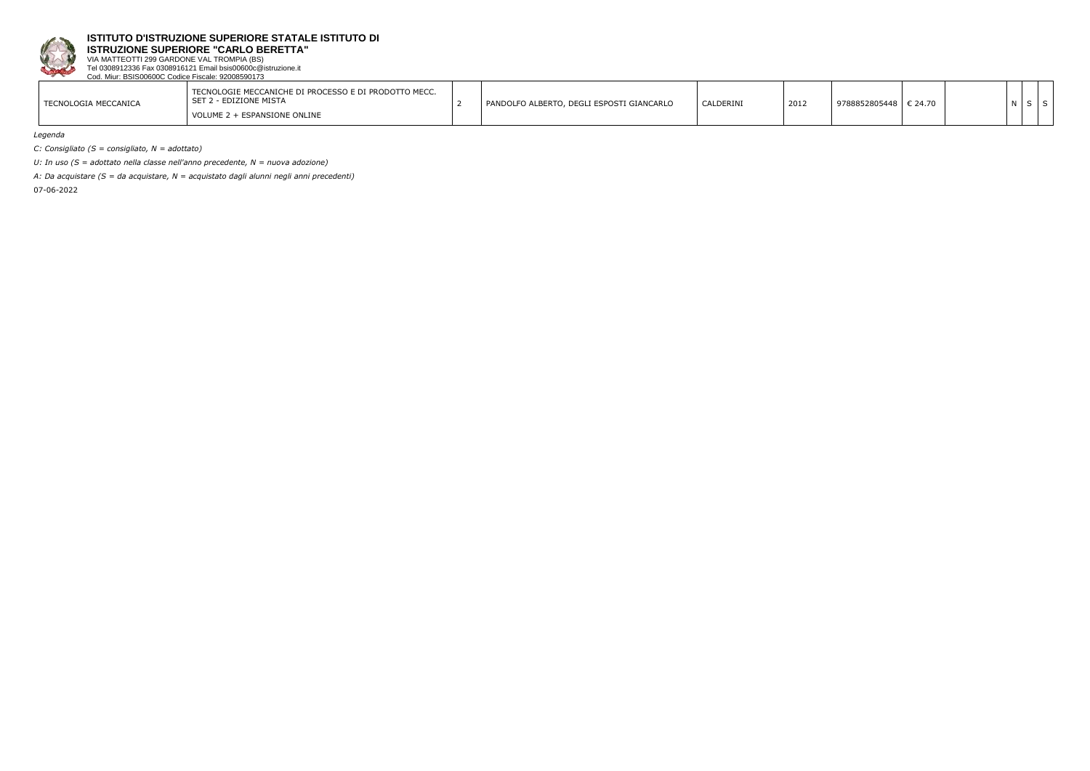

**ISTRUZIONE SUPERIORE "CARLO BERETTA"**

VIA MATTEOTTI 299 GARDONE VAL TROMPIA (BS) Tel 0308912336 Fax 0308916121 Email bsis00600c@istruzione.it Cod. Miur: BSIS00600C Codice Fiscale: 92008590173

| TECNOLOGIE MECCANICHE DI PROCESSO E DI PRODOTTO MECC.<br>" 2 - EDIZIONE MISTA<br>$\sim$ $\sim$ $\sim$<br>5E I<br>TECNOLOGIA MECCANICA<br>VOLUME 2 + ESPANSIONE ONLINE |  | PANDOLFO ALBERTO, DEGLI ESPOSTI GIANCARLO | CALDERINI | 2012 | 9788852805448 | $\epsilon$ 21.70 |  |  |
|-----------------------------------------------------------------------------------------------------------------------------------------------------------------------|--|-------------------------------------------|-----------|------|---------------|------------------|--|--|
|-----------------------------------------------------------------------------------------------------------------------------------------------------------------------|--|-------------------------------------------|-----------|------|---------------|------------------|--|--|

*Legenda*

*C: Consigliato (S = consigliato, N = adottato)*

*U: In uso (S = adottato nella classe nell'anno precedente, N = nuova adozione)*

*A: Da acquistare (S = da acquistare, N = acquistato dagli alunni negli anni precedenti)*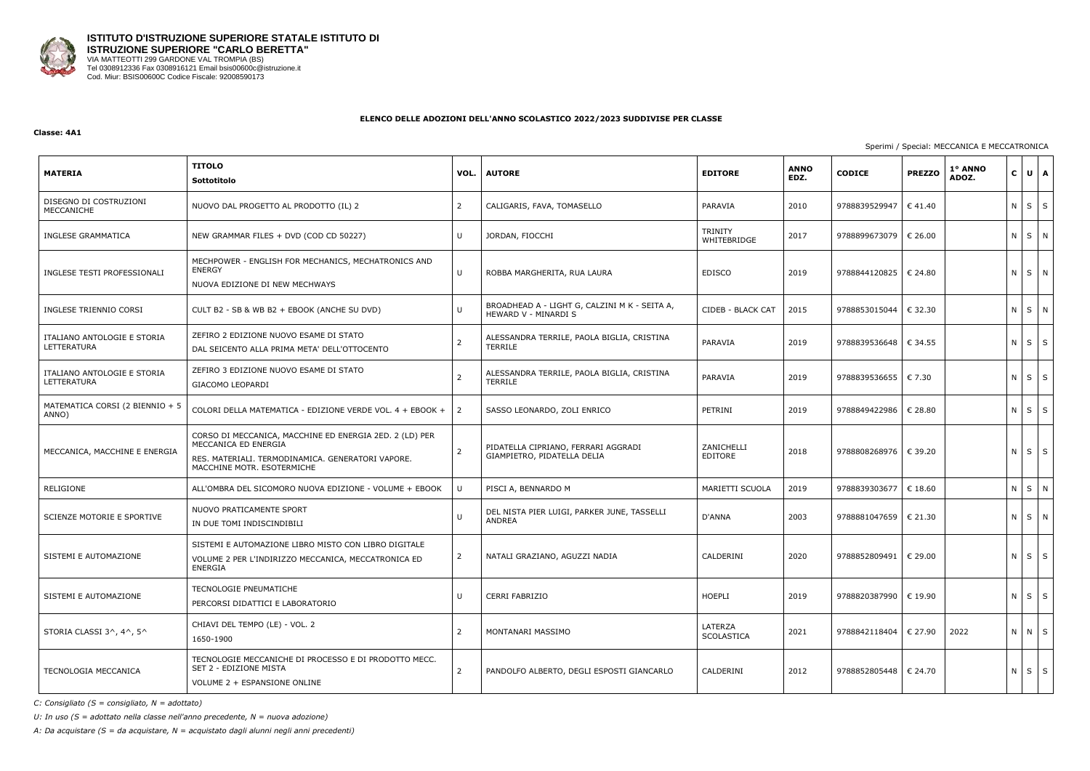

#### **Classe: 4A1**

## Sperimi / Special: MECCANICA E MECCATRONICA

| <b>MATERIA</b>                             | <b>TITOLO</b><br>Sottotitolo                                                                                                                                       | VOL. | <b>AUTORE</b>                                                         | <b>EDITORE</b>         | <b>ANNO</b><br>EDZ. | <b>CODICE</b>           | <b>PREZZO</b>    | 1° ANNO<br>ADOZ. | $C \bigcup U \bigcap A$ |              |
|--------------------------------------------|--------------------------------------------------------------------------------------------------------------------------------------------------------------------|------|-----------------------------------------------------------------------|------------------------|---------------------|-------------------------|------------------|------------------|-------------------------|--------------|
| DISEGNO DI COSTRUZIONI<br>MECCANICHE       | NUOVO DAL PROGETTO AL PRODOTTO (IL) 2                                                                                                                              | 2    | CALIGARIS, FAVA, TOMASELLO                                            | PARAVIA                | 2010                | 9788839529947           | $\epsilon$ 41.40 |                  | $N \mid S$              | $\mathsf{S}$ |
| INGLESE GRAMMATICA                         | NEW GRAMMAR FILES + DVD (COD CD 50227)                                                                                                                             | U    | JORDAN, FIOCCHI                                                       | TRINITY<br>WHITEBRIDGE | 2017                | 9788899673079           | € 26.00          |                  | N S N                   |              |
| INGLESE TESTI PROFESSIONALI                | MECHPOWER - ENGLISH FOR MECHANICS, MECHATRONICS AND<br><b>ENERGY</b><br>NUOVA EDIZIONE DI NEW MECHWAYS                                                             | U    | ROBBA MARGHERITA, RUA LAURA                                           | <b>EDISCO</b>          | 2019                | 9788844120825           | € 24.80          |                  | N S N                   |              |
| INGLESE TRIENNIO CORSI                     | CULT B2 - SB & WB B2 + EBOOK (ANCHE SU DVD)                                                                                                                        | U    | BROADHEAD A - LIGHT G, CALZINI M K - SEITA A,<br>HEWARD V - MINARDI S | CIDEB - BLACK CAT      | 2015                | 9788853015044           | € 32.30          |                  | N S N                   |              |
| ITALIANO ANTOLOGIE E STORIA<br>LETTERATURA | ZEFIRO 2 EDIZIONE NUOVO ESAME DI STATO<br>DAL SEICENTO ALLA PRIMA META' DELL'OTTOCENTO                                                                             |      | ALESSANDRA TERRILE, PAOLA BIGLIA, CRISTINA<br><b>TERRILE</b>          | PARAVIA                | 2019                | 9788839536648           | € 34.55          |                  | $N \mid S \mid S$       |              |
| ITALIANO ANTOLOGIE E STORIA<br>LETTERATURA | ZEFIRO 3 EDIZIONE NUOVO ESAME DI STATO<br><b>GIACOMO LEOPARDI</b>                                                                                                  |      | ALESSANDRA TERRILE, PAOLA BIGLIA, CRISTINA<br>TERRILE                 | PARAVIA                | 2019                | 9788839536655   € 7.30  |                  |                  | $N$ $S$                 | S            |
| MATEMATICA CORSI (2 BIENNIO + 5<br>ANNO)   | COLORI DELLA MATEMATICA - EDIZIONE VERDE VOL. 4 + EBOOK +                                                                                                          | 2    | SASSO LEONARDO, ZOLI ENRICO                                           | PETRINI                | 2019                | 9788849422986           | € 28.80          |                  | $N \mid S \mid S$       |              |
| MECCANICA, MACCHINE E ENERGIA              | CORSO DI MECCANICA, MACCHINE ED ENERGIA 2ED. 2 (LD) PER<br>MECCANICA ED ENERGIA<br>RES. MATERIALI. TERMODINAMICA. GENERATORI VAPORE.<br>MACCHINE MOTR. ESOTERMICHE | 2    | PIDATELLA CIPRIANO, FERRARI AGGRADI<br>GIAMPIETRO, PIDATELLA DELIA    | ZANICHELLI<br>EDITORE  | 2018                | 9788808268976   € 39.20 |                  |                  | $N$ $S$ $S$             |              |
| RELIGIONE                                  | ALL'OMBRA DEL SICOMORO NUOVA EDIZIONE - VOLUME + EBOOK                                                                                                             | U    | PISCI A, BENNARDO M                                                   | MARIETTI SCUOLA        | 2019                | 9788839303677           | € 18.60          |                  | N S                     | N            |
| <b>SCIENZE MOTORIE E SPORTIVE</b>          | NUOVO PRATICAMENTE SPORT<br>IN DUE TOMI INDISCINDIBILI                                                                                                             | U    | DEL NISTA PIER LUIGI, PARKER JUNE, TASSELLI<br><b>ANDREA</b>          | D'ANNA                 | 2003                | 9788881047659           | € 21.30          |                  | N S N                   |              |
| SISTEMI E AUTOMAZIONE                      | SISTEMI E AUTOMAZIONE LIBRO MISTO CON LIBRO DIGITALE<br>VOLUME 2 PER L'INDIRIZZO MECCANICA, MECCATRONICA ED<br>ENERGIA                                             | 2    | NATALI GRAZIANO, AGUZZI NADIA                                         | CALDERINI              | 2020                | 9788852809491   € 29.00 |                  |                  | $N \mid S \mid S$       |              |
| SISTEMI E AUTOMAZIONE                      | TECNOLOGIE PNEUMATICHE<br>PERCORSI DIDATTICI E LABORATORIO                                                                                                         | U    | <b>CERRI FABRIZIO</b>                                                 | HOEPLI                 | 2019                | 9788820387990           | € 19.90          |                  | $N$ $S$ $S$             |              |
| STORIA CLASSI 3^, 4^, 5^                   | CHIAVI DEL TEMPO (LE) - VOL. 2<br>1650-1900                                                                                                                        | 2    | MONTANARI MASSIMO                                                     | LATERZA<br>SCOLASTICA  | 2021                | 9788842118404           | € 27.90          | 2022             | N N S                   |              |
| TECNOLOGIA MECCANICA                       | TECNOLOGIE MECCANICHE DI PROCESSO E DI PRODOTTO MECC.<br>SET 2 - EDIZIONE MISTA<br>VOLUME 2 + ESPANSIONE ONLINE                                                    | 2    | PANDOLFO ALBERTO, DEGLI ESPOSTI GIANCARLO                             | CALDERINI              | 2012                | 9788852805448   € 24.70 |                  |                  | $N$ $S$ $S$             |              |

*C: Consigliato (S = consigliato, N = adottato)*

*U: In uso (S = adottato nella classe nell'anno precedente, N = nuova adozione)*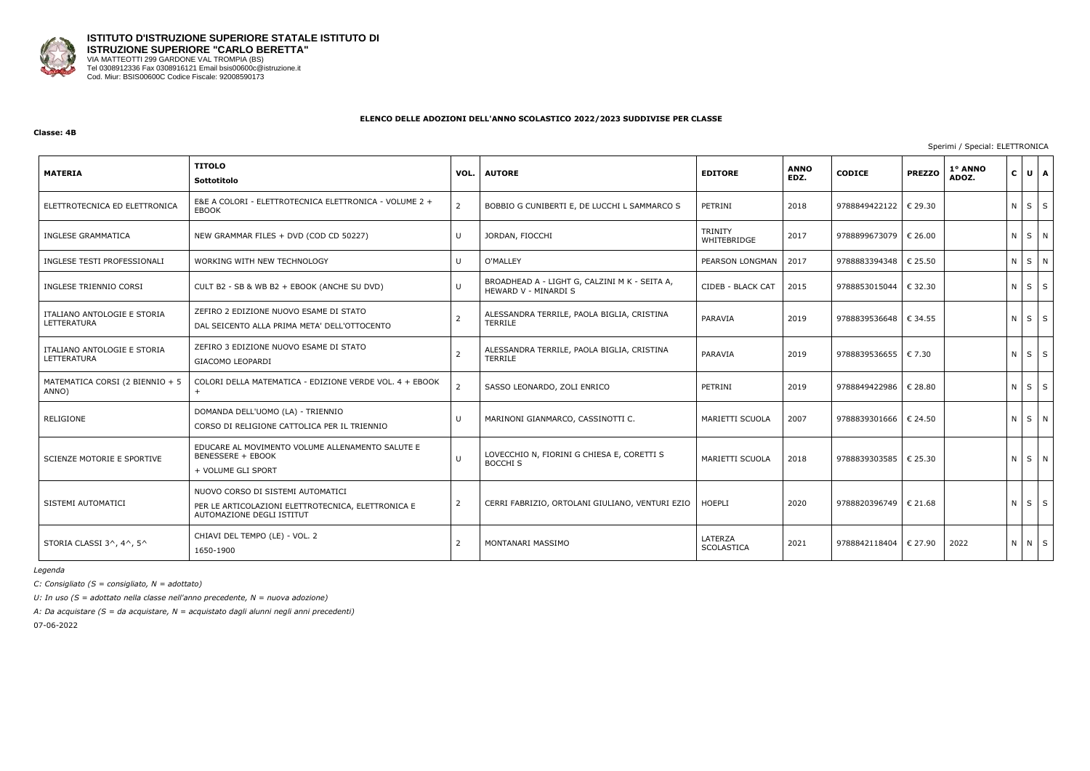

#### **Classe: 4B**

Sperimi / Special: ELETTRONICA

| <b>MATERIA</b>                             | <b>TITOLO</b><br>Sottotitolo                                                                                         | VOL.           | <b>AUTORE</b>                                                         | <b>EDITORE</b>                | <b>ANNO</b><br>EDZ. | <b>CODICE</b>           | <b>PREZZO</b> | 1° ANNO<br>ADOZ. | $\mathsf{c}$ |             | UA |
|--------------------------------------------|----------------------------------------------------------------------------------------------------------------------|----------------|-----------------------------------------------------------------------|-------------------------------|---------------------|-------------------------|---------------|------------------|--------------|-------------|----|
| ELETTROTECNICA ED ELETTRONICA              | E&E A COLORI - ELETTROTECNICA ELETTRONICA - VOLUME 2 +<br><b>EBOOK</b>                                               | $\overline{2}$ | BOBBIO G CUNIBERTI E, DE LUCCHI L SAMMARCO S                          | PETRINI                       | 2018                | 9788849422122           | € 29.30       |                  |              | $N$ $S$ $S$ |    |
| INGLESE GRAMMATICA                         | NEW GRAMMAR FILES + DVD (COD CD 50227)                                                                               | U              | JORDAN, FIOCCHI                                                       | <b>TRINITY</b><br>WHITEBRIDGE | 2017                | 9788899673079           | € 26.00       |                  |              | N S N       |    |
| INGLESE TESTI PROFESSIONALI                | WORKING WITH NEW TECHNOLOGY                                                                                          | U              | O'MALLEY                                                              | PEARSON LONGMAN               | 2017                | 9788883394348           | € 25.50       |                  |              | N S N       |    |
| INGLESE TRIENNIO CORSI                     | CULT B2 - SB & WB B2 + EBOOK (ANCHE SU DVD)                                                                          | U              | BROADHEAD A - LIGHT G, CALZINI M K - SEITA A,<br>HEWARD V - MINARDI S | CIDEB - BLACK CAT             | 2015                | 9788853015044           | € 32.30       |                  |              | $N$ $S$ $S$ |    |
| ITALIANO ANTOLOGIE E STORIA<br>LETTERATURA | ZEFIRO 2 EDIZIONE NUOVO ESAME DI STATO<br>DAL SEICENTO ALLA PRIMA META' DELL'OTTOCENTO                               | 2              | ALESSANDRA TERRILE, PAOLA BIGLIA, CRISTINA<br>TERRILE                 | PARAVIA                       | 2019                | 9788839536648   € 34.55 |               |                  |              | $N$ $S$ $S$ |    |
| ITALIANO ANTOLOGIE E STORIA<br>LETTERATURA | ZEFIRO 3 EDIZIONE NUOVO ESAME DI STATO<br>GIACOMO LEOPARDI                                                           |                | ALESSANDRA TERRILE, PAOLA BIGLIA, CRISTINA<br>TERRILE                 | PARAVIA                       | 2019                | 9788839536655   € 7.30  |               |                  |              | $N$ $S$ $S$ |    |
| MATEMATICA CORSI (2 BIENNIO + 5<br>ANNO)   | COLORI DELLA MATEMATICA - EDIZIONE VERDE VOL. 4 + EBOOK                                                              |                | SASSO LEONARDO, ZOLI ENRICO                                           | PETRINI                       | 2019                | 9788849422986           | € 28.80       |                  |              | $N$ $S$ $S$ |    |
| RELIGIONE                                  | DOMANDA DELL'UOMO (LA) - TRIENNIO<br>CORSO DI RELIGIONE CATTOLICA PER IL TRIENNIO                                    | U              | MARINONI GIANMARCO, CASSINOTTI C.                                     | MARIETTI SCUOLA               | 2007                | 9788839301666           | € 24.50       |                  |              | NSN         |    |
| SCIENZE MOTORIE E SPORTIVE                 | EDUCARE AL MOVIMENTO VOLUME ALLENAMENTO SALUTE E<br><b>BENESSERE + EBOOK</b><br>+ VOLUME GLI SPORT                   | U              | LOVECCHIO N, FIORINI G CHIESA E, CORETTI S<br><b>BOCCHI S</b>         | MARIETTI SCUOLA               | 2018                | 9788839303585   € 25.30 |               |                  |              | NSN         |    |
| SISTEMI AUTOMATICI                         | NUOVO CORSO DI SISTEMI AUTOMATICI<br>PER LE ARTICOLAZIONI ELETTROTECNICA, ELETTRONICA E<br>AUTOMAZIONE DEGLI ISTITUT | $\overline{2}$ | CERRI FABRIZIO, ORTOLANI GIULIANO, VENTURI EZIO   HOEPLI              |                               | 2020                | 9788820396749   € 21.68 |               |                  |              | $N$ $S$ $S$ |    |
| STORIA CLASSI 3^, 4^, 5^                   | CHIAVI DEL TEMPO (LE) - VOL. 2<br>1650-1900                                                                          | 2              | MONTANARI MASSIMO                                                     | LATERZA<br><b>SCOLASTICA</b>  | 2021                | 9788842118404           | € 27.90       | 2022             |              | N N S       |    |

*Legenda*

*C: Consigliato (S = consigliato, N = adottato)*

*U: In uso (S = adottato nella classe nell'anno precedente, N = nuova adozione)*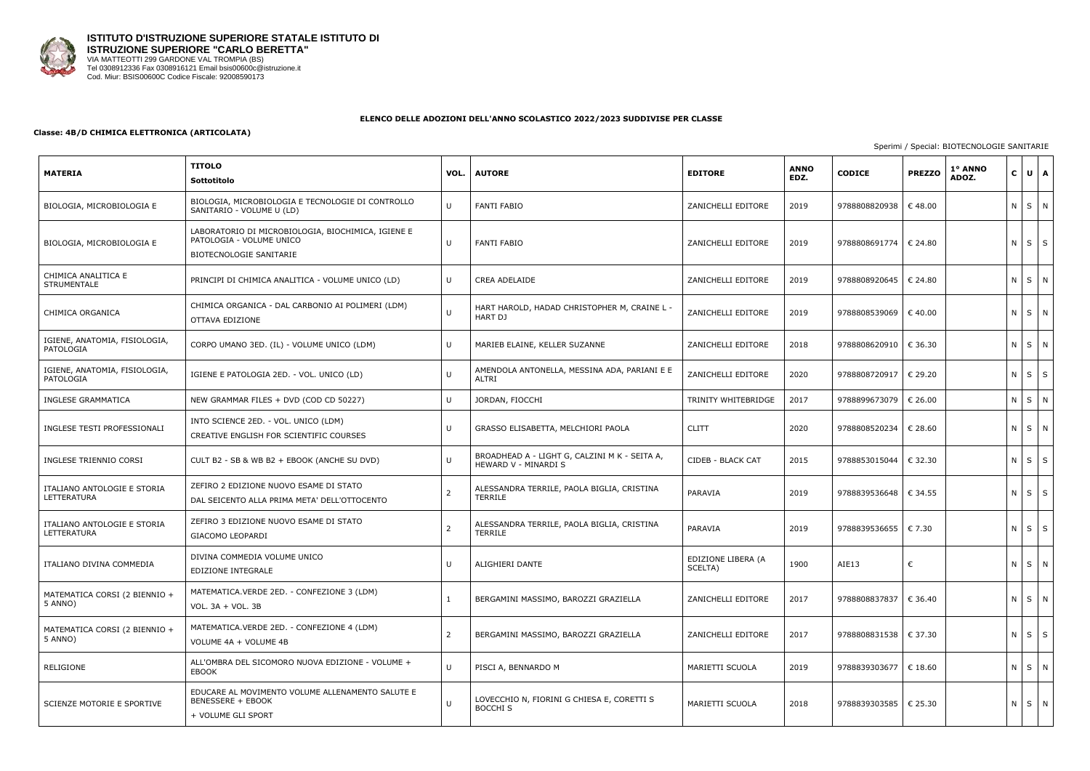

## **Classe: 4B/D CHIMICA ELETTRONICA (ARTICOLATA)**

## Sperimi / Special: BIOTECNOLOGIE SANITARIE

| <b>MATERIA</b>                             | <b>TITOLO</b><br>Sottotitolo                                                                              | VOL.           | <b>AUTORE</b>                                                         | <b>EDITORE</b>                | <b>ANNO</b><br>EDZ. | <b>CODICE</b>           | <b>PREZZO</b>    | 1º ANNO<br>ADOZ. | $C \bigcup U \bigcap A$ |   |
|--------------------------------------------|-----------------------------------------------------------------------------------------------------------|----------------|-----------------------------------------------------------------------|-------------------------------|---------------------|-------------------------|------------------|------------------|-------------------------|---|
| BIOLOGIA, MICROBIOLOGIA E                  | BIOLOGIA, MICROBIOLOGIA E TECNOLOGIE DI CONTROLLO<br>SANITARIO - VOLUME U (LD)                            | U              | <b>FANTI FABIO</b>                                                    | ZANICHELLI EDITORE            | 2019                | 9788808820938           | $\epsilon$ 48.00 |                  | N S N                   |   |
| BIOLOGIA, MICROBIOLOGIA E                  | LABORATORIO DI MICROBIOLOGIA, BIOCHIMICA, IGIENE E<br>PATOLOGIA - VOLUME UNICO<br>BIOTECNOLOGIE SANITARIE | U              | <b>FANTI FABIO</b>                                                    | ZANICHELLI EDITORE            | 2019                | 9788808691774           | € 24.80          |                  | $N$ $S$ $S$             |   |
| CHIMICA ANALITICA E<br><b>STRUMENTALE</b>  | PRINCIPI DI CHIMICA ANALITICA - VOLUME UNICO (LD)                                                         | U              | <b>CREA ADELAIDE</b>                                                  | ZANICHELLI EDITORE            | 2019                | 9788808920645           | € 24.80          |                  | NSN                     |   |
| CHIMICA ORGANICA                           | CHIMICA ORGANICA - DAL CARBONIO AI POLIMERI (LDM)<br>OTTAVA EDIZIONE                                      | U              | HART HAROLD, HADAD CHRISTOPHER M, CRAINE L -<br>HART DJ               | ZANICHELLI EDITORE            | 2019                | 9788808539069           | $\epsilon$ 40.00 |                  | N S N                   |   |
| IGIENE, ANATOMIA, FISIOLOGIA,<br>PATOLOGIA | CORPO UMANO 3ED. (IL) - VOLUME UNICO (LDM)                                                                | U              | MARIEB ELAINE, KELLER SUZANNE                                         | ZANICHELLI EDITORE            | 2018                | 9788808620910   € 36.30 |                  |                  | N S N                   |   |
| IGIENE, ANATOMIA, FISIOLOGIA,<br>PATOLOGIA | IGIENE E PATOLOGIA 2ED. - VOL. UNICO (LD)                                                                 | U              | AMENDOLA ANTONELLA, MESSINA ADA, PARIANI E E<br>ALTRI                 | ZANICHELLI EDITORE            | 2020                | 9788808720917           | € 29.20          |                  | $N$ $S$ $S$             |   |
| <b>INGLESE GRAMMATICA</b>                  | NEW GRAMMAR FILES + DVD (COD CD 50227)                                                                    | U              | JORDAN, FIOCCHI                                                       | TRINITY WHITEBRIDGE           | 2017                | 9788899673079           | € 26.00          |                  | N S                     | N |
| INGLESE TESTI PROFESSIONALI                | INTO SCIENCE 2ED. - VOL. UNICO (LDM)<br>CREATIVE ENGLISH FOR SCIENTIFIC COURSES                           | $\cup$         | GRASSO ELISABETTA, MELCHIORI PAOLA                                    | <b>CLITT</b>                  | 2020                | 9788808520234           | € 28.60          |                  | N S N                   |   |
| INGLESE TRIENNIO CORSI                     | CULT B2 - SB & WB B2 + EBOOK (ANCHE SU DVD)                                                               | $\cup$         | BROADHEAD A - LIGHT G, CALZINI M K - SEITA A,<br>HEWARD V - MINARDI S | CIDEB - BLACK CAT             | 2015                | 9788853015044           | € 32.30          |                  | $N$ $S$ $S$             |   |
| ITALIANO ANTOLOGIE E STORIA<br>LETTERATURA | ZEFIRO 2 EDIZIONE NUOVO ESAME DI STATO<br>DAL SEICENTO ALLA PRIMA META' DELL'OTTOCENTO                    | 2              | ALESSANDRA TERRILE, PAOLA BIGLIA, CRISTINA<br>TERRILE                 | PARAVIA                       | 2019                | 9788839536648   € 34.55 |                  |                  | NSS                     |   |
| ITALIANO ANTOLOGIE E STORIA<br>LETTERATURA | ZEFIRO 3 EDIZIONE NUOVO ESAME DI STATO<br>GIACOMO LEOPARDI                                                | $\overline{2}$ | ALESSANDRA TERRILE, PAOLA BIGLIA, CRISTINA<br>TERRILE                 | PARAVIA                       | 2019                | 9788839536655           | € 7.30           |                  | $N$ $S$ $S$             |   |
| ITALIANO DIVINA COMMEDIA                   | DIVINA COMMEDIA VOLUME UNICO<br>EDIZIONE INTEGRALE                                                        |                | ALIGHIERI DANTE                                                       | EDIZIONE LIBERA (A<br>SCELTA) | 1900                | AIE13                   | €                |                  | N S N                   |   |
| MATEMATICA CORSI (2 BIENNIO +<br>5 ANNO)   | MATEMATICA.VERDE 2ED. - CONFEZIONE 3 (LDM)<br>VOL. 3A + VOL. 3B                                           | $\mathbf{1}$   | BERGAMINI MASSIMO, BAROZZI GRAZIELLA                                  | ZANICHELLI EDITORE            | 2017                | 9788808837837           | € 36.40          |                  | N S N                   |   |
| MATEMATICA CORSI (2 BIENNIO +<br>5 ANNO)   | MATEMATICA.VERDE 2ED. - CONFEZIONE 4 (LDM)<br>VOLUME 4A + VOLUME 4B                                       | 2              | BERGAMINI MASSIMO, BAROZZI GRAZIELLA                                  | ZANICHELLI EDITORE            | 2017                | 9788808831538   € 37.30 |                  |                  | $N$ $S$ $S$             |   |
| RELIGIONE                                  | ALL'OMBRA DEL SICOMORO NUOVA EDIZIONE - VOLUME +<br>EBOOK                                                 | U              | PISCI A, BENNARDO M                                                   | MARIETTI SCUOLA               | 2019                | 9788839303677   € 18.60 |                  |                  | N S N                   |   |
| SCIENZE MOTORIE E SPORTIVE                 | EDUCARE AL MOVIMENTO VOLUME ALLENAMENTO SALUTE E<br><b>BENESSERE + EBOOK</b><br>+ VOLUME GLI SPORT        | U              | LOVECCHIO N, FIORINI G CHIESA E, CORETTI S<br><b>BOCCHI S</b>         | MARIETTI SCUOLA               | 2018                | 9788839303585   € 25.30 |                  |                  | N S N                   |   |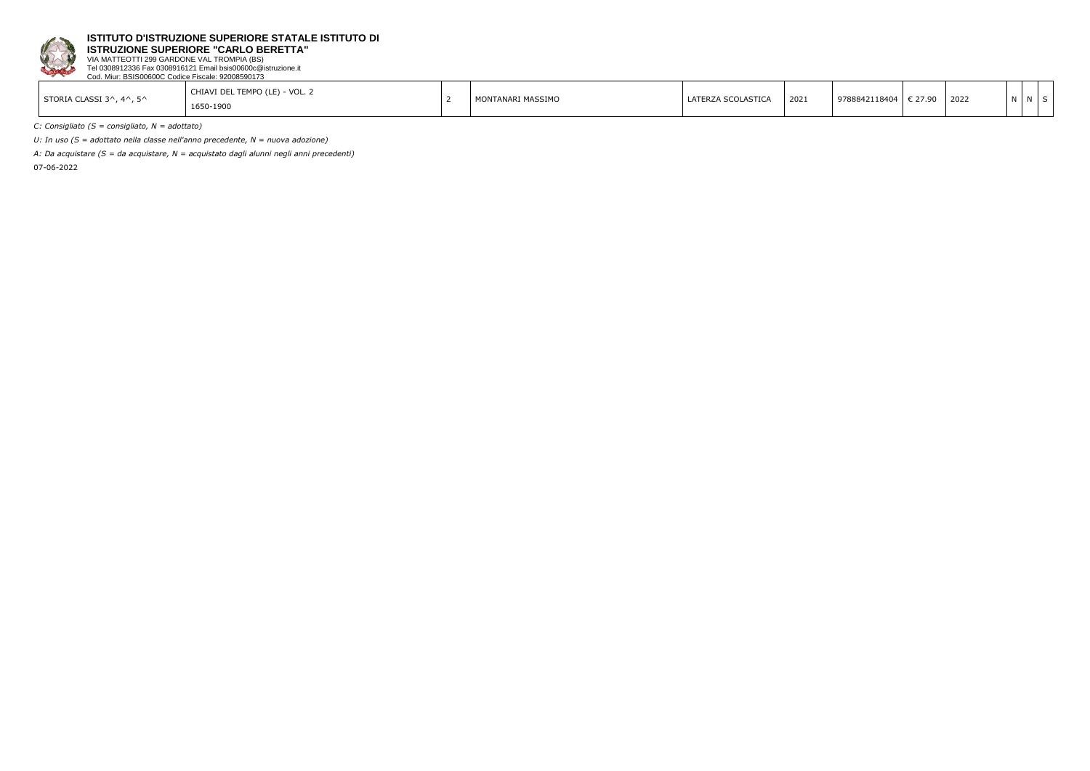

**ISTRUZIONE SUPERIORE "CARLO BERETTA"**

VIA MATTEOTTI 299 GARDONE VAL TROMPIA (BS) Tel 0308912336 Fax 0308916121 Email bsis00600c@istruzione.it Cod. Miur: BSIS00600C Codice Fiscale: 92008590173

| STORIA CLASSI 3^, 4^, 5^ | CHIAVI DEL TEMPO (LE) - VOL. 2<br>1650-1900 |  | MONTANARI MASSIMO | LATERZA SCOLASTICA | 2021 | 9788842118404 | € 27.90 | 2022 |  |  |  |
|--------------------------|---------------------------------------------|--|-------------------|--------------------|------|---------------|---------|------|--|--|--|
|--------------------------|---------------------------------------------|--|-------------------|--------------------|------|---------------|---------|------|--|--|--|

*C: Consigliato (S = consigliato, N = adottato)*

*U: In uso (S = adottato nella classe nell'anno precedente, N = nuova adozione)*

*A: Da acquistare (S = da acquistare, N = acquistato dagli alunni negli anni precedenti)*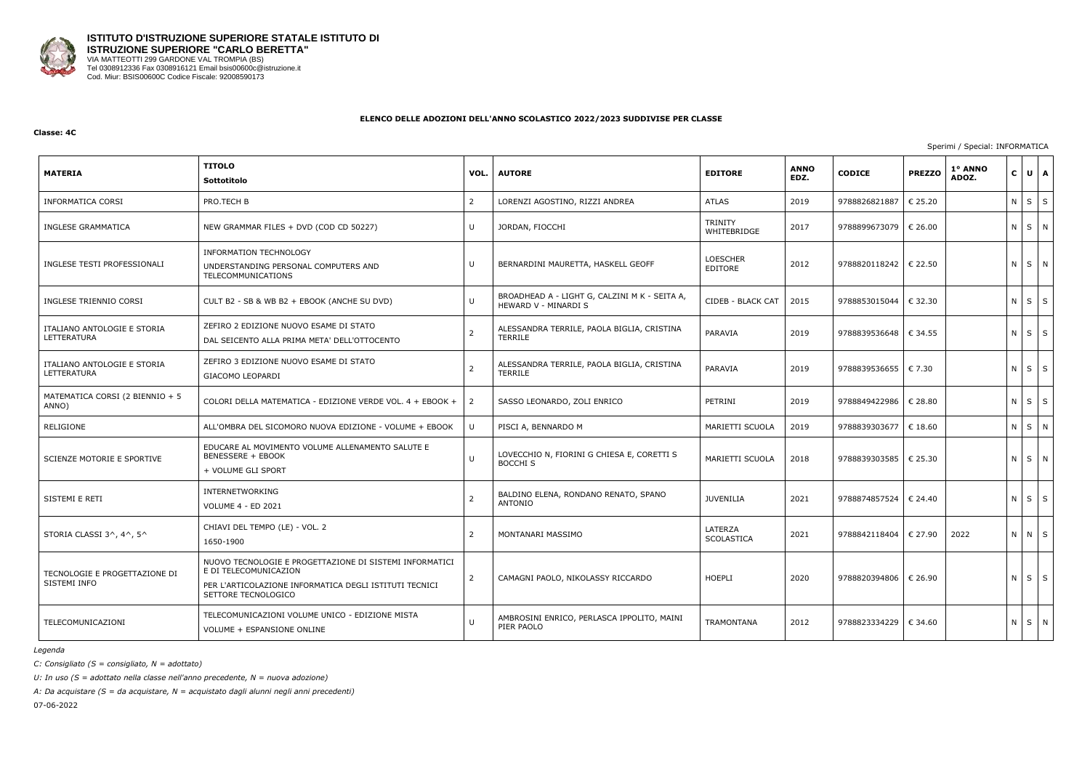

#### **Classe: 4C**

Sperimi / Special: INFORMATICA

| <b>MATERIA</b>                                | <b>TITOLO</b><br>Sottotitolo                                                                                                                                      | VOL.           | <b>AUTORE</b>                                                         | <b>EDITORE</b>                | <b>ANNO</b><br>EDZ. | <b>CODICE</b>                    | <b>PREZZO</b> | 1° ANNO<br>ADOZ. | $\mathsf{C}$ | UA          |
|-----------------------------------------------|-------------------------------------------------------------------------------------------------------------------------------------------------------------------|----------------|-----------------------------------------------------------------------|-------------------------------|---------------------|----------------------------------|---------------|------------------|--------------|-------------|
| <b>INFORMATICA CORSI</b>                      | PRO.TECH B                                                                                                                                                        | $\overline{2}$ | LORENZI AGOSTINO, RIZZI ANDREA                                        | <b>ATLAS</b>                  | 2019                | 9788826821887                    | € 25.20       |                  |              | $N$ $S$ $S$ |
| INGLESE GRAMMATICA                            | NEW GRAMMAR FILES + DVD (COD CD 50227)                                                                                                                            | U              | JORDAN, FIOCCHI                                                       | <b>TRINITY</b><br>WHITEBRIDGE | 2017                | 9788899673079                    | € 26.00       |                  |              | N S N       |
| INGLESE TESTI PROFESSIONALI                   | <b>INFORMATION TECHNOLOGY</b><br>UNDERSTANDING PERSONAL COMPUTERS AND<br>TELECOMMUNICATIONS                                                                       | U              | BERNARDINI MAURETTA, HASKELL GEOFF                                    | <b>LOESCHER</b><br>EDITORE    | 2012                | 9788820118242   € 22.50          |               |                  |              | NSN         |
| INGLESE TRIENNIO CORSI                        | CULT B2 - SB & WB B2 + EBOOK (ANCHE SU DVD)                                                                                                                       | $\cup$         | BROADHEAD A - LIGHT G, CALZINI M K - SEITA A,<br>HEWARD V - MINARDI S | CIDEB - BLACK CAT             | 2015                | 9788853015044   € 32.30          |               |                  |              | $N$ $S$ $S$ |
| ITALIANO ANTOLOGIE E STORIA<br>LETTERATURA    | ZEFIRO 2 EDIZIONE NUOVO ESAME DI STATO<br>DAL SEICENTO ALLA PRIMA META' DELL'OTTOCENTO                                                                            | 2              | ALESSANDRA TERRILE, PAOLA BIGLIA, CRISTINA<br>TERRILE                 | PARAVIA                       | 2019                | 9788839536648   € 34.55          |               |                  |              | $N$ $S$ $S$ |
| ITALIANO ANTOLOGIE E STORIA<br>LETTERATURA    | ZEFIRO 3 EDIZIONE NUOVO ESAME DI STATO<br>GIACOMO LEOPARDI                                                                                                        | $\overline{2}$ | ALESSANDRA TERRILE, PAOLA BIGLIA, CRISTINA<br>TERRILE                 | PARAVIA                       | 2019                | 9788839536655   € 7.30           |               |                  |              | $N$ $S$ $S$ |
| MATEMATICA CORSI (2 BIENNIO + 5<br>ANNO)      | COLORI DELLA MATEMATICA - EDIZIONE VERDE VOL. 4 + EBOOK +                                                                                                         | 2              | SASSO LEONARDO, ZOLI ENRICO                                           | PETRINI                       | 2019                | 9788849422986                    | € 28.80       |                  |              | $N$ $S$ $S$ |
| RELIGIONE                                     | ALL'OMBRA DEL SICOMORO NUOVA EDIZIONE - VOLUME + EBOOK                                                                                                            | U              | PISCI A, BENNARDO M                                                   | MARIETTI SCUOLA               | 2019                | 9788839303677   € 18.60          |               |                  |              | N S N       |
| SCIENZE MOTORIE E SPORTIVE                    | EDUCARE AL MOVIMENTO VOLUME ALLENAMENTO SALUTE E<br><b>BENESSERE + EBOOK</b><br>+ VOLUME GLI SPORT                                                                | U              | LOVECCHIO N, FIORINI G CHIESA E, CORETTI S<br><b>BOCCHI S</b>         | MARIETTI SCUOLA               | 2018                | 9788839303585                    | € 25.30       |                  |              | N S N       |
| SISTEMI E RETI                                | INTERNETWORKING<br><b>VOLUME 4 - ED 2021</b>                                                                                                                      |                | BALDINO ELENA, RONDANO RENATO, SPANO<br>ANTONIO                       | <b>JUVENILIA</b>              | 2021                | 9788874857524                    | € 24.40       |                  |              | $N$ $S$ $S$ |
| STORIA CLASSI 3^, 4^, 5^                      | CHIAVI DEL TEMPO (LE) - VOL. 2<br>1650-1900                                                                                                                       | 2              | MONTANARI MASSIMO                                                     | LATERZA<br>SCOLASTICA         | 2021                | 9788842118404                    | € 27.90       | 2022             |              | N N S       |
| TECNOLOGIE E PROGETTAZIONE DI<br>SISTEMI INFO | NUOVO TECNOLOGIE E PROGETTAZIONE DI SISTEMI INFORMATICI<br>E DI TELECOMUNICAZION<br>PER L'ARTICOLAZIONE INFORMATICA DEGLI ISTITUTI TECNICI<br>SETTORE TECNOLOGICO | 2              | CAMAGNI PAOLO, NIKOLASSY RICCARDO                                     | <b>HOEPLI</b>                 | 2020                | 9788820394806   € 26.90          |               |                  |              | $N$ $S$ $S$ |
| TELECOMUNICAZIONI                             | TELECOMUNICAZIONI VOLUME UNICO - EDIZIONE MISTA<br>VOLUME + ESPANSIONE ONLINE                                                                                     | U              | AMBROSINI ENRICO, PERLASCA IPPOLITO, MAINI<br>PIER PAOLO              | <b>TRAMONTANA</b>             | 2012                | 9788823334229 <del>€</del> 34.60 |               |                  |              | N S N       |

*Legenda*

*C: Consigliato (S = consigliato, N = adottato)*

*U: In uso (S = adottato nella classe nell'anno precedente, N = nuova adozione)*

*A: Da acquistare (S = da acquistare, N = acquistato dagli alunni negli anni precedenti)*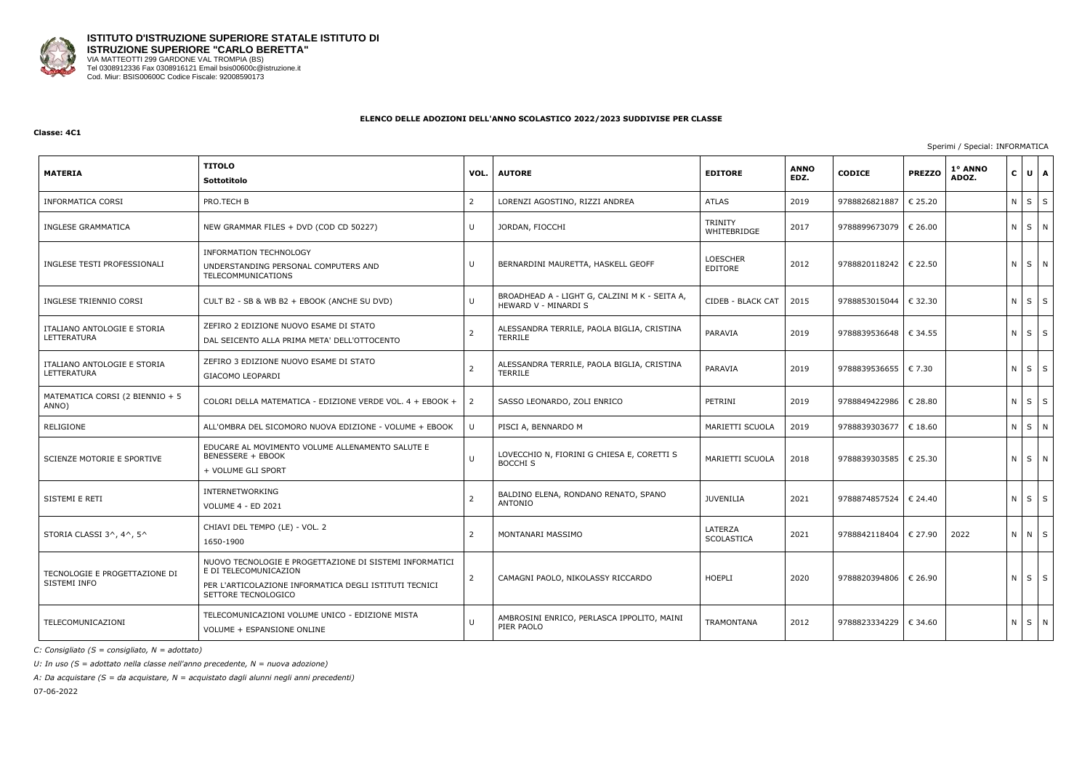

#### **Classe: 4C1**

Sperimi / Special: INFORMATICA

| <b>MATERIA</b>                                | <b>TITOLO</b><br>Sottotitolo                                                                                                                                      | VOL.           | <b>AUTORE</b>                                                         | <b>EDITORE</b>                | <b>ANNO</b><br>EDZ. | <b>CODICE</b>                    | <b>PREZZO</b> | 1° ANNO<br>ADOZ. | $\mathsf{C}$ | UA          |  |
|-----------------------------------------------|-------------------------------------------------------------------------------------------------------------------------------------------------------------------|----------------|-----------------------------------------------------------------------|-------------------------------|---------------------|----------------------------------|---------------|------------------|--------------|-------------|--|
| <b>INFORMATICA CORSI</b>                      | PRO.TECH B                                                                                                                                                        | $\overline{2}$ | LORENZI AGOSTINO, RIZZI ANDREA                                        | <b>ATLAS</b>                  | 2019                | 9788826821887                    | € 25.20       |                  |              | $N$ $S$ $S$ |  |
| INGLESE GRAMMATICA                            | NEW GRAMMAR FILES + DVD (COD CD 50227)                                                                                                                            | U              | JORDAN, FIOCCHI                                                       | <b>TRINITY</b><br>WHITEBRIDGE | 2017                | 9788899673079                    | € 26.00       |                  |              | N S N       |  |
| INGLESE TESTI PROFESSIONALI                   | INFORMATION TECHNOLOGY<br>UNDERSTANDING PERSONAL COMPUTERS AND<br>TELECOMMUNICATIONS                                                                              | U              | BERNARDINI MAURETTA, HASKELL GEOFF                                    | <b>LOESCHER</b><br>EDITORE    | 2012                | 9788820118242   € 22.50          |               |                  |              | NSN         |  |
| INGLESE TRIENNIO CORSI                        | CULT B2 - SB & WB B2 + EBOOK (ANCHE SU DVD)                                                                                                                       | U              | BROADHEAD A - LIGHT G, CALZINI M K - SEITA A,<br>HEWARD V - MINARDI S | CIDEB - BLACK CAT             | 2015                | 9788853015044   € 32.30          |               |                  |              | $N$ $S$ $S$ |  |
| ITALIANO ANTOLOGIE E STORIA<br>LETTERATURA    | ZEFIRO 2 EDIZIONE NUOVO ESAME DI STATO<br>DAL SEICENTO ALLA PRIMA META' DELL'OTTOCENTO                                                                            | $\overline{2}$ | ALESSANDRA TERRILE, PAOLA BIGLIA, CRISTINA<br>TERRILE                 | PARAVIA                       | 2019                | 9788839536648   € 34.55          |               |                  |              | $N$ $S$ $S$ |  |
| ITALIANO ANTOLOGIE E STORIA<br>LETTERATURA    | ZEFIRO 3 EDIZIONE NUOVO ESAME DI STATO<br><b>GIACOMO LEOPARDI</b>                                                                                                 | $\overline{2}$ | ALESSANDRA TERRILE, PAOLA BIGLIA, CRISTINA<br>TERRILE                 | PARAVIA                       | 2019                | 9788839536655   € 7.30           |               |                  |              | $N$ $S$ $S$ |  |
| MATEMATICA CORSI (2 BIENNIO + 5<br>ANNO)      | COLORI DELLA MATEMATICA - EDIZIONE VERDE VOL. 4 + EBOOK +                                                                                                         | $\overline{2}$ | SASSO LEONARDO, ZOLI ENRICO                                           | PETRINI                       | 2019                | 9788849422986                    | € 28.80       |                  |              | $N$ $S$ $S$ |  |
| RELIGIONE                                     | ALL'OMBRA DEL SICOMORO NUOVA EDIZIONE - VOLUME + EBOOK                                                                                                            | U              | PISCI A, BENNARDO M                                                   | MARIETTI SCUOLA               | 2019                | 9788839303677   € 18.60          |               |                  |              | N S N       |  |
| SCIENZE MOTORIE E SPORTIVE                    | EDUCARE AL MOVIMENTO VOLUME ALLENAMENTO SALUTE E<br><b>BENESSERE + EBOOK</b><br>+ VOLUME GLI SPORT                                                                | U              | LOVECCHIO N, FIORINI G CHIESA E, CORETTI S<br><b>BOCCHI S</b>         | MARIETTI SCUOLA               | 2018                | 9788839303585                    | € 25.30       |                  |              | N S N       |  |
| SISTEMI E RETI                                | INTERNETWORKING<br><b>VOLUME 4 - ED 2021</b>                                                                                                                      | 2              | BALDINO ELENA, RONDANO RENATO, SPANO<br>ANTONIO                       | <b>JUVENILIA</b>              | 2021                | 9788874857524                    | € 24.40       |                  |              | $N$ $S$ $S$ |  |
| STORIA CLASSI 3^, 4^, 5^                      | CHIAVI DEL TEMPO (LE) - VOL. 2<br>1650-1900                                                                                                                       | 2              | MONTANARI MASSIMO                                                     | LATERZA<br>SCOLASTICA         | 2021                | 9788842118404                    | € 27.90       | 2022             |              | N N S       |  |
| TECNOLOGIE E PROGETTAZIONE DI<br>SISTEMI INFO | NUOVO TECNOLOGIE E PROGETTAZIONE DI SISTEMI INFORMATICI<br>E DI TELECOMUNICAZION<br>PER L'ARTICOLAZIONE INFORMATICA DEGLI ISTITUTI TECNICI<br>SETTORE TECNOLOGICO | $\overline{2}$ | CAMAGNI PAOLO, NIKOLASSY RICCARDO                                     | HOEPLI                        | 2020                | 9788820394806   € 26.90          |               |                  |              | $N$ $S$ $S$ |  |
| TELECOMUNICAZIONI                             | TELECOMUNICAZIONI VOLUME UNICO - EDIZIONE MISTA<br>VOLUME + ESPANSIONE ONLINE                                                                                     | U              | AMBROSINI ENRICO, PERLASCA IPPOLITO, MAINI<br>PIER PAOLO              | TRAMONTANA                    | 2012                | 9788823334229 <del>€</del> 34.60 |               |                  |              | N S N       |  |

*C: Consigliato (S = consigliato, N = adottato)*

*U: In uso (S = adottato nella classe nell'anno precedente, N = nuova adozione)*

*A: Da acquistare (S = da acquistare, N = acquistato dagli alunni negli anni precedenti)*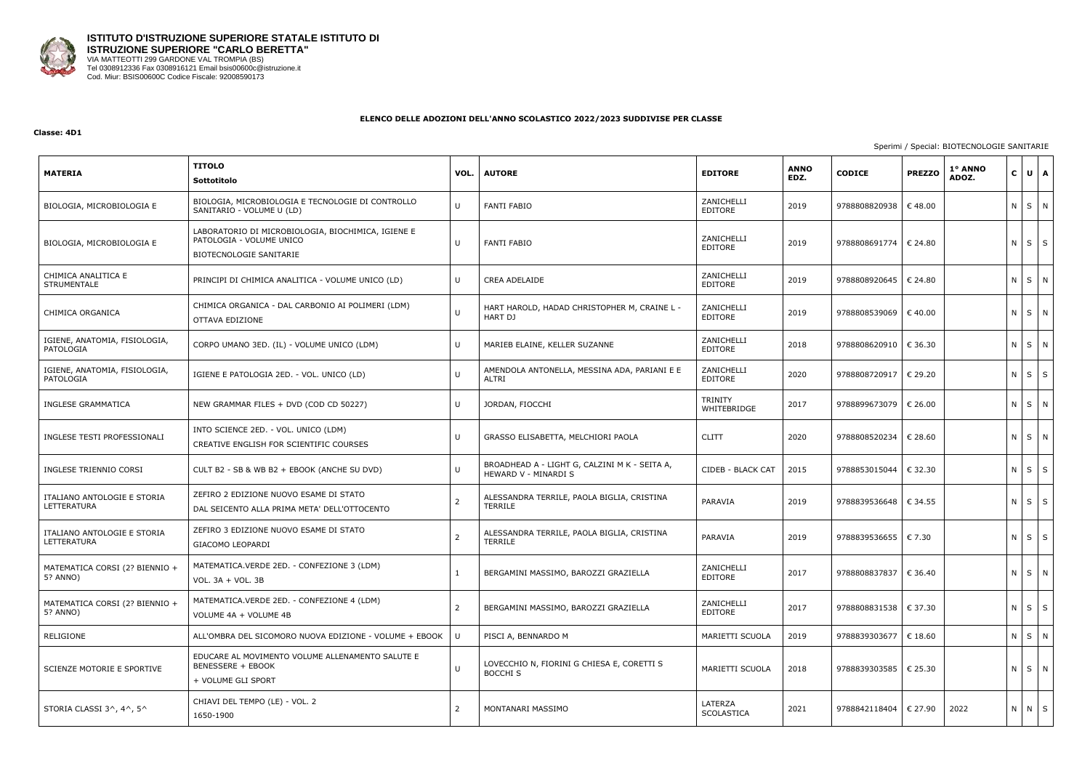

#### **Classe: 4D1**

#### Sperimi / Special: BIOTECNOLOGIE SANITARIE

| <b>MATERIA</b>                             | <b>TITOLO</b><br>Sottotitolo                                                                              | VOL.         | <b>AUTORE</b>                                                         | <b>EDITORE</b>         | <b>ANNO</b><br>EDZ. | <b>CODICE</b>           | <b>PREZZO</b>    | 1° ANNO<br>ADOZ. |         | $C \bigcup U \bigcap A$ |              |
|--------------------------------------------|-----------------------------------------------------------------------------------------------------------|--------------|-----------------------------------------------------------------------|------------------------|---------------------|-------------------------|------------------|------------------|---------|-------------------------|--------------|
| BIOLOGIA, MICROBIOLOGIA E                  | BIOLOGIA, MICROBIOLOGIA E TECNOLOGIE DI CONTROLLO<br>SANITARIO - VOLUME U (LD)                            | U            | <b>FANTI FABIO</b>                                                    | ZANICHELLI<br>EDITORE  | 2019                | 9788808820938           | $\epsilon$ 48.00 |                  |         | N S N                   |              |
| BIOLOGIA, MICROBIOLOGIA E                  | LABORATORIO DI MICROBIOLOGIA, BIOCHIMICA, IGIENE E<br>PATOLOGIA - VOLUME UNICO<br>BIOTECNOLOGIE SANITARIE | U            | <b>FANTI FABIO</b>                                                    | ZANICHELLI<br>EDITORE  | 2019                | 9788808691774           | $\epsilon$ 24.80 |                  |         | $N$ $S$                 | S            |
| CHIMICA ANALITICA E<br>STRUMENTALE         | PRINCIPI DI CHIMICA ANALITICA - VOLUME UNICO (LD)                                                         | U            | <b>CREA ADELAIDE</b>                                                  | ZANICHELLI<br>EDITORE  | 2019                | 9788808920645           | € 24.80          |                  |         | $N$ $S$                 | N            |
| CHIMICA ORGANICA                           | CHIMICA ORGANICA - DAL CARBONIO AI POLIMERI (LDM)<br>OTTAVA EDIZIONE                                      |              | HART HAROLD, HADAD CHRISTOPHER M, CRAINE L -<br>HART DJ               | ZANICHELLI<br>EDITORE  | 2019                | 9788808539069           | € 40.00          |                  |         | N S N                   |              |
| IGIENE, ANATOMIA, FISIOLOGIA,<br>PATOLOGIA | CORPO UMANO 3ED. (IL) - VOLUME UNICO (LDM)                                                                | U            | MARIEB ELAINE, KELLER SUZANNE                                         | ZANICHELLI<br>EDITORE  | 2018                | 9788808620910   € 36.30 |                  |                  |         | N S N                   |              |
| IGIENE, ANATOMIA, FISIOLOGIA,<br>PATOLOGIA | IGIENE E PATOLOGIA 2ED. - VOL. UNICO (LD)                                                                 |              | AMENDOLA ANTONELLA, MESSINA ADA, PARIANI E E<br>ALTRI                 | ZANICHELLI<br>EDITORE  | 2020                | 9788808720917           | € 29.20          |                  |         | $N$ $S$                 | S            |
| <b>INGLESE GRAMMATICA</b>                  | NEW GRAMMAR FILES + DVD (COD CD 50227)                                                                    | U            | JORDAN, FIOCCHI                                                       | TRINITY<br>WHITEBRIDGE | 2017                | 9788899673079           | $\epsilon$ 26.00 |                  |         | N S N                   |              |
| INGLESE TESTI PROFESSIONALI                | INTO SCIENCE 2ED. - VOL. UNICO (LDM)<br>CREATIVE ENGLISH FOR SCIENTIFIC COURSES                           | U            | GRASSO ELISABETTA, MELCHIORI PAOLA                                    | <b>CLITT</b>           | 2020                | 9788808520234           | € 28.60          |                  |         | NSN                     |              |
| INGLESE TRIENNIO CORSI                     | CULT B2 - SB & WB B2 + EBOOK (ANCHE SU DVD)                                                               | $\mathbf{U}$ | BROADHEAD A - LIGHT G, CALZINI M K - SEITA A,<br>HEWARD V - MINARDI S | CIDEB - BLACK CAT      | 2015                | 9788853015044           | € 32.30          |                  |         | $N$ $S$                 | S            |
| ITALIANO ANTOLOGIE E STORIA<br>LETTERATURA | ZEFIRO 2 EDIZIONE NUOVO ESAME DI STATO<br>DAL SEICENTO ALLA PRIMA META' DELL'OTTOCENTO                    | 2            | ALESSANDRA TERRILE, PAOLA BIGLIA, CRISTINA<br><b>TERRILE</b>          | PARAVIA                | 2019                | 9788839536648           | € 34.55          |                  |         | $N$ $S$                 | $\mathsf{S}$ |
| ITALIANO ANTOLOGIE E STORIA<br>LETTERATURA | ZEFIRO 3 EDIZIONE NUOVO ESAME DI STATO<br>GIACOMO LEOPARDI                                                | 2            | ALESSANDRA TERRILE, PAOLA BIGLIA, CRISTINA<br><b>TERRILE</b>          | PARAVIA                | 2019                | 9788839536655           | $\epsilon$ 7.30  |                  | $N$ $S$ |                         | $\mathsf{S}$ |
| MATEMATICA CORSI (2? BIENNIO +<br>5? ANNO) | MATEMATICA. VERDE 2ED. - CONFEZIONE 3 (LDM)<br>VOL. 3A + VOL. 3B                                          |              | BERGAMINI MASSIMO, BAROZZI GRAZIELLA                                  | ZANICHELLI<br>EDITORE  | 2017                | 9788808837837   € 36.40 |                  |                  |         | N S N                   |              |
| MATEMATICA CORSI (2? BIENNIO +<br>5? ANNO) | MATEMATICA.VERDE 2ED. - CONFEZIONE 4 (LDM)<br>VOLUME 4A + VOLUME 4B                                       |              | BERGAMINI MASSIMO, BAROZZI GRAZIELLA                                  | ZANICHELLI<br>EDITORE  | 2017                | 9788808831538   € 37.30 |                  |                  |         | $N$ $S$ $S$             |              |
| RELIGIONE                                  | ALL'OMBRA DEL SICOMORO NUOVA EDIZIONE - VOLUME + EBOOK                                                    | U            | PISCI A, BENNARDO M                                                   | MARIETTI SCUOLA        | 2019                | 9788839303677   € 18.60 |                  |                  |         | N S N                   |              |
| SCIENZE MOTORIE E SPORTIVE                 | EDUCARE AL MOVIMENTO VOLUME ALLENAMENTO SALUTE E<br><b>BENESSERE + EBOOK</b><br>+ VOLUME GLI SPORT        |              | LOVECCHIO N, FIORINI G CHIESA E, CORETTI S<br>BOCCHI S                | MARIETTI SCUOLA        | 2018                | 9788839303585   € 25.30 |                  |                  |         | N S N                   |              |
| STORIA CLASSI 3^, 4^, 5^                   | CHIAVI DEL TEMPO (LE) - VOL. 2<br>1650-1900                                                               | 2            | MONTANARI MASSIMO                                                     | LATERZA<br>SCOLASTICA  | 2021                | 9788842118404   € 27.90 |                  | 2022             |         | N N S                   |              |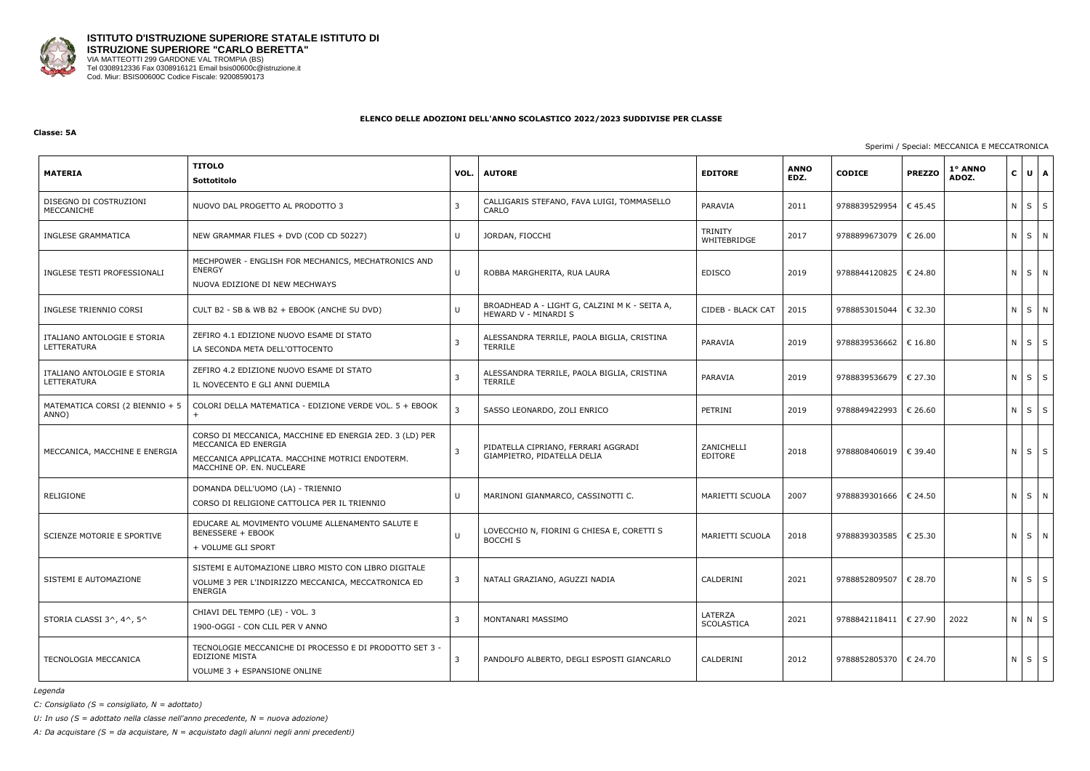

#### **Classe: 5A**

Sperimi / Special: MECCANICA E MECCATRONICA

| <b>MATERIA</b>                             | <b>TITOLO</b><br>Sottotitolo                                                                                                                                    | VOL. | <b>AUTORE</b>                                                         | <b>EDITORE</b>         | <b>ANNO</b><br>EDZ. | <b>CODICE</b>           | <b>PREZZO</b> | 1° ANNO<br>ADOZ. | $\mathbf{C}$ | $U$ $A$     |
|--------------------------------------------|-----------------------------------------------------------------------------------------------------------------------------------------------------------------|------|-----------------------------------------------------------------------|------------------------|---------------------|-------------------------|---------------|------------------|--------------|-------------|
| DISEGNO DI COSTRUZIONI<br>MECCANICHE       | NUOVO DAL PROGETTO AL PRODOTTO 3                                                                                                                                |      | CALLIGARIS STEFANO, FAVA LUIGI, TOMMASELLO<br>CARLO                   | PARAVIA                | 2011                | 9788839529954           | €45.45        |                  | $N$ $S$      | S           |
| INGLESE GRAMMATICA                         | NEW GRAMMAR FILES + DVD (COD CD 50227)                                                                                                                          | U    | JORDAN, FIOCCHI                                                       | TRINITY<br>WHITEBRIDGE | 2017                | 9788899673079           | € 26.00       |                  | $N$ $S$      | N           |
| INGLESE TESTI PROFESSIONALI                | MECHPOWER - ENGLISH FOR MECHANICS, MECHATRONICS AND<br><b>ENERGY</b><br>NUOVA EDIZIONE DI NEW MECHWAYS                                                          | U    | ROBBA MARGHERITA, RUA LAURA                                           | <b>EDISCO</b>          | 2019                | 9788844120825   € 24.80 |               |                  |              | N S N       |
| INGLESE TRIENNIO CORSI                     | CULT B2 - SB & WB B2 + EBOOK (ANCHE SU DVD)                                                                                                                     | U    | BROADHEAD A - LIGHT G, CALZINI M K - SEITA A,<br>HEWARD V - MINARDI S | CIDEB - BLACK CAT      | 2015                | 9788853015044           | € 32.30       |                  |              | NS N        |
| ITALIANO ANTOLOGIE E STORIA<br>LETTERATURA | ZEFIRO 4.1 EDIZIONE NUOVO ESAME DI STATO<br>LA SECONDA META DELL'OTTOCENTO                                                                                      |      | ALESSANDRA TERRILE, PAOLA BIGLIA, CRISTINA<br><b>TERRILE</b>          | PARAVIA                | 2019                | 9788839536662           | € 16.80       |                  | $N \mid S$   | S           |
| ITALIANO ANTOLOGIE E STORIA<br>LETTERATURA | ZEFIRO 4.2 EDIZIONE NUOVO ESAME DI STATO<br>IL NOVECENTO E GLI ANNI DUEMILA                                                                                     |      | ALESSANDRA TERRILE, PAOLA BIGLIA, CRISTINA<br><b>TERRILE</b>          | PARAVIA                | 2019                | 9788839536679   € 27.30 |               |                  | N S          | S           |
| MATEMATICA CORSI (2 BIENNIO + 5<br>ANNO)   | COLORI DELLA MATEMATICA - EDIZIONE VERDE VOL. 5 + EBOOK<br>$+$                                                                                                  |      | SASSO LEONARDO, ZOLI ENRICO                                           | PETRINI                | 2019                | 9788849422993           | € 26.60       |                  |              | $N$ $S$ $S$ |
| MECCANICA, MACCHINE E ENERGIA              | CORSO DI MECCANICA, MACCHINE ED ENERGIA 2ED. 3 (LD) PER<br>MECCANICA ED ENERGIA<br>MECCANICA APPLICATA. MACCHINE MOTRICI ENDOTERM.<br>MACCHINE OP. EN. NUCLEARE | -3   | PIDATELLA CIPRIANO, FERRARI AGGRADI<br>GIAMPIETRO, PIDATELLA DELIA    | ZANICHELLI<br>EDITORE  | 2018                | 9788808406019   € 39.40 |               |                  |              | $N$ $S$ $S$ |
| RELIGIONE                                  | DOMANDA DELL'UOMO (LA) - TRIENNIO<br>CORSO DI RELIGIONE CATTOLICA PER IL TRIENNIO                                                                               | U    | MARINONI GIANMARCO, CASSINOTTI C.                                     | MARIETTI SCUOLA        | 2007                | 9788839301666   € 24.50 |               |                  |              | N S N       |
| SCIENZE MOTORIE E SPORTIVE                 | EDUCARE AL MOVIMENTO VOLUME ALLENAMENTO SALUTE E<br><b>BENESSERE + EBOOK</b><br>+ VOLUME GLI SPORT                                                              | U    | LOVECCHIO N, FIORINI G CHIESA E, CORETTI S<br><b>BOCCHI S</b>         | MARIETTI SCUOLA        | 2018                | 9788839303585   € 25.30 |               |                  |              | NS N        |
| SISTEMI E AUTOMAZIONE                      | SISTEMI E AUTOMAZIONE LIBRO MISTO CON LIBRO DIGITALE<br>VOLUME 3 PER L'INDIRIZZO MECCANICA, MECCATRONICA ED<br>ENERGIA                                          | 3    | NATALI GRAZIANO, AGUZZI NADIA                                         | CALDERINI              | 2021                | 9788852809507           | € 28.70       |                  |              | $N$ $S$ $S$ |
| STORIA CLASSI 3^, 4^, 5^                   | CHIAVI DEL TEMPO (LE) - VOL. 3<br>1900-OGGI - CON CLIL PER V ANNO                                                                                               |      | MONTANARI MASSIMO                                                     | LATERZA<br>SCOLASTICA  | 2021                | 9788842118411   € 27.90 |               | 2022             |              | $N$ $N$ $S$ |
| TECNOLOGIA MECCANICA                       | TECNOLOGIE MECCANICHE DI PROCESSO E DI PRODOTTO SET 3 -<br><b>EDIZIONE MISTA</b><br>VOLUME 3 + ESPANSIONE ONLINE                                                | -3   | PANDOLFO ALBERTO, DEGLI ESPOSTI GIANCARLO                             | CALDERINI              | 2012                | 9788852805370   € 24.70 |               |                  |              | $N$ $S$ $S$ |

*Legenda*

*C: Consigliato (S = consigliato, N = adottato)*

*U: In uso (S = adottato nella classe nell'anno precedente, N = nuova adozione)*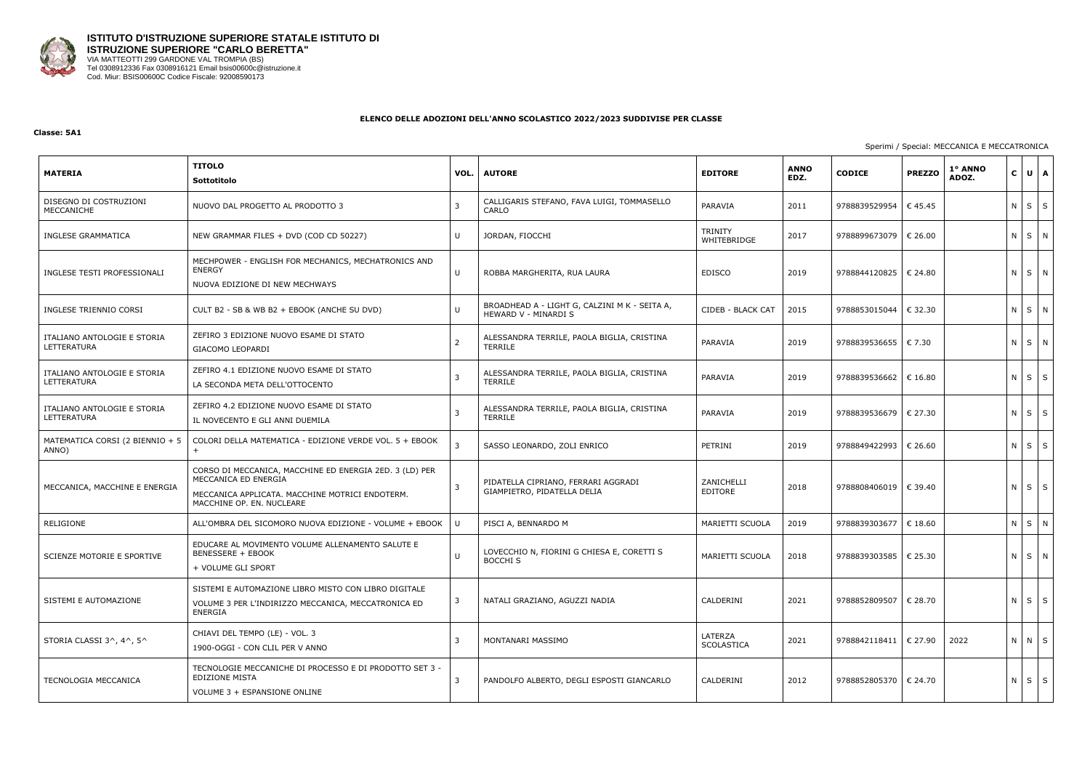

#### **Classe: 5A1**

## Sperimi / Special: MECCANICA E MECCATRONICA

| <b>MATERIA</b>                             | <b>TITOLO</b><br>Sottotitolo                                                                                                                                    | VOL.         | <b>AUTORE</b>                                                         | <b>EDITORE</b>                | <b>ANNO</b><br>EDZ. | <b>CODICE</b>           | <b>PREZZO</b>    | 1° ANNO<br>ADOZ. |            | $C \bigcup U \bigcap A$ |   |
|--------------------------------------------|-----------------------------------------------------------------------------------------------------------------------------------------------------------------|--------------|-----------------------------------------------------------------------|-------------------------------|---------------------|-------------------------|------------------|------------------|------------|-------------------------|---|
| DISEGNO DI COSTRUZIONI<br>MECCANICHE       | NUOVO DAL PROGETTO AL PRODOTTO 3                                                                                                                                | 3            | CALLIGARIS STEFANO, FAVA LUIGI, TOMMASELLO<br>CARLO                   | PARAVIA                       | 2011                | 9788839529954           | € 45.45          |                  | $N$ $S$    |                         | S |
| <b>INGLESE GRAMMATICA</b>                  | NEW GRAMMAR FILES + DVD (COD CD 50227)                                                                                                                          | U            | JORDAN, FIOCCHI                                                       | <b>TRINITY</b><br>WHITEBRIDGE | 2017                | 9788899673079           | $\epsilon$ 26.00 |                  |            | N S N                   |   |
| INGLESE TESTI PROFESSIONALI                | MECHPOWER - ENGLISH FOR MECHANICS, MECHATRONICS AND<br><b>ENERGY</b><br>NUOVA EDIZIONE DI NEW MECHWAYS                                                          | U            | ROBBA MARGHERITA, RUA LAURA                                           | <b>EDISCO</b>                 | 2019                | 9788844120825   € 24.80 |                  |                  |            | N S N                   |   |
| INGLESE TRIENNIO CORSI                     | CULT B2 - SB & WB B2 + EBOOK (ANCHE SU DVD)                                                                                                                     | U            | BROADHEAD A - LIGHT G, CALZINI M K - SEITA A,<br>HEWARD V - MINARDI S | CIDEB - BLACK CAT             | 2015                | 9788853015044           | € 32.30          |                  |            | N S N                   |   |
| ITALIANO ANTOLOGIE E STORIA<br>LETTERATURA | ZEFIRO 3 EDIZIONE NUOVO ESAME DI STATO<br>GIACOMO LEOPARDI                                                                                                      | 2            | ALESSANDRA TERRILE, PAOLA BIGLIA, CRISTINA<br><b>TERRILE</b>          | PARAVIA                       | 2019                | 9788839536655           | € 7.30           |                  |            | N S N                   |   |
| ITALIANO ANTOLOGIE E STORIA<br>LETTERATURA | ZEFIRO 4.1 EDIZIONE NUOVO ESAME DI STATO<br>LA SECONDA META DELL'OTTOCENTO                                                                                      |              | ALESSANDRA TERRILE, PAOLA BIGLIA, CRISTINA<br><b>TERRILE</b>          | PARAVIA                       | 2019                | 9788839536662   € 16.80 |                  |                  |            | $N$ $S$ $S$             |   |
| ITALIANO ANTOLOGIE E STORIA<br>LETTERATURA | ZEFIRO 4.2 EDIZIONE NUOVO ESAME DI STATO<br>IL NOVECENTO E GLI ANNI DUEMILA                                                                                     |              | ALESSANDRA TERRILE, PAOLA BIGLIA, CRISTINA<br><b>TERRILE</b>          | PARAVIA                       | 2019                | 9788839536679 € 27.30   |                  |                  |            | $N \mid S \mid S$       |   |
| MATEMATICA CORSI (2 BIENNIO + 5<br>ANNO)   | COLORI DELLA MATEMATICA - EDIZIONE VERDE VOL. 5 + EBOOK                                                                                                         | 3            | SASSO LEONARDO, ZOLI ENRICO                                           | PETRINI                       | 2019                | 9788849422993           | € 26.60          |                  | $N \mid S$ |                         | S |
| MECCANICA, MACCHINE E ENERGIA              | CORSO DI MECCANICA, MACCHINE ED ENERGIA 2ED. 3 (LD) PER<br>MECCANICA ED ENERGIA<br>MECCANICA APPLICATA. MACCHINE MOTRICI ENDOTERM.<br>MACCHINE OP. EN. NUCLEARE | $\mathbf{3}$ | PIDATELLA CIPRIANO, FERRARI AGGRADI<br>GIAMPIETRO, PIDATELLA DELIA    | ZANICHELLI<br>EDITORE         | 2018                | 9788808406019   € 39.40 |                  |                  |            | $N \mid S \mid S$       |   |
| RELIGIONE                                  | ALL'OMBRA DEL SICOMORO NUOVA EDIZIONE - VOLUME + EBOOK                                                                                                          | U            | PISCI A, BENNARDO M                                                   | MARIETTI SCUOLA               | 2019                | 9788839303677           | € 18.60          |                  |            | N S N                   |   |
| SCIENZE MOTORIE E SPORTIVE                 | EDUCARE AL MOVIMENTO VOLUME ALLENAMENTO SALUTE E<br><b>BENESSERE + EBOOK</b><br>+ VOLUME GLI SPORT                                                              | U            | LOVECCHIO N, FIORINI G CHIESA E, CORETTI S<br><b>BOCCHI S</b>         | MARIETTI SCUOLA               | 2018                | 9788839303585   € 25.30 |                  |                  |            | N S N                   |   |
| SISTEMI E AUTOMAZIONE                      | SISTEMI E AUTOMAZIONE LIBRO MISTO CON LIBRO DIGITALE<br>VOLUME 3 PER L'INDIRIZZO MECCANICA, MECCATRONICA ED<br>ENERGIA                                          | 3            | NATALI GRAZIANO, AGUZZI NADIA                                         | CALDERINI                     | 2021                | 9788852809507   € 28.70 |                  |                  |            | $N$ $S$ $S$             |   |
| STORIA CLASSI 3^, 4^, 5^                   | CHIAVI DEL TEMPO (LE) - VOL. 3<br>1900-OGGI - CON CLIL PER V ANNO                                                                                               | 3            | MONTANARI MASSIMO                                                     | LATERZA<br>SCOLASTICA         | 2021                | 9788842118411   € 27.90 |                  | 2022             |            | N N S                   |   |
| TECNOLOGIA MECCANICA                       | TECNOLOGIE MECCANICHE DI PROCESSO E DI PRODOTTO SET 3 -<br><b>EDIZIONE MISTA</b><br>VOLUME 3 + ESPANSIONE ONLINE                                                | 3            | PANDOLFO ALBERTO, DEGLI ESPOSTI GIANCARLO                             | CALDERINI                     | 2012                | 9788852805370   € 24.70 |                  |                  |            | N S S                   |   |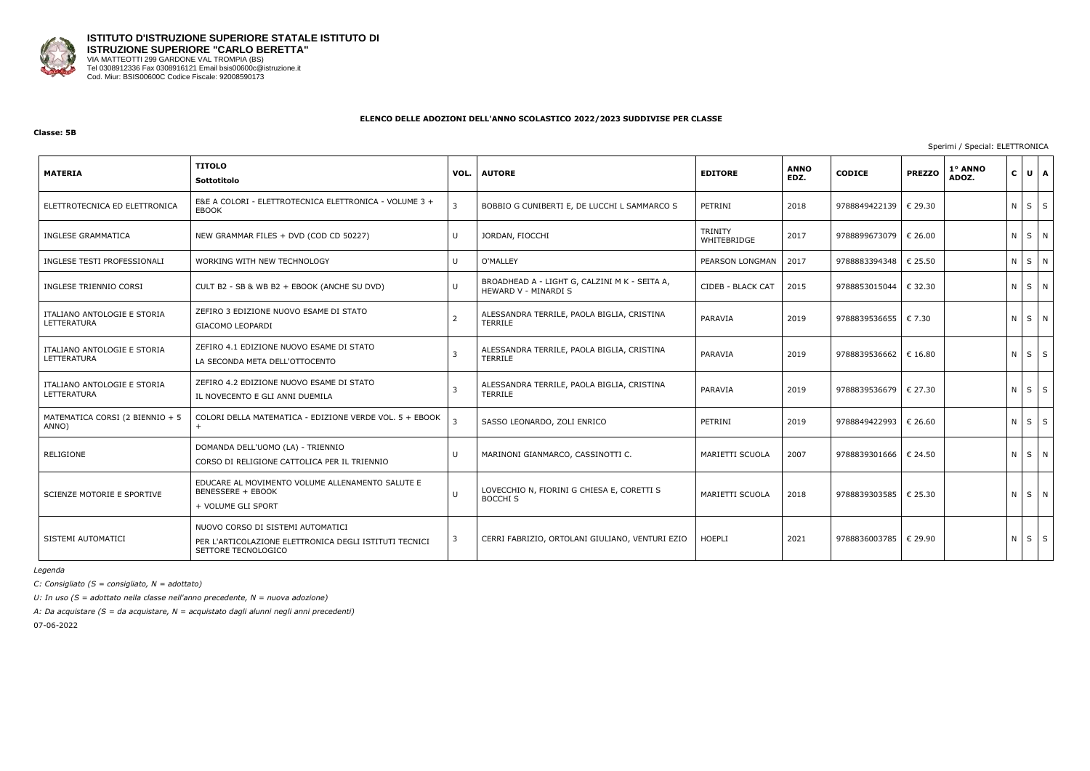

#### **Classe: 5B**

Sperimi / Special: ELETTRONICA

| <b>MATERIA</b>                             | <b>TITOLO</b><br>Sottotitolo                                                                                       | VOL.           | <b>AUTORE</b>                                                         | <b>EDITORE</b>                | <b>ANNO</b><br>EDZ. | <b>CODICE</b>           | <b>PREZZO</b> | 1° ANNO<br>ADOZ. | C U A       |  |
|--------------------------------------------|--------------------------------------------------------------------------------------------------------------------|----------------|-----------------------------------------------------------------------|-------------------------------|---------------------|-------------------------|---------------|------------------|-------------|--|
| ELETTROTECNICA ED ELETTRONICA              | E&E A COLORI - ELETTROTECNICA ELETTRONICA - VOLUME 3 +<br>EBOOK                                                    | 3              | BOBBIO G CUNIBERTI E, DE LUCCHI L SAMMARCO S                          | PETRINI                       | 2018                | 9788849422139   € 29.30 |               |                  | $N$ $S$ $S$ |  |
| INGLESE GRAMMATICA                         | NEW GRAMMAR FILES + DVD (COD CD 50227)                                                                             | U              | JORDAN, FIOCCHI                                                       | <b>TRINITY</b><br>WHITEBRIDGE | 2017                | 9788899673079   € 26.00 |               |                  | NSN         |  |
| INGLESE TESTI PROFESSIONALI                | WORKING WITH NEW TECHNOLOGY                                                                                        | U              | O'MALLEY                                                              | PEARSON LONGMAN               | 2017                | 9788883394348   € 25.50 |               |                  | NSN         |  |
| INGLESE TRIENNIO CORSI                     | CULT B2 - SB & WB B2 + EBOOK (ANCHE SU DVD)                                                                        | $\cup$         | BROADHEAD A - LIGHT G, CALZINI M K - SEITA A,<br>HEWARD V - MINARDI S | CIDEB - BLACK CAT             | 2015                | 9788853015044           | € 32.30       |                  | NSN         |  |
| ITALIANO ANTOLOGIE E STORIA<br>LETTERATURA | ZEFIRO 3 EDIZIONE NUOVO ESAME DI STATO<br>GIACOMO LEOPARDI                                                         | $\overline{2}$ | ALESSANDRA TERRILE, PAOLA BIGLIA, CRISTINA<br>TERRILE                 | PARAVIA                       | 2019                | 9788839536655   € 7.30  |               |                  | NSN         |  |
| ITALIANO ANTOLOGIE E STORIA<br>LETTERATURA | ZEFIRO 4.1 EDIZIONE NUOVO ESAME DI STATO<br>LA SECONDA META DELL'OTTOCENTO                                         | $\overline{3}$ | ALESSANDRA TERRILE, PAOLA BIGLIA, CRISTINA<br><b>TERRILE</b>          | PARAVIA                       | 2019                | 9788839536662           | € 16.80       |                  | $N$ $S$ $S$ |  |
| ITALIANO ANTOLOGIE E STORIA<br>LETTERATURA | ZEFIRO 4.2 EDIZIONE NUOVO ESAME DI STATO<br>IL NOVECENTO E GLI ANNI DUEMILA                                        | -3             | ALESSANDRA TERRILE, PAOLA BIGLIA, CRISTINA<br><b>TERRILE</b>          | PARAVIA                       | 2019                | 9788839536679   € 27.30 |               |                  | $N$ $S$ $S$ |  |
| MATEMATICA CORSI (2 BIENNIO + 5<br>ANNO)   | COLORI DELLA MATEMATICA - EDIZIONE VERDE VOL. 5 + EBOOK                                                            |                | SASSO LEONARDO, ZOLI ENRICO                                           | PETRINI                       | 2019                | 9788849422993           | € 26.60       |                  | $N$ $S$ $S$ |  |
| RELIGIONE                                  | DOMANDA DELL'UOMO (LA) - TRIENNIO<br>CORSO DI RELIGIONE CATTOLICA PER IL TRIENNIO                                  | $\cup$         | MARINONI GIANMARCO, CASSINOTTI C.                                     | MARIETTI SCUOLA               | 2007                | 9788839301666           | € 24.50       |                  | NSN         |  |
| SCIENZE MOTORIE E SPORTIVE                 | EDUCARE AL MOVIMENTO VOLUME ALLENAMENTO SALUTE E<br><b>BENESSERE + EBOOK</b><br>+ VOLUME GLI SPORT                 | $\cup$         | LOVECCHIO N, FIORINI G CHIESA E, CORETTI S<br><b>BOCCHI S</b>         | MARIETTI SCUOLA               | 2018                | 9788839303585   € 25.30 |               |                  | N S N       |  |
| SISTEMI AUTOMATICI                         | NUOVO CORSO DI SISTEMI AUTOMATICI<br>PER L'ARTICOLAZIONE ELETTRONICA DEGLI ISTITUTI TECNICI<br>SETTORE TECNOLOGICO | $\overline{3}$ | CERRI FABRIZIO, ORTOLANI GIULIANO, VENTURI EZIO                       | <b>HOEPLI</b>                 | 2021                | 9788836003785   € 29.90 |               |                  | $N$ $S$ $S$ |  |

*Legenda*

*C: Consigliato (S = consigliato, N = adottato)*

*U: In uso (S = adottato nella classe nell'anno precedente, N = nuova adozione)*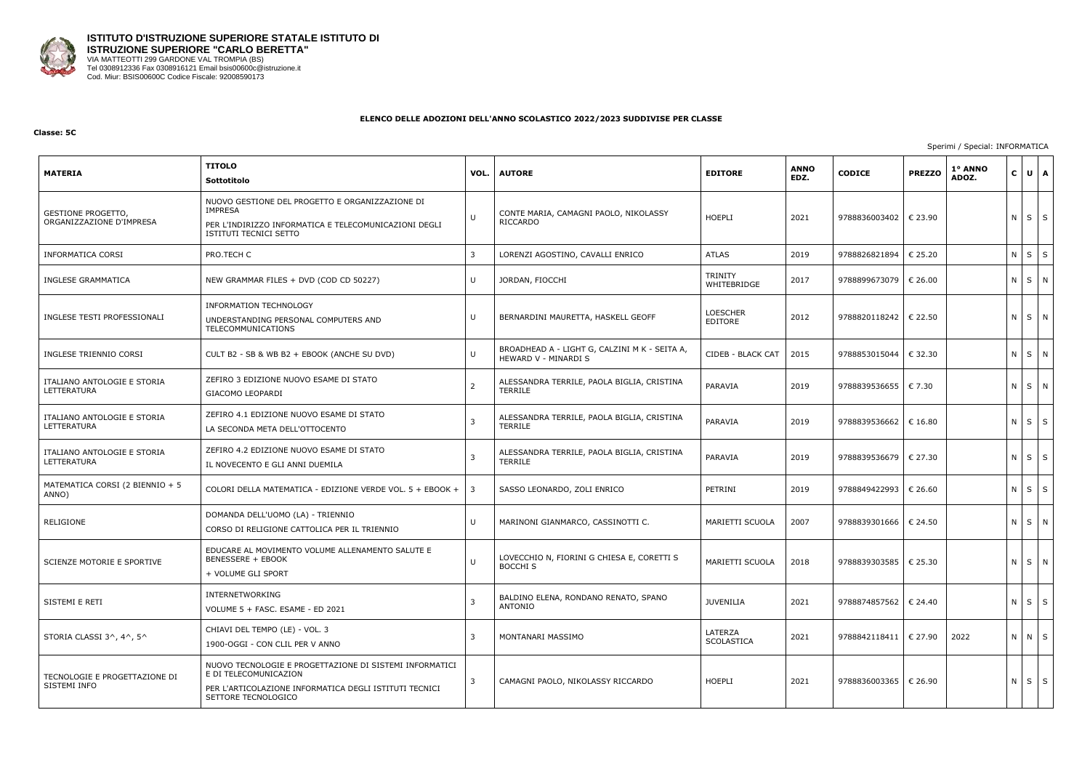

#### **Classe: 5C**

## Sperimi / Special: INFORMATICA

| <b>MATERIA</b>                                 | <b>TITOLO</b><br>Sottotitolo                                                                                                                                      | VOL. | <b>AUTORE</b>                                                         | <b>EDITORE</b>             | <b>ANNO</b><br>EDZ. | <b>CODICE</b>           | <b>PREZZO</b>    | 1° ANNO<br>ADOZ. | $C \bigcup U \bigcap A$ |             |
|------------------------------------------------|-------------------------------------------------------------------------------------------------------------------------------------------------------------------|------|-----------------------------------------------------------------------|----------------------------|---------------------|-------------------------|------------------|------------------|-------------------------|-------------|
| GESTIONE PROGETTO,<br>ORGANIZZAZIONE D'IMPRESA | NUOVO GESTIONE DEL PROGETTO E ORGANIZZAZIONE DI<br><b>IMPRESA</b><br>PER L'INDIRIZZO INFORMATICA E TELECOMUNICAZIONI DEGLI<br>ISTITUTI TECNICI SETTO              | U    | CONTE MARIA, CAMAGNI PAOLO, NIKOLASSY<br>RICCARDO                     | <b>HOEPLI</b>              | 2021                | 9788836003402           | € 23.90          |                  | $N \mid S \mid S$       |             |
| <b>INFORMATICA CORSI</b>                       | PRO.TECH C                                                                                                                                                        | 3    | LORENZI AGOSTINO, CAVALLI ENRICO                                      | <b>ATLAS</b>               | 2019                | 9788826821894           | € 25.20          |                  | N S                     | $\mathsf S$ |
| <b>INGLESE GRAMMATICA</b>                      | NEW GRAMMAR FILES + DVD (COD CD 50227)                                                                                                                            | U    | JORDAN, FIOCCHI                                                       | TRINITY<br>WHITEBRIDGE     | 2017                | 9788899673079           | € 26.00          |                  |                         | N S N       |
| INGLESE TESTI PROFESSIONALI                    | INFORMATION TECHNOLOGY<br>UNDERSTANDING PERSONAL COMPUTERS AND<br>TELECOMMUNICATIONS                                                                              | U    | BERNARDINI MAURETTA, HASKELL GEOFF                                    | <b>LOESCHER</b><br>EDITORE | 2012                | 9788820118242           | € 22.50          |                  |                         | N S N       |
| INGLESE TRIENNIO CORSI                         | CULT B2 - SB & WB B2 + EBOOK (ANCHE SU DVD)                                                                                                                       | U    | BROADHEAD A - LIGHT G, CALZINI M K - SEITA A,<br>HEWARD V - MINARDI S | CIDEB - BLACK CAT          | 2015                | 9788853015044           | € 32.30          |                  | N S N                   |             |
| ITALIANO ANTOLOGIE E STORIA<br>LETTERATURA     | ZEFIRO 3 EDIZIONE NUOVO ESAME DI STATO<br>GIACOMO LEOPARDI                                                                                                        | 2    | ALESSANDRA TERRILE, PAOLA BIGLIA, CRISTINA<br>TERRILE                 | PARAVIA                    | 2019                | 9788839536655           | € 7.30           |                  |                         | N S N       |
| ITALIANO ANTOLOGIE E STORIA<br>LETTERATURA     | ZEFIRO 4.1 EDIZIONE NUOVO ESAME DI STATO<br>LA SECONDA META DELL'OTTOCENTO                                                                                        | 3    | ALESSANDRA TERRILE, PAOLA BIGLIA, CRISTINA<br>TERRILE                 | PARAVIA                    | 2019                | 9788839536662           | $\epsilon$ 16.80 |                  | $N \mid S \mid S$       |             |
| ITALIANO ANTOLOGIE E STORIA<br>LETTERATURA     | ZEFIRO 4.2 EDIZIONE NUOVO ESAME DI STATO<br>IL NOVECENTO E GLI ANNI DUEMILA                                                                                       | 3    | ALESSANDRA TERRILE, PAOLA BIGLIA, CRISTINA<br>TERRILE                 | PARAVIA                    | 2019                | 9788839536679   € 27.30 |                  |                  |                         | $N$ $S$ $S$ |
| MATEMATICA CORSI (2 BIENNIO + 5<br>ANNO)       | COLORI DELLA MATEMATICA - EDIZIONE VERDE VOL. 5 + EBOOK +                                                                                                         | 3    | SASSO LEONARDO, ZOLI ENRICO                                           | PETRINI                    | 2019                | 9788849422993           | € 26.60          |                  | $N$ $S$                 | S           |
| RELIGIONE                                      | DOMANDA DELL'UOMO (LA) - TRIENNIO<br>CORSO DI RELIGIONE CATTOLICA PER IL TRIENNIO                                                                                 | U    | MARINONI GIANMARCO, CASSINOTTI C.                                     | MARIETTI SCUOLA            | 2007                | 9788839301666           | € 24.50          |                  |                         | N S N       |
| SCIENZE MOTORIE E SPORTIVE                     | EDUCARE AL MOVIMENTO VOLUME ALLENAMENTO SALUTE E<br><b>BENESSERE + EBOOK</b><br>+ VOLUME GLI SPORT                                                                | U    | LOVECCHIO N, FIORINI G CHIESA E, CORETTI S<br>BOCCHI S                | MARIETTI SCUOLA   2018     |                     | 9788839303585   € 25.30 |                  |                  |                         | NSN         |
| SISTEMI E RETI                                 | INTERNETWORKING<br>VOLUME 5 + FASC. ESAME - ED 2021                                                                                                               | 3    | BALDINO ELENA, RONDANO RENATO, SPANO<br>ANTONIO                       | <b>JUVENILIA</b>           | 2021                | 9788874857562   € 24.40 |                  |                  |                         | $N$ $S$ $S$ |
| STORIA CLASSI 3^, 4^, 5^                       | CHIAVI DEL TEMPO (LE) - VOL. 3<br>1900-OGGI - CON CLIL PER V ANNO                                                                                                 | 3    | MONTANARI MASSIMO                                                     | LATERZA<br>SCOLASTICA      | 2021                | 9788842118411           | € 27.90          | 2022             |                         | N N S       |
| TECNOLOGIE E PROGETTAZIONE DI<br>SISTEMI INFO  | NUOVO TECNOLOGIE E PROGETTAZIONE DI SISTEMI INFORMATICI<br>E DI TELECOMUNICAZION<br>PER L'ARTICOLAZIONE INFORMATICA DEGLI ISTITUTI TECNICI<br>SETTORE TECNOLOGICO | 3    | CAMAGNI PAOLO, NIKOLASSY RICCARDO                                     | HOEPLI                     | 2021                | 9788836003365 € 26.90   |                  |                  |                         | $N$ $S$ $S$ |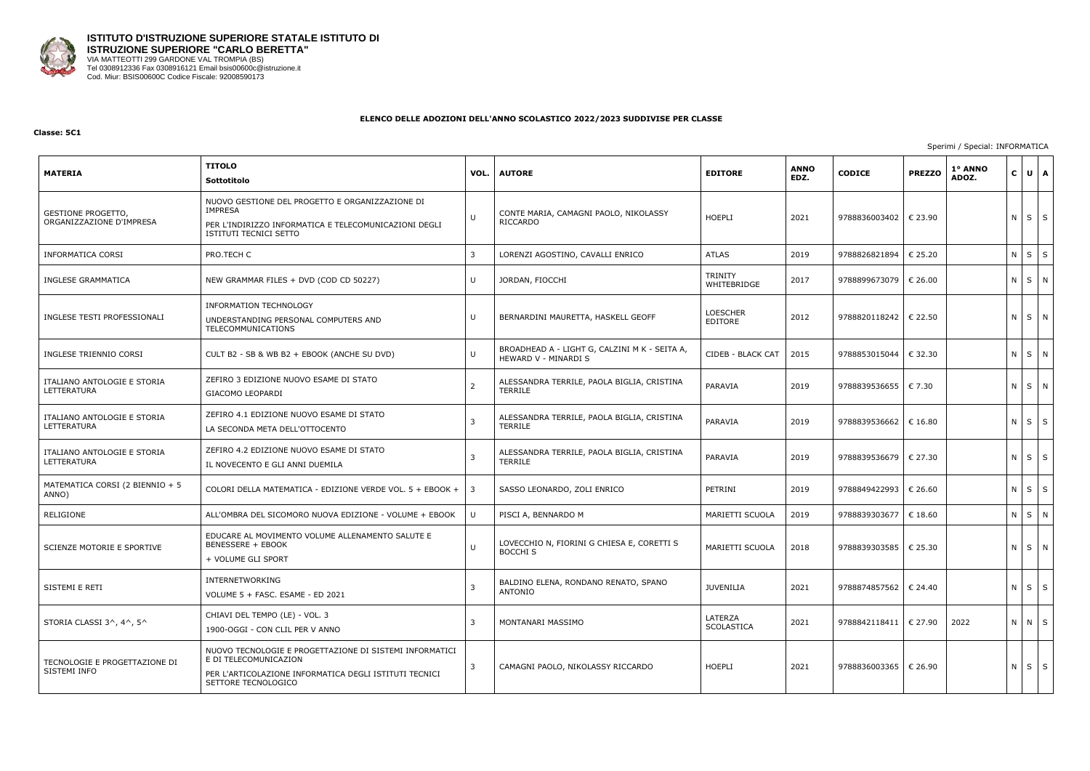

#### **Classe: 5C1**

## Sperimi / Special: INFORMATICA

| <b>MATERIA</b>                                 | <b>TITOLO</b><br>Sottotitolo                                                                                                                                      | VOL. | <b>AUTORE</b>                                                         | <b>EDITORE</b>             | <b>ANNO</b><br>EDZ. | <b>CODICE</b>           | <b>PREZZO</b> | 1° ANNO<br>ADOZ. | $\mathbf{C}$ | $U$ $A$           |
|------------------------------------------------|-------------------------------------------------------------------------------------------------------------------------------------------------------------------|------|-----------------------------------------------------------------------|----------------------------|---------------------|-------------------------|---------------|------------------|--------------|-------------------|
| GESTIONE PROGETTO,<br>ORGANIZZAZIONE D'IMPRESA | NUOVO GESTIONE DEL PROGETTO E ORGANIZZAZIONE DI<br><b>IMPRESA</b><br>PER L'INDIRIZZO INFORMATICA E TELECOMUNICAZIONI DEGLI<br>ISTITUTI TECNICI SETTO              | U    | CONTE MARIA, CAMAGNI PAOLO, NIKOLASSY<br><b>RICCARDO</b>              | <b>HOEPLI</b>              | 2021                | 9788836003402   € 23.90 |               |                  |              | $N \mid S \mid S$ |
| <b>INFORMATICA CORSI</b>                       | PRO.TECH C                                                                                                                                                        | 3    | LORENZI AGOSTINO, CAVALLI ENRICO                                      | <b>ATLAS</b>               | 2019                | 9788826821894           | € 25.20       |                  | $N$ $S$      | $\mathsf S$       |
| <b>INGLESE GRAMMATICA</b>                      | NEW GRAMMAR FILES + DVD (COD CD 50227)                                                                                                                            | U    | JORDAN, FIOCCHI                                                       | TRINITY<br>WHITEBRIDGE     | 2017                | 9788899673079 € 26.00   |               |                  |              | $N$ $S$ $N$       |
| INGLESE TESTI PROFESSIONALI                    | <b>INFORMATION TECHNOLOGY</b><br>UNDERSTANDING PERSONAL COMPUTERS AND<br>TELECOMMUNICATIONS                                                                       | U    | BERNARDINI MAURETTA, HASKELL GEOFF                                    | <b>LOESCHER</b><br>EDITORE | 2012                | 9788820118242   € 22.50 |               |                  |              | N S N             |
| INGLESE TRIENNIO CORSI                         | CULT B2 - SB & WB B2 + EBOOK (ANCHE SU DVD)                                                                                                                       | U    | BROADHEAD A - LIGHT G, CALZINI M K - SEITA A,<br>HEWARD V - MINARDI S | CIDEB - BLACK CAT          | 2015                | 9788853015044   € 32.30 |               |                  |              | $N$ $S$ $N$       |
| ITALIANO ANTOLOGIE E STORIA<br>LETTERATURA     | ZEFIRO 3 EDIZIONE NUOVO ESAME DI STATO<br>GIACOMO LEOPARDI                                                                                                        | 2    | ALESSANDRA TERRILE, PAOLA BIGLIA, CRISTINA<br><b>TERRILE</b>          | PARAVIA                    | 2019                | 9788839536655   € 7.30  |               |                  |              | NSN               |
| ITALIANO ANTOLOGIE E STORIA<br>LETTERATURA     | ZEFIRO 4.1 EDIZIONE NUOVO ESAME DI STATO<br>LA SECONDA META DELL'OTTOCENTO                                                                                        | 3    | ALESSANDRA TERRILE, PAOLA BIGLIA, CRISTINA<br><b>TERRILE</b>          | PARAVIA                    | 2019                | 9788839536662   € 16.80 |               |                  |              | $N$ $S$ $S$       |
| ITALIANO ANTOLOGIE E STORIA<br>LETTERATURA     | ZEFIRO 4.2 EDIZIONE NUOVO ESAME DI STATO<br>IL NOVECENTO E GLI ANNI DUEMILA                                                                                       | 3    | ALESSANDRA TERRILE, PAOLA BIGLIA, CRISTINA<br><b>TERRILE</b>          | PARAVIA                    | 2019                | 9788839536679   € 27.30 |               |                  |              | $N$ $S$ $S$       |
| MATEMATICA CORSI (2 BIENNIO + 5<br>ANNO)       | COLORI DELLA MATEMATICA - EDIZIONE VERDE VOL. 5 + EBOOK +                                                                                                         | 3    | SASSO LEONARDO, ZOLI ENRICO                                           | PETRINI                    | 2019                | 9788849422993           | € 26.60       |                  |              | NSS               |
| RELIGIONE                                      | ALL'OMBRA DEL SICOMORO NUOVA EDIZIONE - VOLUME + EBOOK                                                                                                            | U    | PISCI A, BENNARDO M                                                   | MARIETTI SCUOLA            | 2019                | 9788839303677   € 18.60 |               |                  | $N \mid S$   | N                 |
| SCIENZE MOTORIE E SPORTIVE                     | EDUCARE AL MOVIMENTO VOLUME ALLENAMENTO SALUTE E<br><b>BENESSERE + EBOOK</b><br>+ VOLUME GLI SPORT                                                                | U    | LOVECCHIO N, FIORINI G CHIESA E, CORETTI S<br><b>BOCCHI S</b>         | MARIETTI SCUOLA            | 2018                | 9788839303585   € 25.30 |               |                  |              | NSN               |
| SISTEMI E RETI                                 | INTERNETWORKING<br>VOLUME 5 + FASC. ESAME - ED 2021                                                                                                               | 3    | BALDINO ELENA, RONDANO RENATO, SPANO<br>ANTONIO                       | <b>JUVENILIA</b>           | 2021                | 9788874857562   € 24.40 |               |                  |              | $N \mid S \mid S$ |
| STORIA CLASSI 3^, 4^, 5^                       | CHIAVI DEL TEMPO (LE) - VOL. 3<br>1900-OGGI - CON CLIL PER V ANNO                                                                                                 | 3    | MONTANARI MASSIMO                                                     | LATERZA<br>SCOLASTICA      | 2021                | 9788842118411   € 27.90 |               | 2022             |              | N N S             |
| TECNOLOGIE E PROGETTAZIONE DI<br>SISTEMI INFO  | NUOVO TECNOLOGIE E PROGETTAZIONE DI SISTEMI INFORMATICI<br>E DI TELECOMUNICAZION<br>PER L'ARTICOLAZIONE INFORMATICA DEGLI ISTITUTI TECNICI<br>SETTORE TECNOLOGICO | 3    | CAMAGNI PAOLO, NIKOLASSY RICCARDO                                     | HOEPLI                     | 2021                | 9788836003365   € 26.90 |               |                  |              | $N \mid S \mid S$ |